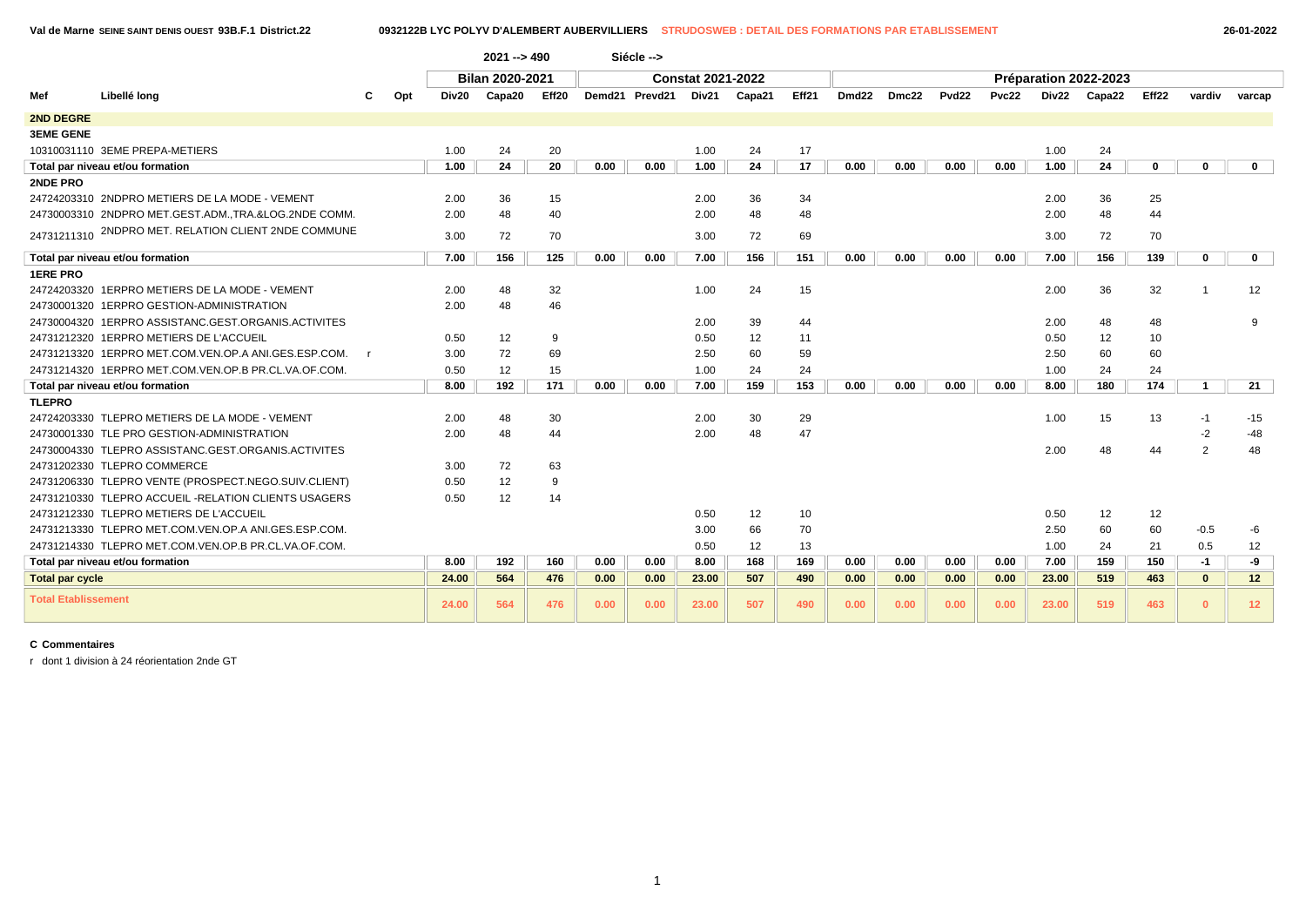|                            |                                                      |     |       | $2021 - 9490$   |       |      | Siécle -->     |                          |        |       |       |       |                   |       |       |                       |             |              |              |  |
|----------------------------|------------------------------------------------------|-----|-------|-----------------|-------|------|----------------|--------------------------|--------|-------|-------|-------|-------------------|-------|-------|-----------------------|-------------|--------------|--------------|--|
|                            |                                                      |     |       | Bilan 2020-2021 |       |      |                | <b>Constat 2021-2022</b> |        |       |       |       |                   |       |       | Préparation 2022-2023 |             |              |              |  |
| Mef                        | Libellé long                                         | Opt | Div20 | Capa20          | Eff20 |      | Demd21 Prevd21 | Div21                    | Capa21 | Eff21 | Dmd22 | Dmc22 | Pvd <sub>22</sub> | Pvc22 | Div22 | Capa22                | Eff22       | vardiv       | varcap       |  |
| <b>2ND DEGRE</b>           |                                                      |     |       |                 |       |      |                |                          |        |       |       |       |                   |       |       |                       |             |              |              |  |
| <b>3EME GENE</b>           |                                                      |     |       |                 |       |      |                |                          |        |       |       |       |                   |       |       |                       |             |              |              |  |
|                            | 10310031110 3EME PREPA-METIERS                       |     | 1.00  | 24              | 20    |      |                | 1.00                     | 24     | 17    |       |       |                   |       | 1.00  | 24                    |             |              |              |  |
|                            | Total par niveau et/ou formation                     |     | 1.00  | 24              | 20    | 0.00 | 0.00           | 1.00                     | 24     | 17    | 0.00  | 0.00  | 0.00              | 0.00  | 1.00  | 24                    | $\mathbf 0$ | $\mathbf 0$  | $\mathbf 0$  |  |
| <b>2NDE PRO</b>            |                                                      |     |       |                 |       |      |                |                          |        |       |       |       |                   |       |       |                       |             |              |              |  |
|                            | 24724203310 2NDPRO METIERS DE LA MODE - VEMENT       |     | 2.00  | 36              | 15    |      |                | 2.00                     | 36     | 34    |       |       |                   |       | 2.00  | 36                    | 25          |              |              |  |
|                            | 24730003310 2NDPRO MET.GEST.ADM.,TRA.&LOG.2NDE COMM. |     | 2.00  | 48              | 40    |      |                | 2.00                     | 48     | 48    |       |       |                   |       | 2.00  | 48                    | 44          |              |              |  |
|                            | 24731211310 2NDPRO MET. RELATION CLIENT 2NDE COMMUNE |     | 3.00  | 72              | 70    |      |                | 3.00                     | 72     | 69    |       |       |                   |       | 3.00  | 72                    | 70          |              |              |  |
|                            | Total par niveau et/ou formation                     |     | 7.00  | 156             | 125   | 0.00 | 0.00           | 7.00                     | 156    | 151   | 0.00  | 0.00  | 0.00              | 0.00  | 7.00  | 156                   | 139         | $\mathbf 0$  | $\mathbf{0}$ |  |
| <b>1ERE PRO</b>            |                                                      |     |       |                 |       |      |                |                          |        |       |       |       |                   |       |       |                       |             |              |              |  |
|                            | 24724203320 1ERPRO METIERS DE LA MODE - VEMENT       |     | 2.00  | 48              | 32    |      |                | 1.00                     | 24     | 15    |       |       |                   |       | 2.00  | 36                    | 32          |              | 12           |  |
|                            | 24730001320 1ERPRO GESTION-ADMINISTRATION            |     | 2.00  | 48              | 46    |      |                |                          |        |       |       |       |                   |       |       |                       |             |              |              |  |
|                            | 24730004320 1ERPRO ASSISTANC.GEST.ORGANIS.ACTIVITES  |     |       |                 |       |      |                | 2.00                     | 39     | 44    |       |       |                   |       | 2.00  | 48                    | 48          |              | 9            |  |
|                            | 24731212320 1ERPRO METIERS DE L'ACCUEIL              |     | 0.50  | 12              | 9     |      |                | 0.50                     | 12     | 11    |       |       |                   |       | 0.50  | 12                    | 10          |              |              |  |
|                            | 24731213320 1ERPRO MET.COM.VEN.OP.A ANI.GES.ESP.COM. |     | 3.00  | 72              | 69    |      |                | 2.50                     | 60     | 59    |       |       |                   |       | 2.50  | 60                    | 60          |              |              |  |
|                            | 24731214320 1ERPRO MET.COM.VEN.OP.B PR.CL.VA.OF.COM. |     | 0.50  | 12              | 15    |      |                | 1.00                     | 24     | 24    |       |       |                   |       | 1.00  | 24                    | 24          |              |              |  |
|                            | Total par niveau et/ou formation                     |     | 8.00  | 192             | 171   | 0.00 | 0.00           | 7.00                     | 159    | 153   | 0.00  | 0.00  | 0.00              | 0.00  | 8.00  | 180                   | 174         | 1            | 21           |  |
| <b>TLEPRO</b>              |                                                      |     |       |                 |       |      |                |                          |        |       |       |       |                   |       |       |                       |             |              |              |  |
|                            | 24724203330 TLEPRO METIERS DE LA MODE - VEMENT       |     | 2.00  | 48              | 30    |      |                | 2.00                     | 30     | 29    |       |       |                   |       | 1.00  | 15                    | 13          | $-1$         | $-15$        |  |
|                            | 24730001330   TLE PRO GESTION-ADMINISTRATION         |     | 2.00  | 48              | 44    |      |                | 2.00                     | 48     | 47    |       |       |                   |       |       |                       |             | -2           | -48          |  |
|                            | 24730004330 TLEPRO ASSISTANC.GEST.ORGANIS.ACTIVITES  |     |       |                 |       |      |                |                          |        |       |       |       |                   |       | 2.00  | 48                    | 44          | 2            | 48           |  |
|                            | 24731202330 TLEPRO COMMERCE                          |     | 3.00  | 72              | 63    |      |                |                          |        |       |       |       |                   |       |       |                       |             |              |              |  |
|                            | 24731206330 TLEPRO VENTE (PROSPECT.NEGO.SUIV.CLIENT) |     | 0.50  | 12              | 9     |      |                |                          |        |       |       |       |                   |       |       |                       |             |              |              |  |
|                            | 24731210330 TLEPRO ACCUEIL -RELATION CLIENTS USAGERS |     | 0.50  | 12              | 14    |      |                |                          |        |       |       |       |                   |       |       |                       |             |              |              |  |
|                            | 24731212330 TLEPRO METIERS DE L'ACCUEIL              |     |       |                 |       |      |                | 0.50                     | 12     | 10    |       |       |                   |       | 0.50  | 12                    | 12          |              |              |  |
|                            | 24731213330 TLEPRO MET.COM.VEN.OP.A ANI.GES.ESP.COM. |     |       |                 |       |      |                | 3.00                     | 66     | 70    |       |       |                   |       | 2.50  | 60                    | 60          | $-0.5$       | -6           |  |
|                            | 24731214330 TLEPRO MET.COM.VEN.OP.B PR.CL.VA.OF.COM. |     |       |                 |       |      |                | 0.50                     | 12     | 13    |       |       |                   |       | 1.00  | 24                    | 21          | 0.5          | 12           |  |
|                            | Total par niveau et/ou formation                     |     | 8.00  | 192             | 160   | 0.00 | 0.00           | 8.00                     | 168    | 169   | 0.00  | 0.00  | 0.00              | 0.00  | 7.00  | 159                   | 150         | $-1$         | -9           |  |
| <b>Total par cycle</b>     |                                                      |     | 24.00 | 564             | 476   | 0.00 | 0.00           | 23.00                    | 507    | 490   | 0.00  | 0.00  | 0.00              | 0.00  | 23.00 | 519                   | 463         | $\mathbf{0}$ | 12           |  |
| <b>Total Etablissement</b> |                                                      |     | 24.00 | 564             | 476   | 0.00 | 0.00           | 23.00                    | 507    | 490   | 0.00  | 0.00  | 0.00              | 0.00  | 23.00 | 519                   | 463         | $\mathbf{0}$ | 12           |  |

r dont 1 division à 24 réorientation 2nde GT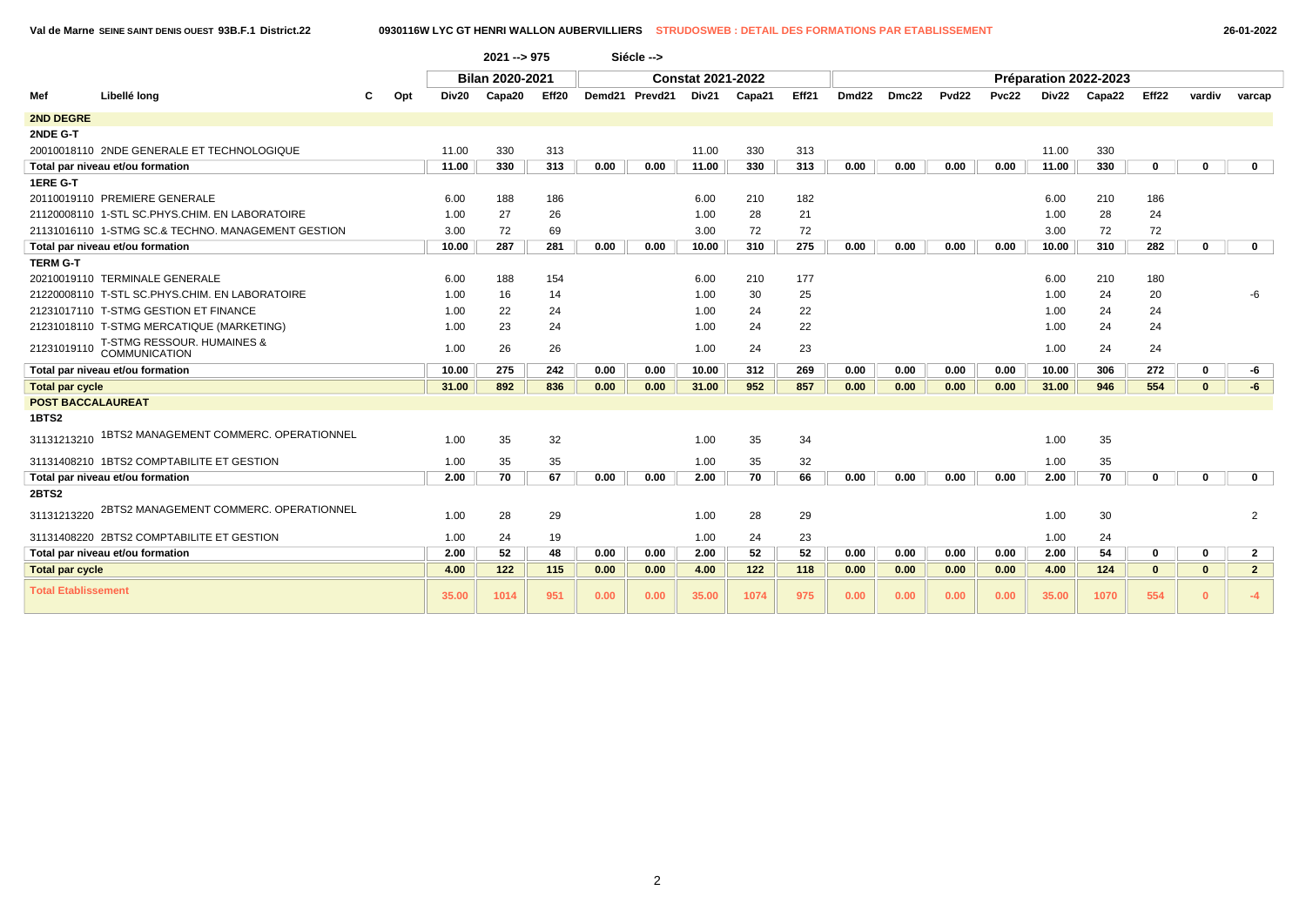|  | 26-01-202 |
|--|-----------|
|--|-----------|

|                            |                                                    |       | $2021 - 975$           |       |      | Siécle -->     |                          |        |       |                   |       |                   |              |       |                       |          |              |                |
|----------------------------|----------------------------------------------------|-------|------------------------|-------|------|----------------|--------------------------|--------|-------|-------------------|-------|-------------------|--------------|-------|-----------------------|----------|--------------|----------------|
|                            |                                                    |       | <b>Bilan 2020-2021</b> |       |      |                | <b>Constat 2021-2022</b> |        |       |                   |       |                   |              |       | Préparation 2022-2023 |          |              |                |
| Mef                        | Libellé long<br>Opt                                | Div20 | Capa20                 | Eff20 |      | Demd21 Prevd21 | Div21                    | Capa21 | Eff21 | Dmd <sub>22</sub> | Dmc22 | Pvd <sub>22</sub> | <b>Pvc22</b> | Div22 | Capa22                | Eff22    | vardiv       | varcap         |
| <b>2ND DEGRE</b>           |                                                    |       |                        |       |      |                |                          |        |       |                   |       |                   |              |       |                       |          |              |                |
| 2NDE G-T                   |                                                    |       |                        |       |      |                |                          |        |       |                   |       |                   |              |       |                       |          |              |                |
|                            | 20010018110 2NDE GENERALE ET TECHNOLOGIQUE         | 11.00 | 330                    | 313   |      |                | 11.00                    | 330    | 313   |                   |       |                   |              | 11.00 | 330                   |          |              |                |
|                            | Total par niveau et/ou formation                   | 11.00 | 330                    | 313   | 0.00 | 0.00           | 11.00                    | 330    | 313   | 0.00              | 0.00  | 0.00              | 0.00         | 11.00 | 330                   | 0        | $\Omega$     | $\mathbf 0$    |
| <b>1ERE G-T</b>            |                                                    |       |                        |       |      |                |                          |        |       |                   |       |                   |              |       |                       |          |              |                |
|                            | 20110019110 PREMIERE GENERALE                      | 6.00  | 188                    | 186   |      |                | 6.00                     | 210    | 182   |                   |       |                   |              | 6.00  | 210                   | 186      |              |                |
|                            | 21120008110 1-STL SC.PHYS.CHIM. EN LABORATOIRE     | 1.00  | 27                     | 26    |      |                | 1.00                     | 28     | 21    |                   |       |                   |              | 1.00  | 28                    | 24       |              |                |
|                            | 21131016110 1-STMG SC.& TECHNO, MANAGEMENT GESTION | 3.00  | 72                     | 69    |      |                | 3.00                     | 72     | 72    |                   |       |                   |              | 3.00  | 72                    | 72       |              |                |
|                            | Total par niveau et/ou formation                   | 10.00 | 287                    | 281   | 0.00 | 0.00           | 10.00                    | 310    | 275   | 0.00              | 0.00  | 0.00              | 0.00         | 10.00 | 310                   | 282      | $\mathbf 0$  | $\mathbf{0}$   |
| <b>TERM G-T</b>            |                                                    |       |                        |       |      |                |                          |        |       |                   |       |                   |              |       |                       |          |              |                |
|                            | 20210019110 TERMINALE GENERALE                     | 6.00  | 188                    | 154   |      |                | 6.00                     | 210    | 177   |                   |       |                   |              | 6.00  | 210                   | 180      |              |                |
|                            | 21220008110 T-STL SC.PHYS.CHIM. EN LABORATOIRE     | 1.00  | 16                     | 14    |      |                | 1.00                     | 30     | 25    |                   |       |                   |              | 1.00  | 24                    | 20       |              | -6             |
|                            | 21231017110 T-STMG GESTION ET FINANCE              | 1.00  | 22                     | 24    |      |                | 1.00                     | 24     | 22    |                   |       |                   |              | 1.00  | 24                    | 24       |              |                |
|                            | 21231018110 T-STMG MERCATIQUE (MARKETING)          | 1.00  | 23                     | 24    |      |                | 1.00                     | 24     | 22    |                   |       |                   |              | 1.00  | 24                    | 24       |              |                |
| 21231019110                | T-STMG RESSOUR. HUMAINES &<br>COMMUNICATION        | 1.00  | 26                     | 26    |      |                | 1.00                     | 24     | 23    |                   |       |                   |              | 1.00  | 24                    | 24       |              |                |
|                            | Total par niveau et/ou formation                   | 10.00 | 275                    | 242   | 0.00 | 0.00           | 10.00                    | 312    | 269   | 0.00              | 0.00  | 0.00              | 0.00         | 10.00 | 306                   | 272      | $\mathbf 0$  | -6             |
| <b>Total par cycle</b>     |                                                    | 31.00 | 892                    | 836   | 0.00 | 0.00           | 31.00                    | 952    | 857   | 0.00              | 0.00  | 0.00              | 0.00         | 31.00 | 946                   | 554      | $\mathbf{0}$ | -6             |
| <b>POST BACCALAUREAT</b>   |                                                    |       |                        |       |      |                |                          |        |       |                   |       |                   |              |       |                       |          |              |                |
| 1BTS2                      |                                                    |       |                        |       |      |                |                          |        |       |                   |       |                   |              |       |                       |          |              |                |
| 31131213210                | 1BTS2 MANAGEMENT COMMERC. OPERATIONNEL             | 1.00  | 35                     | 32    |      |                | 1.00                     | 35     | 34    |                   |       |                   |              | 1.00  | 35                    |          |              |                |
|                            | 31131408210 1BTS2 COMPTABILITE ET GESTION          | 1.00  | 35                     | 35    |      |                | 1.00                     | 35     | 32    |                   |       |                   |              | 1.00  | 35                    |          |              |                |
|                            | Total par niveau et/ou formation                   | 2.00  | 70                     | 67    | 0.00 | 0.00           | 2.00                     | 70     | 66    | 0.00              | 0.00  | 0.00              | 0.00         | 2.00  | 70                    | 0        | 0            | $\mathbf 0$    |
| 2BTS2                      |                                                    |       |                        |       |      |                |                          |        |       |                   |       |                   |              |       |                       |          |              |                |
| 31131213220                | 2BTS2 MANAGEMENT COMMERC. OPERATIONNEL             | 1.00  | 28                     | 29    |      |                | 1.00                     | 28     | 29    |                   |       |                   |              | 1.00  | 30                    |          |              | 2              |
|                            | 31131408220 2BTS2 COMPTABILITE ET GESTION          | 1.00  | 24                     | 19    |      |                | 1.00                     | 24     | 23    |                   |       |                   |              | 1.00  | 24                    |          |              |                |
|                            | Total par niveau et/ou formation                   | 2.00  | 52                     | 48    | 0.00 | 0.00           | 2.00                     | 52     | 52    | 0.00              | 0.00  | 0.00              | 0.00         | 2.00  | 54                    | 0        | 0            | $\mathbf{2}$   |
| <b>Total par cycle</b>     |                                                    | 4.00  | 122                    | 115   | 0.00 | 0.00           | 4.00                     | $122$  | 118   | 0.00              | 0.00  | 0.00              | 0.00         | 4.00  | 124                   | $\bf{0}$ | $\bf{0}$     | $\overline{2}$ |
| <b>Total Etablissement</b> |                                                    | 35.00 | 1014                   | 951   | 0.00 | 0.00           | 35.00                    | 1074   | 975   | 0.00              | 0.00  | 0.00              | 0.00         | 35.00 | 1070                  | 554      | $\mathbf{0}$ | $-4$           |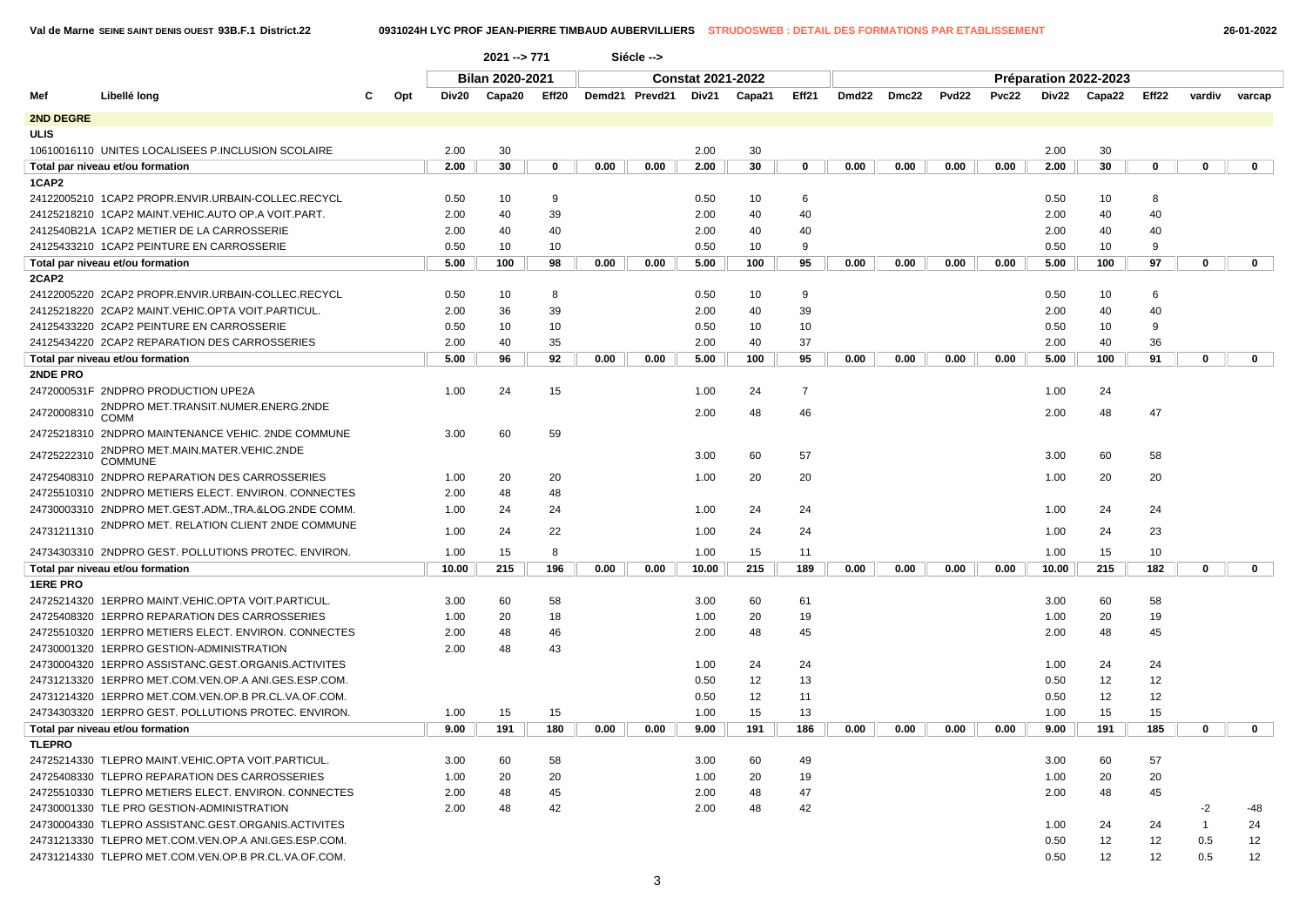$\begin{array}{c} \hline \end{array}$ 

**Val de Marne SEINE SAINT DENIS OUEST 93B.F.1 District.22 0931024H LYC PROF JEAN-PIERRE TIMBAUD AUBERVILLIERS STRUDOSWEB : DETAIL DES FORMATIONS PAR ETABLISSEMENT 26-01-2022**

|                 |                                                      |     | 2021 --> 771 |                 |       |      | Siécle -->     |                          |        |                |       |       |       |       |       |                       |       |              |              |  |
|-----------------|------------------------------------------------------|-----|--------------|-----------------|-------|------|----------------|--------------------------|--------|----------------|-------|-------|-------|-------|-------|-----------------------|-------|--------------|--------------|--|
|                 |                                                      |     |              | Bilan 2020-2021 |       |      |                | <b>Constat 2021-2022</b> |        |                |       |       |       |       |       | Préparation 2022-2023 |       |              |              |  |
| Mef             | Libellé long<br>С                                    | Opt | Div20        | Capa20          | Eff20 |      | Demd21 Prevd21 | Div21                    | Capa21 | Eff21          | Dmd22 | Dmc22 | Pvd22 | Pvc22 | Div22 | Capa22                | Eff22 | vardiv       | varcap       |  |
| 2ND DEGRE       |                                                      |     |              |                 |       |      |                |                          |        |                |       |       |       |       |       |                       |       |              |              |  |
| <b>ULIS</b>     |                                                      |     |              |                 |       |      |                |                          |        |                |       |       |       |       |       |                       |       |              |              |  |
|                 | 10610016110 UNITES LOCALISEES P.INCLUSION SCOLAIRE   |     | 2.00         | 30              |       |      |                | 2.00                     | 30     |                |       |       |       |       | 2.00  | 30                    |       |              |              |  |
|                 | Total par niveau et/ou formation                     |     | 2.00         | 30              | 0     | 0.00 | 0.00           | 2.00                     | 30     | 0              | 0.00  | 0.00  | 0.00  | 0.00  | 2.00  | 30                    | 0     | 0            | $\mathbf{0}$ |  |
| 1CAP2           |                                                      |     |              |                 |       |      |                |                          |        |                |       |       |       |       |       |                       |       |              |              |  |
|                 | 24122005210 1CAP2 PROPR.ENVIR.URBAIN-COLLEC.RECYCL   |     | 0.50         | 10              | 9     |      |                | 0.50                     | 10     | 6              |       |       |       |       | 0.50  | 10                    | 8     |              |              |  |
|                 | 24125218210 1CAP2 MAINT.VEHIC.AUTO OP.A VOIT.PART.   |     | 2.00         | 40              | 39    |      |                | 2.00                     | 40     | 40             |       |       |       |       | 2.00  | 40                    | 40    |              |              |  |
|                 | 2412540B21A 1CAP2 METIER DE LA CARROSSERIE           |     | 2.00         | 40              | 40    |      |                | 2.00                     | 40     | 40             |       |       |       |       | 2.00  | 40                    | 40    |              |              |  |
|                 | 24125433210 1CAP2 PEINTURE EN CARROSSERIE            |     | 0.50         | 10              | 10    |      |                | 0.50                     | 10     | 9              |       |       |       |       | 0.50  | 10                    | 9     |              |              |  |
|                 | Total par niveau et/ou formation                     |     | 5.00         | 100             | 98    | 0.00 | 0.00           | 5.00                     | 100    | 95             | 0.00  | 0.00  | 0.00  | 0.00  | 5.00  | 100                   | 97    | $\mathbf 0$  | $\mathbf 0$  |  |
| 2CAP2           |                                                      |     |              |                 |       |      |                |                          |        |                |       |       |       |       |       |                       |       |              |              |  |
|                 | 24122005220 2CAP2 PROPR.ENVIR.URBAIN-COLLEC.RECYCL   |     | 0.50         | 10              | 8     |      |                | 0.50                     | 10     | 9              |       |       |       |       | 0.50  | 10                    | 6     |              |              |  |
|                 | 24125218220 2CAP2 MAINT.VEHIC.OPTA VOIT.PARTICUL     |     | 2.00         | 36              | 39    |      |                | 2.00                     | 40     | 39             |       |       |       |       | 2.00  | 40                    | 40    |              |              |  |
|                 | 24125433220 2CAP2 PEINTURE EN CARROSSERIE            |     | 0.50         | 10              | 10    |      |                | 0.50                     | 10     | 10             |       |       |       |       | 0.50  | 10                    | 9     |              |              |  |
|                 | 24125434220 2CAP2 REPARATION DES CARROSSERIES        |     | 2.00         | 40              | 35    |      |                | 2.00                     | 40     | 37             |       |       |       |       | 2.00  | 40                    | 36    |              |              |  |
|                 | Total par niveau et/ou formation                     |     | 5.00         | 96              | 92    | 0.00 | 0.00           | 5.00                     | 100    | 95             | 0.00  | 0.00  | 0.00  | 0.00  | 5.00  | 100                   | 91    | $\mathbf 0$  | $\mathbf 0$  |  |
| 2NDE PRO        | 2472000531F 2NDPRO PRODUCTION UPE2A                  |     | 1.00         | 24              | 15    |      |                | 1.00                     | 24     | $\overline{7}$ |       |       |       |       | 1.00  | 24                    |       |              |              |  |
|                 | 2NDPRO MET.TRANSIT.NUMER.ENERG.2NDE                  |     |              |                 |       |      |                |                          |        |                |       |       |       |       |       |                       |       |              |              |  |
| 24720008310     | <b>COMM</b>                                          |     |              |                 |       |      |                | 2.00                     | 48     | 46             |       |       |       |       | 2.00  | 48                    | 47    |              |              |  |
|                 | 24725218310 2NDPRO MAINTENANCE VEHIC. 2NDE COMMUNE   |     | 3.00         | 60              | 59    |      |                |                          |        |                |       |       |       |       |       |                       |       |              |              |  |
| 24725222310     | 2NDPRO MET.MAIN.MATER.VEHIC.2NDE<br>COMMUNE          |     |              |                 |       |      |                | 3.00                     | 60     | 57             |       |       |       |       | 3.00  | 60                    | 58    |              |              |  |
|                 | 24725408310 2NDPRO REPARATION DES CARROSSERIES       |     | 1.00         | 20              | 20    |      |                | 1.00                     | 20     | 20             |       |       |       |       | 1.00  | 20                    | 20    |              |              |  |
|                 | 24725510310 2NDPRO METIERS ELECT. ENVIRON. CONNECTES |     | 2.00         | 48              | 48    |      |                |                          |        |                |       |       |       |       |       |                       |       |              |              |  |
|                 | 24730003310 2NDPRO MET.GEST.ADM.,TRA.&LOG.2NDE COMM. |     | 1.00         | 24              | 24    |      |                | 1.00                     | 24     | 24             |       |       |       |       | 1.00  | 24                    | 24    |              |              |  |
| 24731211310     | 2NDPRO MET. RELATION CLIENT 2NDE COMMUNE             |     | 1.00         | 24              | 22    |      |                | 1.00                     | 24     | 24             |       |       |       |       | 1.00  | 24                    | 23    |              |              |  |
|                 | 24734303310 2NDPRO GEST. POLLUTIONS PROTEC. ENVIRON. |     | 1.00         | 15              | 8     |      |                | 1.00                     | 15     | 11             |       |       |       |       | 1.00  | 15                    | 10    |              |              |  |
|                 | Total par niveau et/ou formation                     |     | 10.00        | 215             | 196   | 0.00 | 0.00           | 10.00                    | 215    | 189            | 0.00  | 0.00  | 0.00  | 0.00  | 10.00 | 215                   | 182   | $\mathbf 0$  | $\mathbf 0$  |  |
| <b>1ERE PRO</b> |                                                      |     |              |                 |       |      |                |                          |        |                |       |       |       |       |       |                       |       |              |              |  |
|                 | 24725214320 1ERPRO MAINT.VEHIC.OPTA VOIT.PARTICUL.   |     | 3.00         | 60              | 58    |      |                | 3.00                     | 60     | 61             |       |       |       |       | 3.00  | 60                    | 58    |              |              |  |
|                 | 24725408320 1ERPRO REPARATION DES CARROSSERIES       |     | 1.00         | 20              | 18    |      |                | 1.00                     | 20     | 19             |       |       |       |       | 1.00  | 20                    | 19    |              |              |  |
|                 | 24725510320 1ERPRO METIERS ELECT. ENVIRON. CONNECTES |     | 2.00         | 48              | 46    |      |                | 2.00                     | 48     | 45             |       |       |       |       | 2.00  | 48                    | 45    |              |              |  |
|                 | 24730001320 1ERPRO GESTION-ADMINISTRATION            |     | 2.00         | 48              | 43    |      |                |                          |        |                |       |       |       |       |       |                       |       |              |              |  |
|                 | 24730004320 1ERPRO ASSISTANC.GEST.ORGANIS.ACTIVITES  |     |              |                 |       |      |                | 1.00                     | 24     | 24             |       |       |       |       | 1.00  | 24                    | 24    |              |              |  |
|                 | 24731213320 1ERPRO MET.COM.VEN.OP.A ANI.GES.ESP.COM. |     |              |                 |       |      |                | 0.50                     | 12     | 13             |       |       |       |       | 0.50  | 12                    | 12    |              |              |  |
|                 | 24731214320 1ERPRO MET.COM.VEN.OP.B PR.CL.VA.OF.COM. |     |              |                 |       |      |                | 0.50                     | 12     | 11             |       |       |       |       | 0.50  | 12                    | 12    |              |              |  |
|                 | 24734303320 1ERPRO GEST. POLLUTIONS PROTEC. ENVIRON. |     | 1.00         | 15              | 15    |      |                | 1.00                     | 15     | 13             |       |       |       |       | 1.00  | 15                    | 15    |              |              |  |
|                 | Total par niveau et/ou formation                     |     | 9.00         | 191             | 180   | 0.00 | 0.00           | 9.00                     | 191    | 186            | 0.00  | 0.00  | 0.00  | 0.00  | 9.00  | 191                   | 185   | 0            | $\mathbf{0}$ |  |
| <b>TLEPRO</b>   |                                                      |     |              |                 |       |      |                |                          |        |                |       |       |       |       |       |                       |       |              |              |  |
|                 | 24725214330 TLEPRO MAINT.VEHIC.OPTA VOIT.PARTICUL.   |     | 3.00         | 60              | 58    |      |                | 3.00                     | 60     | 49             |       |       |       |       | 3.00  | 60                    | 57    |              |              |  |
|                 | 24725408330 TLEPRO REPARATION DES CARROSSERIES       |     | 1.00         | 20              | 20    |      |                | 1.00                     | 20     | 19             |       |       |       |       | 1.00  | 20                    | 20    |              |              |  |
|                 | 24725510330 TLEPRO METIERS ELECT. ENVIRON. CONNECTES |     | 2.00         | 48              | 45    |      |                | 2.00                     | 48     | 47             |       |       |       |       | 2.00  | 48                    | 45    |              |              |  |
|                 | 24730001330 TLE PRO GESTION-ADMINISTRATION           |     | 2.00         | 48              | 42    |      |                | 2.00                     | 48     | 42             |       |       |       |       |       |                       |       | -2           | -48          |  |
|                 | 24730004330 TLEPRO ASSISTANC.GEST.ORGANIS.ACTIVITES  |     |              |                 |       |      |                |                          |        |                |       |       |       |       | 1.00  | 24                    | 24    | $\mathbf{1}$ | 24           |  |
|                 | 24731213330 TLEPRO MET.COM.VEN.OP.A ANI.GES.ESP.COM. |     |              |                 |       |      |                |                          |        |                |       |       |       |       | 0.50  | 12                    | 12    | 0.5          | 12           |  |
|                 | 24731214330 TLEPRO MET.COM.VEN.OP.B PR.CL.VA.OF.COM. |     |              |                 |       |      |                |                          |        |                |       |       |       |       | 0.50  | 12                    | 12    | 0.5          | 12           |  |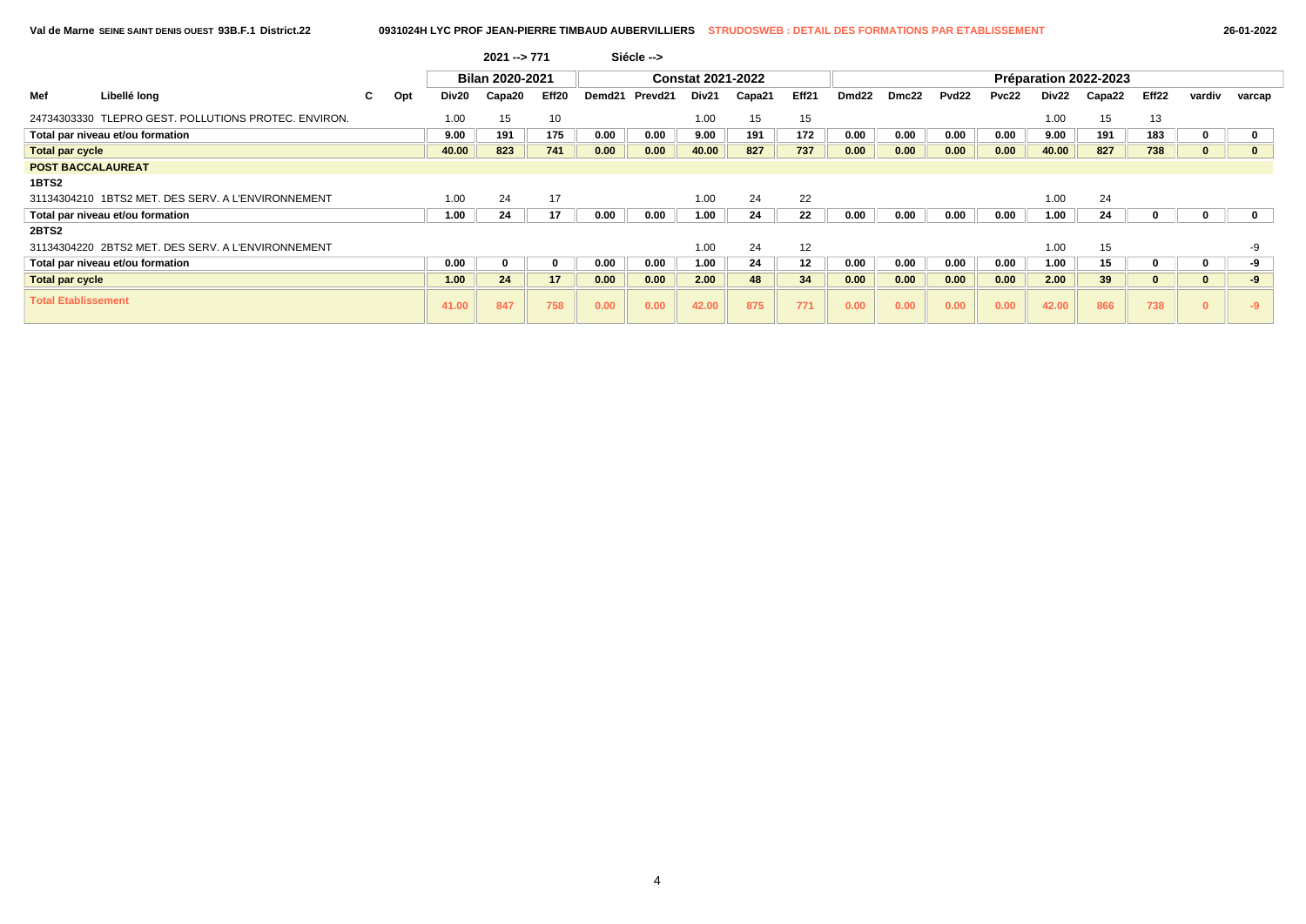|                            |                                                    |    |     |       | $2021 - 771$    |          |        | Siécle --> |                          |        |       |                   |       |       |       |       |                       |       |        |        |
|----------------------------|----------------------------------------------------|----|-----|-------|-----------------|----------|--------|------------|--------------------------|--------|-------|-------------------|-------|-------|-------|-------|-----------------------|-------|--------|--------|
|                            |                                                    |    |     |       | Bilan 2020-2021 |          |        |            | <b>Constat 2021-2022</b> |        |       |                   |       |       |       |       | Préparation 2022-2023 |       |        |        |
| Mef                        | Libellé long                                       | C. | Opt | Div20 | Capa20          | Eff20    | Demd21 | Prevd21    | Div21                    | Capa21 | Eff21 | Dmd <sub>22</sub> | Dmc22 | Pvd22 | Pvc22 | Div22 | Capa22                | Eff22 | vardiv | varcap |
| 24734303330                | TLEPRO GEST. POLLUTIONS PROTEC. ENVIRON.           |    |     | 1.00  | 15              | 10       |        |            | 1.00                     | 15     | 15    |                   |       |       |       | 1.00  | 15                    | 13    |        |        |
|                            | Total par niveau et/ou formation                   |    |     | 9.00  | 191             | 175      | 0.00   | 0.00       | 9.00                     | 191    | 172   | 0.00              | 0.00  | 0.00  | 0.00  | 9.00  | 191                   | 183   |        |        |
| <b>Total par cycle</b>     |                                                    |    |     | 40.00 | 823             | 741      | 0.00   | 0.00       | 40.00                    | 827    | 737   | 0.00              | 0.00  | 0.00  | 0.00  | 40.00 | 827                   | 738   |        |        |
| <b>POST BACCALAUREAT</b>   |                                                    |    |     |       |                 |          |        |            |                          |        |       |                   |       |       |       |       |                       |       |        |        |
| 1BTS2                      |                                                    |    |     |       |                 |          |        |            |                          |        |       |                   |       |       |       |       |                       |       |        |        |
|                            | 31134304210 1BTS2 MET. DES SERV. A L'ENVIRONNEMENT |    |     | 1.00  | 24              | 17       |        |            | 1.00                     | 24     | 22    |                   |       |       |       | 1.00  | 24                    |       |        |        |
|                            | Total par niveau et/ou formation                   |    |     | 1.00  | 24              | 17       | 0.00   | 0.00       | 1.00                     | 24     | 22    | 0.00              | 0.00  | 0.00  | 0.00  | 1.00  | 24                    |       |        |        |
| 2BTS2                      |                                                    |    |     |       |                 |          |        |            |                          |        |       |                   |       |       |       |       |                       |       |        |        |
|                            | 31134304220 2BTS2 MET, DES SERV, A L'ENVIRONNEMENT |    |     |       |                 |          |        |            | 1.00                     | 24     | 12    |                   |       |       |       | 1.00  | 15                    |       |        |        |
|                            | Total par niveau et/ou formation                   |    |     | 0.00  | 0               | $\Omega$ | 0.00   | 0.00       | 1.00                     | 24     | 12    | 0.00              | 0.00  | 0.00  | 0.00  | 1.00  | 15                    |       |        | -9     |
| <b>Total par cycle</b>     |                                                    |    |     | 1.00  | 24              | 17       | 0.00   | 0.00       | 2.00                     | 48     | 34    | 0.00              | 0.00  | 0.00  | 0.00  | 2.00  | 39                    | u     |        | -9     |
| <b>Total Etablissement</b> |                                                    |    |     | 41.00 | 847             | 758      | 0.00   | 0.00       | 42.00                    | 875    | 771   | 0.00              | 0.00  | 0.00  | 0.00  | 42.00 | 866                   | 738   |        |        |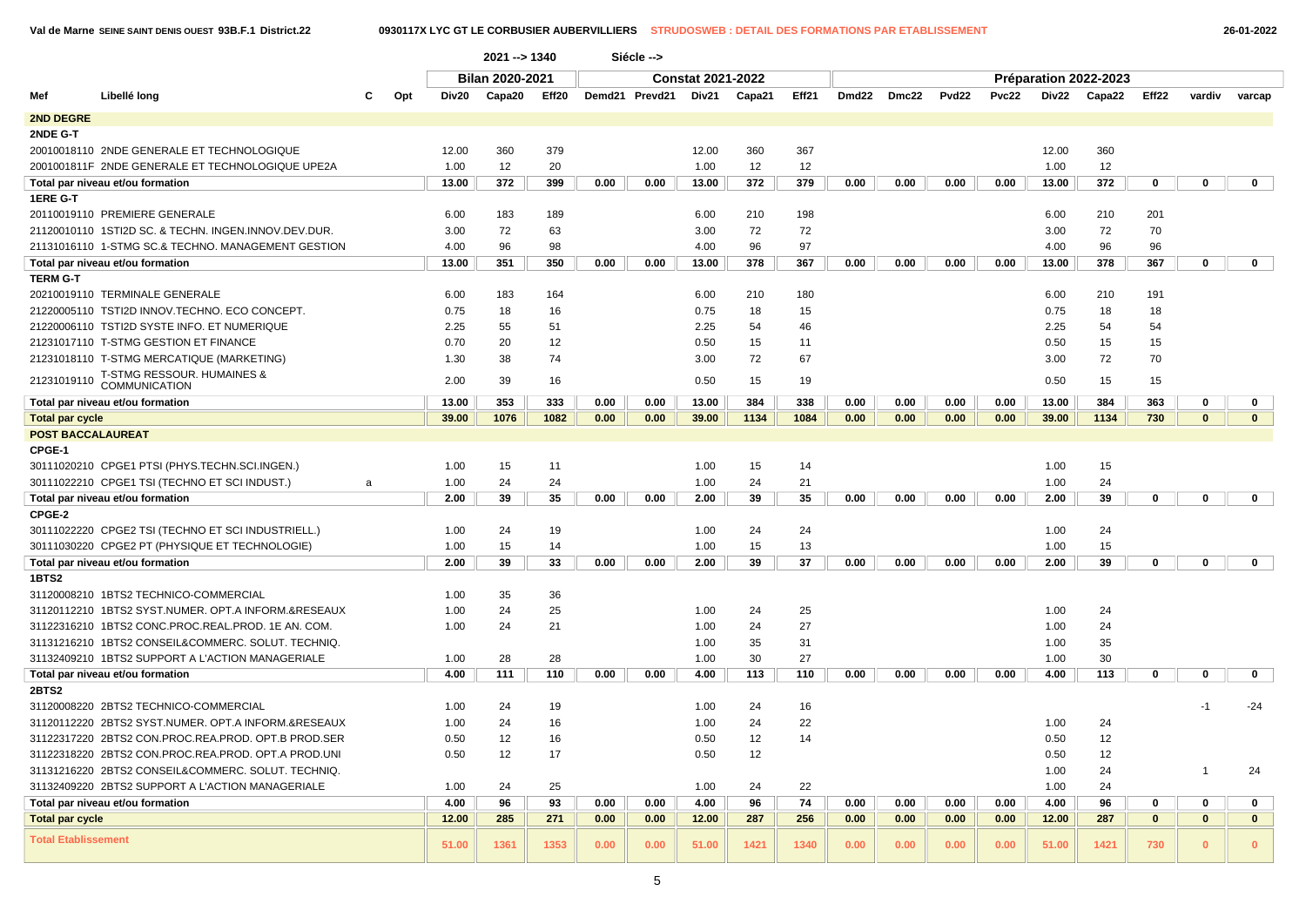|                                                      |     | 2021 -- > 1340 |                 |       |      | Siécle -->     |                          |        |       |       |       |                   |       |              |                       |          |              |              |
|------------------------------------------------------|-----|----------------|-----------------|-------|------|----------------|--------------------------|--------|-------|-------|-------|-------------------|-------|--------------|-----------------------|----------|--------------|--------------|
|                                                      |     |                | Bilan 2020-2021 |       |      |                | <b>Constat 2021-2022</b> |        |       |       |       |                   |       |              | Préparation 2022-2023 |          |              |              |
| Libellé long<br>Mef                                  | Opt | Div20          | Capa20          | Eff20 |      | Demd21 Prevd21 | Div21                    | Capa21 | Eff21 | Dmd22 | Dmc22 | Pvd <sub>22</sub> | Pvc22 | <b>Div22</b> | Capa22                | Eff22    | vardiv       | varcap       |
| 2ND DEGRE                                            |     |                |                 |       |      |                |                          |        |       |       |       |                   |       |              |                       |          |              |              |
| 2NDE G-T                                             |     |                |                 |       |      |                |                          |        |       |       |       |                   |       |              |                       |          |              |              |
| 20010018110 2NDE GENERALE ET TECHNOLOGIQUE           |     | 12.00          | 360             | 379   |      |                | 12.00                    | 360    | 367   |       |       |                   |       | 12.00        | 360                   |          |              |              |
| 2001001811F 2NDE GENERALE ET TECHNOLOGIQUE UPE2A     |     | 1.00           | 12              | 20    |      |                | 1.00                     | 12     | 12    |       |       |                   |       | 1.00         | 12                    |          |              |              |
| Total par niveau et/ou formation                     |     | 13.00          | 372             | 399   | 0.00 | 0.00           | 13.00                    | 372    | 379   | 0.00  | 0.00  | 0.00              | 0.00  | 13.00        | 372                   | 0        | 0            | $\mathbf{0}$ |
| 1ERE G-T                                             |     |                |                 |       |      |                |                          |        |       |       |       |                   |       |              |                       |          |              |              |
| 20110019110 PREMIERE GENERALE                        |     | 6.00           | 183             | 189   |      |                | 6.00                     | 210    | 198   |       |       |                   |       | 6.00         | 210                   | 201      |              |              |
| 21120010110 1STI2D SC. & TECHN. INGEN.INNOV.DEV.DUR. |     | 3.00           | 72              | 63    |      |                | 3.00                     | 72     | 72    |       |       |                   |       | 3.00         | 72                    | 70       |              |              |
| 21131016110 1-STMG SC.& TECHNO. MANAGEMENT GESTION   |     | 4.00           | 96              | 98    |      |                | 4.00                     | 96     | 97    |       |       |                   |       | 4.00         | 96                    | 96       |              |              |
| Total par niveau et/ou formation                     |     | 13.00          | 351             | 350   | 0.00 | 0.00           | 13.00                    | 378    | 367   | 0.00  | 0.00  | 0.00              | 0.00  | 13.00        | 378                   | 367      | $\mathbf 0$  | $\mathbf 0$  |
| <b>TERM G-T</b>                                      |     |                |                 |       |      |                |                          |        |       |       |       |                   |       |              |                       |          |              |              |
| 20210019110 TERMINALE GENERALE                       |     | 6.00           | 183             | 164   |      |                | 6.00                     | 210    | 180   |       |       |                   |       | 6.00         | 210                   | 191      |              |              |
| 21220005110 TSTI2D INNOV.TECHNO. ECO CONCEPT.        |     | 0.75           | 18              | 16    |      |                | 0.75                     | 18     | 15    |       |       |                   |       | 0.75         | 18                    | 18       |              |              |
| 21220006110 TSTI2D SYSTE INFO. ET NUMERIQUE          |     | 2.25           | 55              | 51    |      |                | 2.25                     | 54     | 46    |       |       |                   |       | 2.25         | 54                    | 54       |              |              |
| 21231017110 T-STMG GESTION ET FINANCE                |     | 0.70           | 20              | 12    |      |                | 0.50                     | 15     | 11    |       |       |                   |       | 0.50         | 15                    | 15       |              |              |
| 21231018110 T-STMG MERCATIQUE (MARKETING)            |     | 1.30           | 38              | 74    |      |                | 3.00                     | 72     | 67    |       |       |                   |       | 3.00         | 72                    | 70       |              |              |
| <b>T-STMG RESSOUR. HUMAINES &amp;</b>                |     |                |                 |       |      |                |                          |        |       |       |       |                   |       |              |                       |          |              |              |
| 21231019110<br><b>COMMUNICATION</b>                  |     | 2.00           | 39              | 16    |      |                | 0.50                     | 15     | 19    |       |       |                   |       | 0.50         | 15                    | 15       |              |              |
| Total par niveau et/ou formation                     |     | 13.00          | 353             | 333   | 0.00 | 0.00           | 13.00                    | 384    | 338   | 0.00  | 0.00  | 0.00              | 0.00  | 13.00        | 384                   | 363      | $\mathbf 0$  | 0            |
| <b>Total par cycle</b>                               |     | 39.00          | 1076            | 1082  | 0.00 | 0.00           | 39.00                    | 1134   | 1084  | 0.00  | 0.00  | 0.00              | 0.00  | 39.00        | 1134                  | 730      | $\mathbf{0}$ | $\mathbf{0}$ |
| <b>POST BACCALAUREAT</b>                             |     |                |                 |       |      |                |                          |        |       |       |       |                   |       |              |                       |          |              |              |
| CPGE-1                                               |     |                |                 |       |      |                |                          |        |       |       |       |                   |       |              |                       |          |              |              |
| 30111020210 CPGE1 PTSI (PHYS.TECHN.SCI.INGEN.)       |     | 1.00           | 15              | 11    |      |                | 1.00                     | 15     | 14    |       |       |                   |       | 1.00         | 15                    |          |              |              |
| 30111022210 CPGE1 TSI (TECHNO ET SCI INDUST.)        | a   | 1.00           | 24              | 24    |      |                | 1.00                     | 24     | 21    |       |       |                   |       | 1.00         | 24                    |          |              |              |
| Total par niveau et/ou formation                     |     | 2.00           | 39              | 35    | 0.00 | 0.00           | 2.00                     | 39     | 35    | 0.00  | 0.00  | 0.00              | 0.00  | 2.00         | 39                    | 0        | 0            | 0            |
| CPGE-2                                               |     |                |                 |       |      |                |                          |        |       |       |       |                   |       |              |                       |          |              |              |
| 30111022220 CPGE2 TSI (TECHNO ET SCI INDUSTRIELL.)   |     | 1.00           | 24              | 19    |      |                | 1.00                     | 24     | 24    |       |       |                   |       | 1.00         | 24                    |          |              |              |
| 30111030220 CPGE2 PT (PHYSIQUE ET TECHNOLOGIE)       |     | 1.00           | 15              | 14    |      |                | 1.00                     | 15     | 13    |       |       |                   |       | 1.00         | 15                    |          |              |              |
| Total par niveau et/ou formation                     |     | 2.00           | 39              | 33    | 0.00 | 0.00           | 2.00                     | 39     | 37    | 0.00  | 0.00  | 0.00              | 0.00  | 2.00         | 39                    | 0        | 0            | $\mathbf{0}$ |
| <b>1BTS2</b>                                         |     |                |                 |       |      |                |                          |        |       |       |       |                   |       |              |                       |          |              |              |
| 31120008210 1BTS2 TECHNICO-COMMERCIAL                |     | 1.00           | 35              | 36    |      |                |                          |        |       |       |       |                   |       |              |                       |          |              |              |
| 31120112210 1BTS2 SYST.NUMER, OPT.A INFORM.&RESEAUX  |     | 1.00           | 24              | 25    |      |                | 1.00                     | 24     | 25    |       |       |                   |       | 1.00         | 24                    |          |              |              |
| 31122316210 1BTS2 CONC.PROC.REAL.PROD. 1E AN. COM.   |     | 1.00           | 24              | 21    |      |                | 1.00                     | 24     | 27    |       |       |                   |       | 1.00         | 24                    |          |              |              |
| 31131216210 1BTS2 CONSEIL&COMMERC. SOLUT. TECHNIQ    |     |                |                 |       |      |                | 1.00                     | 35     | 31    |       |       |                   |       | 1.00         | 35                    |          |              |              |
| 31132409210 1BTS2 SUPPORT A L'ACTION MANAGERIALE     |     | 1.00           | 28              | 28    |      |                | 1.00                     | 30     | 27    |       |       |                   |       | 1.00         | 30                    |          |              |              |
| Total par niveau et/ou formation                     |     | 4.00           | 111             | 110   | 0.00 | 0.00           | 4.00                     | 113    | 110   | 0.00  | 0.00  | 0.00              | 0.00  | 4.00         | 113                   | 0        | 0            | 0            |
| <b>2BTS2</b>                                         |     |                |                 |       |      |                |                          |        |       |       |       |                   |       |              |                       |          |              |              |
| 31120008220 2BTS2 TECHNICO-COMMERCIAL                |     | 1.00           | 24              | 19    |      |                | 1.00                     | 24     | 16    |       |       |                   |       |              |                       |          | $-1$         | $-24$        |
| 31120112220 2BTS2 SYST.NUMER. OPT.A INFORM.&RESEAUX  |     | 1.00           | 24              | 16    |      |                | 1.00                     | 24     | 22    |       |       |                   |       | 1.00         | 24                    |          |              |              |
| 31122317220 2BTS2 CON.PROC.REA.PROD. OPT.B PROD.SER  |     | 0.50           | 12              | 16    |      |                | 0.50                     | 12     | 14    |       |       |                   |       | 0.50         | 12                    |          |              |              |
| 31122318220 2BTS2 CON.PROC.REA.PROD. OPT.A PROD.UNI  |     | 0.50           | 12              | 17    |      |                | 0.50                     | 12     |       |       |       |                   |       | 0.50         | 12                    |          |              |              |
| 31131216220 2BTS2 CONSEIL&COMMERC. SOLUT. TECHNIQ.   |     |                |                 |       |      |                |                          |        |       |       |       |                   |       | 1.00         | 24                    |          | -1           | 24           |
| 31132409220 2BTS2 SUPPORT A L'ACTION MANAGERIALE     |     | 1.00           | 24              | 25    |      |                | 1.00                     | 24     | 22    |       |       |                   |       | 1.00         | 24                    |          |              |              |
| Total par niveau et/ou formation                     |     | 4.00           | 96              | 93    | 0.00 | 0.00           | 4.00                     | 96     | 74    | 0.00  | 0.00  | 0.00              | 0.00  | 4.00         | 96                    | 0        | 0            | 0            |
| <b>Total par cycle</b>                               |     | 12.00          | 285             | 271   | 0.00 | 0.00           | 12.00                    | 287    | 256   | 0.00  | 0.00  | 0.00              | 0.00  | 12.00        | 287                   | $\bf{0}$ | $\mathbf{0}$ | $\mathbf{0}$ |
| <b>Total Etablissement</b>                           |     | 51.00          | 1361            | 1353  | 0.00 | 0.00           | 51.00                    | 1421   | 1340  | 0.00  | 0.00  | 0.00              | 0.00  | 51.00        | 1421                  | 730      | $\mathbf{0}$ | $\Omega$     |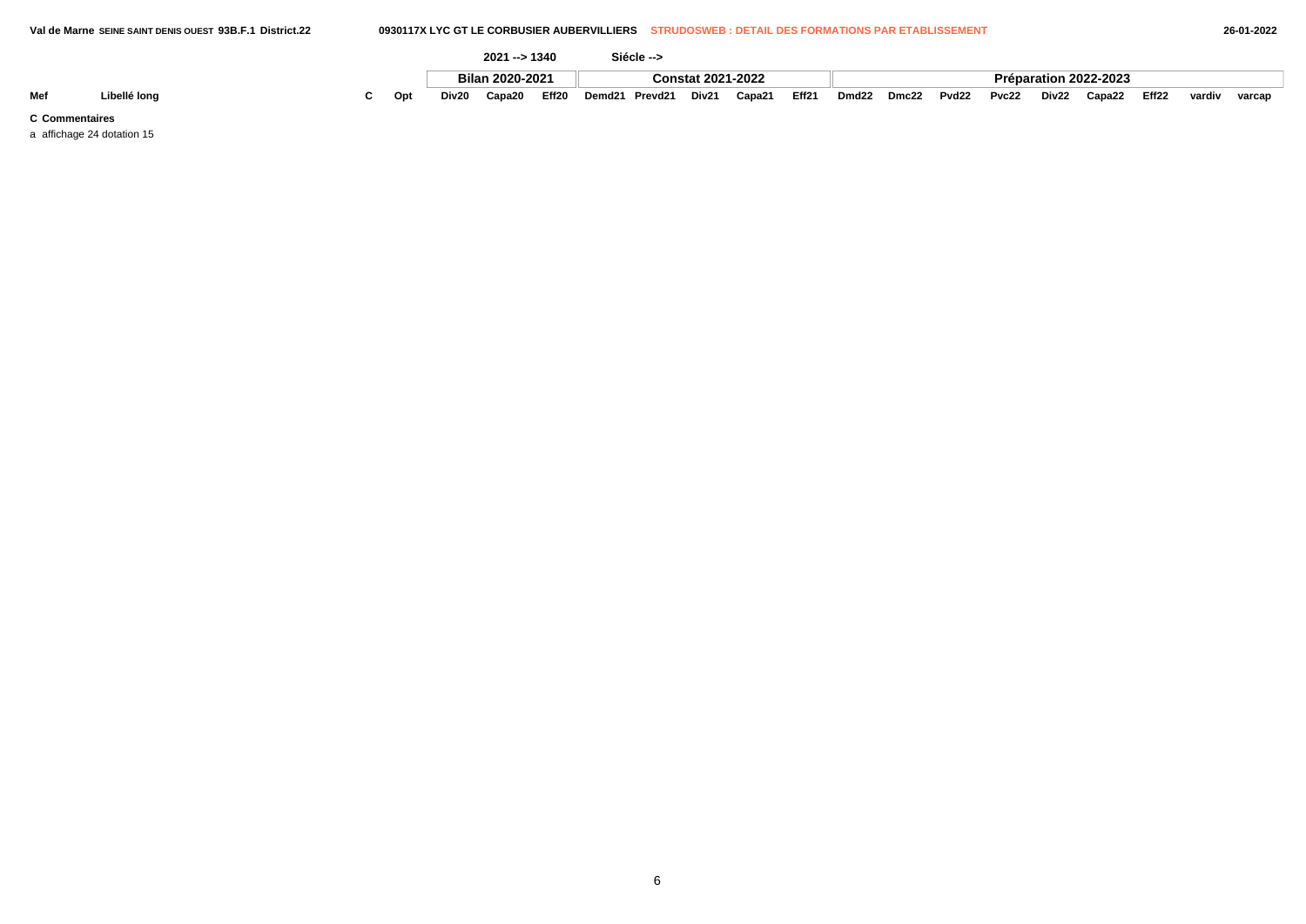|     |              |     |       | 2021 -- > 1340  |       |        | Siécle --> |                          |        |       |                   |       |       |       |       |                       |       |        |        |
|-----|--------------|-----|-------|-----------------|-------|--------|------------|--------------------------|--------|-------|-------------------|-------|-------|-------|-------|-----------------------|-------|--------|--------|
|     |              |     |       | Bilan 2020-2021 |       |        |            | <b>Constat 2021-2022</b> |        |       |                   |       |       |       |       | Préparation 2022-2023 |       |        |        |
| Mef | ∟ibellé long | Opt | Div20 | Capa20          | Eff20 | Demd21 | Prevd21    | Div21                    | Capa21 | Eff21 | Dmd <sub>22</sub> | Dmc22 | Pvd22 | Pvc22 | Div22 | Capa22                | Eff22 | vardiv | varcap |

a affichage 24 dotation 15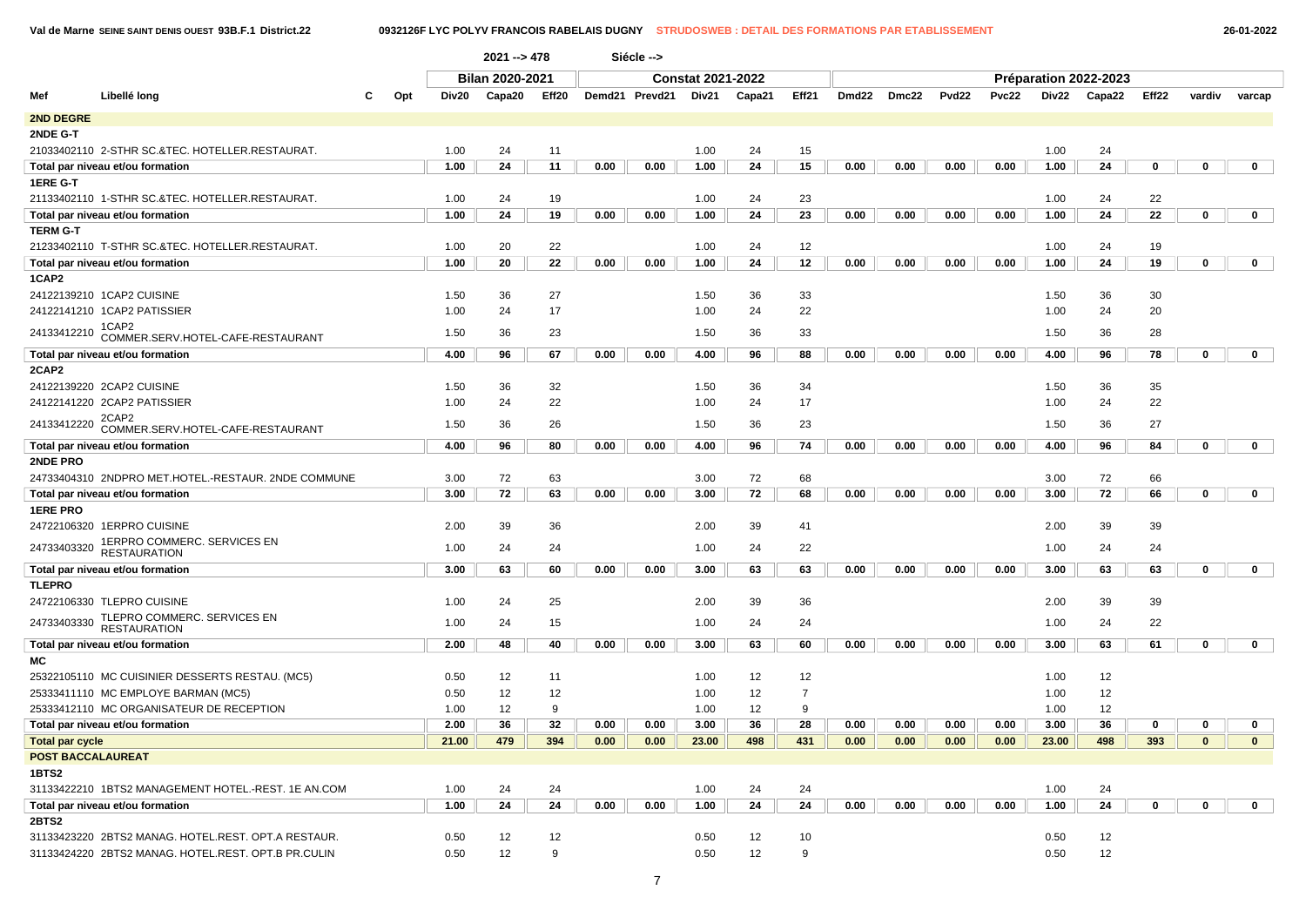**Val de Marne SEINE SAINT DENIS OUEST 93B.F.1 District.22 0932126F LYC POLYV FRANCOIS RABELAIS DUGNY STRUDOSWEB : DETAIL DES FORMATIONS PAR ETABLISSEMENT 26-01-2022**

|                        |                                                        |   |     |       | $2021 - 5478$          |              |      | Siécle -->     |                          |        |                |       |       |                   |       |       |                       |             |             |              |  |
|------------------------|--------------------------------------------------------|---|-----|-------|------------------------|--------------|------|----------------|--------------------------|--------|----------------|-------|-------|-------------------|-------|-------|-----------------------|-------------|-------------|--------------|--|
|                        |                                                        |   |     |       | <b>Bilan 2020-2021</b> |              |      |                | <b>Constat 2021-2022</b> |        |                |       |       |                   |       |       | Préparation 2022-2023 |             |             |              |  |
| Mef                    | Libellé long                                           | C | Opt | Div20 | Capa20                 | Eff20        |      | Demd21 Prevd21 | Div21                    | Capa21 | Eff21          | Dmd22 | Dmc22 | Pvd <sub>22</sub> | Pvc22 | Div22 | Capa22                | Eff22       | vardiv      | varcap       |  |
| <b>2ND DEGRE</b>       |                                                        |   |     |       |                        |              |      |                |                          |        |                |       |       |                   |       |       |                       |             |             |              |  |
| 2NDE G-T               |                                                        |   |     |       |                        |              |      |                |                          |        |                |       |       |                   |       |       |                       |             |             |              |  |
|                        | 21033402110 2-STHR SC.&TEC. HOTELLER.RESTAURAT.        |   |     | 1.00  | 24                     | 11           |      |                | 1.00                     | 24     | 15             |       |       |                   |       | 1.00  | 24                    |             |             |              |  |
|                        | Total par niveau et/ou formation                       |   |     | 1.00  | 24                     | 11           | 0.00 | 0.00           | 1.00                     | 24     | 15             | 0.00  | 0.00  | 0.00              | 0.00  | 1.00  | 24                    | $\mathbf 0$ | $\mathbf 0$ | $\mathbf 0$  |  |
| 1ERE G-T               |                                                        |   |     |       |                        |              |      |                |                          |        |                |       |       |                   |       |       |                       |             |             |              |  |
|                        | 21133402110 1-STHR SC.&TEC. HOTELLER.RESTAURAT.        |   |     | 1.00  | 24                     | 19           |      |                | 1.00                     | 24     | 23             |       |       |                   |       | 1.00  | 24                    | 22          |             |              |  |
|                        | Total par niveau et/ou formation                       |   |     | 1.00  | 24                     | 19           | 0.00 | 0.00           | 1.00                     | 24     | 23             | 0.00  | 0.00  | 0.00              | 0.00  | 1.00  | 24                    | 22          | $\mathbf 0$ | $\mathbf{0}$ |  |
| <b>TERM G-T</b>        |                                                        |   |     |       |                        |              |      |                |                          |        |                |       |       |                   |       |       |                       |             |             |              |  |
|                        | 21233402110 T-STHR SC.&TEC. HOTELLER.RESTAURAT.        |   |     | 1.00  | 20                     | 22           |      |                | 1.00                     | 24     | 12             |       |       |                   |       | 1.00  | 24                    | 19          |             |              |  |
|                        | Total par niveau et/ou formation                       |   |     | 1.00  | 20                     | 22           | 0.00 | 0.00           | 1.00                     | 24     | 12             | 0.00  | 0.00  | 0.00              | 0.00  | 1.00  | 24                    | 19          | 0           | $\mathbf 0$  |  |
| 1CAP2                  |                                                        |   |     |       |                        |              |      |                |                          |        |                |       |       |                   |       |       |                       |             |             |              |  |
|                        | 24122139210 1CAP2 CUISINE                              |   |     | 1.50  | 36                     | 27           |      |                | 1.50                     | 36     | 33             |       |       |                   |       | 1.50  | 36                    | 30          |             |              |  |
|                        | 24122141210 1CAP2 PATISSIER                            |   |     | 1.00  | 24                     | 17           |      |                | 1.00                     | 24     | 22             |       |       |                   |       | 1.00  | 24                    | 20          |             |              |  |
|                        | 1CAP2<br>24133412210 COMMER.SERV.HOTEL-CAFE-RESTAURANT |   |     | 1.50  | 36                     | 23           |      |                | 1.50                     | 36     | 33             |       |       |                   |       | 1.50  | 36                    | 28          |             |              |  |
|                        | Total par niveau et/ou formation                       |   |     | 4.00  | 96                     | 67           | 0.00 | 0.00           | 4.00                     | 96     | 88             | 0.00  | 0.00  | 0.00              | 0.00  | 4.00  | 96                    | 78          | $\mathbf 0$ | $\mathbf{0}$ |  |
| 2CAP2                  |                                                        |   |     |       |                        |              |      |                |                          |        |                |       |       |                   |       |       |                       |             |             |              |  |
|                        | 24122139220 2CAP2 CUISINE                              |   |     | 1.50  | 36                     | 32           |      |                | 1.50                     | 36     | 34             |       |       |                   |       | 1.50  | 36                    | 35          |             |              |  |
|                        | 24122141220 2CAP2 PATISSIER                            |   |     | 1.00  | 24                     | 22           |      |                | 1.00                     | 24     | 17             |       |       |                   |       | 1.00  | 24                    | 22          |             |              |  |
| 24133412220            | 2CAP2<br>COMMER.SERV.HOTEL-CAFE-RESTAURANT             |   |     | 1.50  | 36                     | 26           |      |                | 1.50                     | 36     | 23             |       |       |                   |       | 1.50  | 36                    | 27          |             |              |  |
|                        | Total par niveau et/ou formation                       |   |     | 4.00  | 96                     | 80           | 0.00 | 0.00           | 4.00                     | 96     | 74             | 0.00  | 0.00  | 0.00              | 0.00  | 4.00  | 96                    | 84          | 0           | $\mathbf 0$  |  |
| 2NDE PRO               |                                                        |   |     |       |                        |              |      |                |                          |        |                |       |       |                   |       |       |                       |             |             |              |  |
|                        | 24733404310 2NDPRO MET.HOTEL.-RESTAUR. 2NDE COMMUNE    |   |     | 3.00  | 72                     | 63           |      |                | 3.00                     | 72     | 68             |       |       |                   |       | 3.00  | 72                    | 66          |             |              |  |
|                        | Total par niveau et/ou formation                       |   |     | 3.00  | 72                     | 63           | 0.00 | 0.00           | 3.00                     | 72     | 68             | 0.00  | 0.00  | 0.00              | 0.00  | 3.00  | 72                    | 66          | $\mathbf 0$ | $\mathbf{0}$ |  |
| <b>1ERE PRO</b>        |                                                        |   |     |       |                        |              |      |                |                          |        |                |       |       |                   |       |       |                       |             |             |              |  |
|                        | 24722106320 1ERPRO CUISINE                             |   |     | 2.00  | 39                     | 36           |      |                | 2.00                     | 39     | 41             |       |       |                   |       | 2.00  | 39                    | 39          |             |              |  |
| 24733403320            | 1ERPRO COMMERC. SERVICES EN                            |   |     | 1.00  | 24                     | 24           |      |                | 1.00                     | 24     | 22             |       |       |                   |       | 1.00  | 24                    | 24          |             |              |  |
|                        | <b>RESTAURATION</b>                                    |   |     |       |                        |              |      |                |                          |        |                |       |       |                   |       |       |                       |             |             |              |  |
|                        | Total par niveau et/ou formation                       |   |     | 3.00  | 63                     | 60           | 0.00 | 0.00           | 3.00                     | 63     | 63             | 0.00  | 0.00  | 0.00              | 0.00  | 3.00  | 63                    | 63          | $\mathbf 0$ | $\mathbf 0$  |  |
| <b>TLEPRO</b>          |                                                        |   |     |       |                        |              |      |                |                          |        |                |       |       |                   |       |       |                       |             |             |              |  |
|                        | 24722106330 TLEPRO CUISINE                             |   |     | 1.00  | 24                     | 25           |      |                | 2.00                     | 39     | 36             |       |       |                   |       | 2.00  | 39                    | 39          |             |              |  |
| 24733403330            | TLEPRO COMMERC. SERVICES EN<br><b>RESTAURATION</b>     |   |     | 1.00  | 24                     | 15           |      |                | 1.00                     | 24     | 24             |       |       |                   |       | 1.00  | 24                    | 22          |             |              |  |
|                        | Total par niveau et/ou formation                       |   |     | 2.00  | 48                     | 40           | 0.00 | 0.00           | 3.00                     | 63     | 60             | 0.00  | 0.00  | 0.00              | 0.00  | 3.00  | 63                    | 61          | $\mathbf 0$ | $\mathbf{0}$ |  |
| МC                     |                                                        |   |     |       |                        |              |      |                |                          |        |                |       |       |                   |       |       |                       |             |             |              |  |
|                        | 25322105110 MC CUISINIER DESSERTS RESTAU. (MC5)        |   |     | 0.50  | 12                     | 11           |      |                | 1.00                     | 12     | 12             |       |       |                   |       | 1.00  | 12                    |             |             |              |  |
|                        | 25333411110 MC EMPLOYE BARMAN (MC5)                    |   |     | 0.50  | 12                     | 12           |      |                | 1.00                     | 12     | $\overline{7}$ |       |       |                   |       | 1.00  | 12                    |             |             |              |  |
|                        | 25333412110 MC ORGANISATEUR DE RECEPTION               |   |     | 1.00  | 12                     | 9            |      |                | 1.00                     | 12     | 9              |       |       |                   |       | 1.00  | 12                    |             |             |              |  |
|                        | Total par niveau et/ou formation                       |   |     | 2.00  | 36                     | 32           | 0.00 | 0.00           | 3.00                     | 36     | 28             | 0.00  | 0.00  | 0.00              | 0.00  | 3.00  | 36                    | 0           | 0           | $\mathbf 0$  |  |
|                        |                                                        |   |     |       | 479                    |              |      |                |                          |        |                |       |       |                   |       |       |                       | 393         |             |              |  |
| <b>Total par cycle</b> | <b>POST BACCALAUREAT</b>                               |   |     | 21.00 |                        | 394          | 0.00 | 0.00           | 23.00                    | 498    | 431            | 0.00  | 0.00  | 0.00              | 0.00  | 23.00 | 498                   |             | $\mathbf 0$ | $\mathbf{0}$ |  |
| 1BTS2                  |                                                        |   |     |       |                        |              |      |                |                          |        |                |       |       |                   |       |       |                       |             |             |              |  |
|                        | 31133422210 1BTS2 MANAGEMENT HOTEL.-REST. 1E AN.COM    |   |     | 1.00  | 24                     | 24           |      |                | 1.00                     | 24     | 24             |       |       |                   |       | 1.00  | 24                    |             |             |              |  |
|                        | Total par niveau et/ou formation                       |   |     | 1.00  | 24                     | 24           | 0.00 | 0.00           | 1.00                     | 24     | 24             | 0.00  | 0.00  | 0.00              | 0.00  | 1.00  | 24                    | $\mathbf 0$ | $\mathbf 0$ | $\mathbf{0}$ |  |
| 2BTS2                  |                                                        |   |     |       |                        |              |      |                |                          |        |                |       |       |                   |       |       |                       |             |             |              |  |
|                        | 31133423220 2BTS2 MANAG. HOTEL.REST. OPT.A RESTAUR.    |   |     | 0.50  | 12                     | 12           |      |                | 0.50                     | 12     | 10             |       |       |                   |       | 0.50  | 12                    |             |             |              |  |
|                        | 31133424220 2BTS2 MANAG. HOTEL.REST. OPT.B PR.CULIN    |   |     | 0.50  | 12                     | $\mathbf{q}$ |      |                | 0.50                     | 12     | 9              |       |       |                   |       | 0.50  | 12                    |             |             |              |  |
|                        |                                                        |   |     |       |                        |              |      |                |                          |        |                |       |       |                   |       |       |                       |             |             |              |  |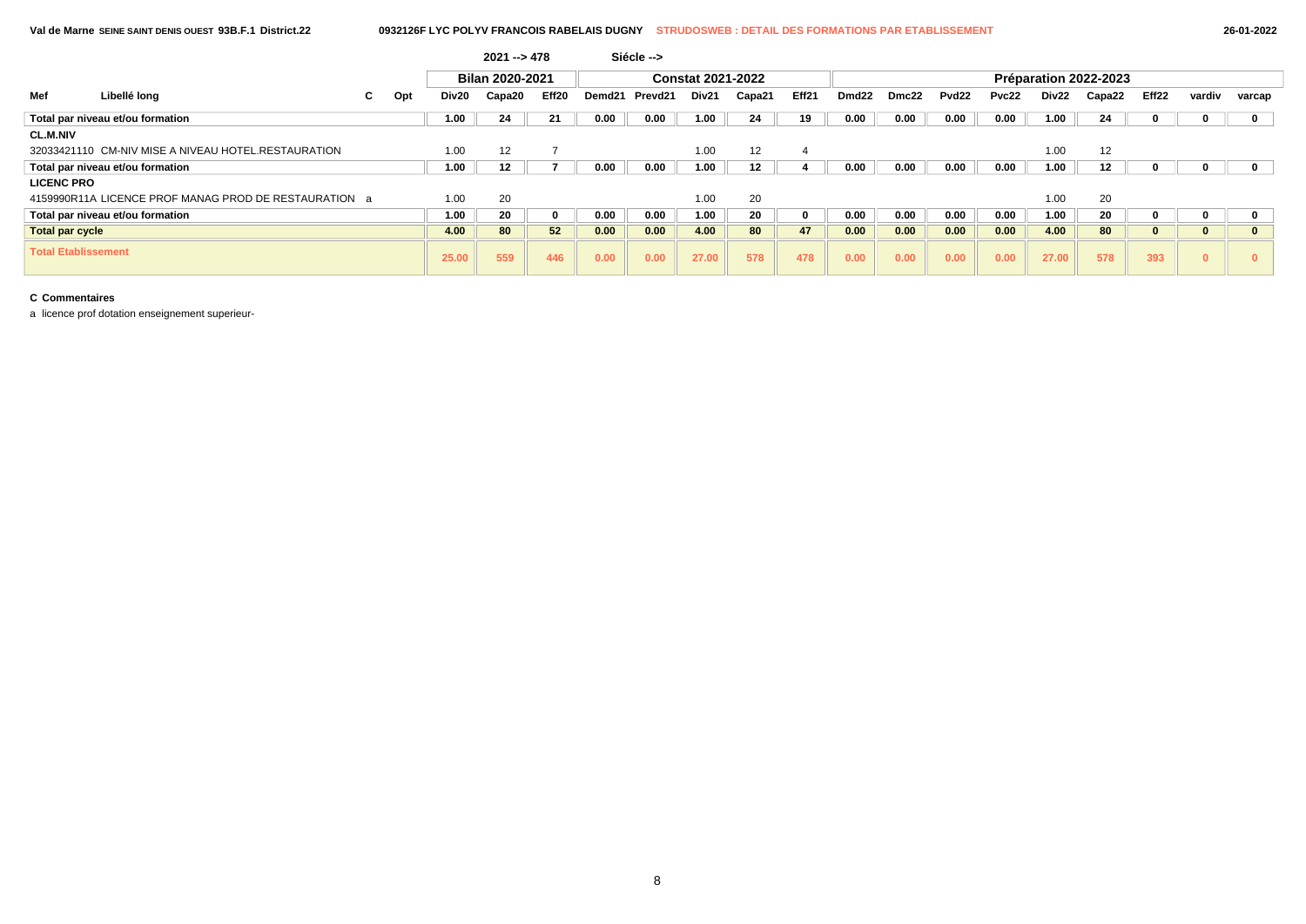|                            |                                                       |    |     |       | Bilan 2020-2021 |       |        |         | <b>Constat 2021-2022</b> |        |                |                   |       |                   |       |       | Préparation 2022-2023 |       |          |             |
|----------------------------|-------------------------------------------------------|----|-----|-------|-----------------|-------|--------|---------|--------------------------|--------|----------------|-------------------|-------|-------------------|-------|-------|-----------------------|-------|----------|-------------|
| Mef                        | Libellé lona                                          | C. | Opt | Div20 | Capa20          | Eff20 | Demd21 | Prevd21 | Div21                    | Capa21 | Eff21          | Dmd <sub>22</sub> | Dmc22 | Pvd <sub>22</sub> | Pvc22 | Div22 | Capa22                | Eff22 | vardiv   | varcap      |
|                            | Total par niveau et/ou formation                      |    |     | 1.00  | 24              | 21    | 0.00   | 0.00    | 1.00                     | 24     | 19             | 0.00              | 0.00  | 0.00              | 0.00  | 1.00  | 24                    |       |          | $\mathbf 0$ |
| <b>CL.M.NIV</b>            |                                                       |    |     |       |                 |       |        |         |                          |        |                |                   |       |                   |       |       |                       |       |          |             |
|                            | 32033421110 CM-NIV MISE A NIVEAU HOTEL.RESTAURATION   |    |     | 1.00  | 12              |       |        |         | 1.00                     | 12     | $\overline{4}$ |                   |       |                   |       | 1.00  | 12                    |       |          |             |
|                            | Total par niveau et/ou formation                      |    |     | 1.00  | 12              |       | 0.00   | 0.00    | 1.00                     | 12     |                | 0.00              | 0.00  | 0.00              | 0.00  | 1.00  | 12                    |       |          | 0           |
| <b>LICENC PRO</b>          |                                                       |    |     |       |                 |       |        |         |                          |        |                |                   |       |                   |       |       |                       |       |          |             |
|                            | 4159990R11A LICENCE PROF MANAG PROD DE RESTAURATION a |    |     | 1.00  | 20              |       |        |         | 1.00                     | 20     |                |                   |       |                   |       | 1.00  | 20                    |       |          |             |
|                            | Total par niveau et/ou formation                      |    |     | 1.00  | 20              | 0     | 0.00   | 0.00    | 1.00                     | 20     | $\mathbf{0}$   | 0.00              | 0.00  | 0.00              | 0.00  | 1.00  | 20                    |       |          | 0           |
| Total par cycle            |                                                       |    |     | 4.00  | 80              | 52    | 0.00   | 0.00    | 4.00                     | 80     | 47             | 0.00              | 0.00  | 0.00              | 0.00  | 4.00  | 80                    | n     | $\bf{0}$ | $\bf{0}$    |
| <b>Total Etablissement</b> |                                                       |    |     | 25.00 | 559             | 446   | 0.00   | 0.00    | 27.00                    | 578    | 478            | 0.00              | 0.00  | 0.00              | 0.00  | 27.00 | 578                   | 393   | $\bf{0}$ |             |

**2021 --> 478 Siécle -->**

## **C Commentaires**

a licence prof dotation enseignement superieur-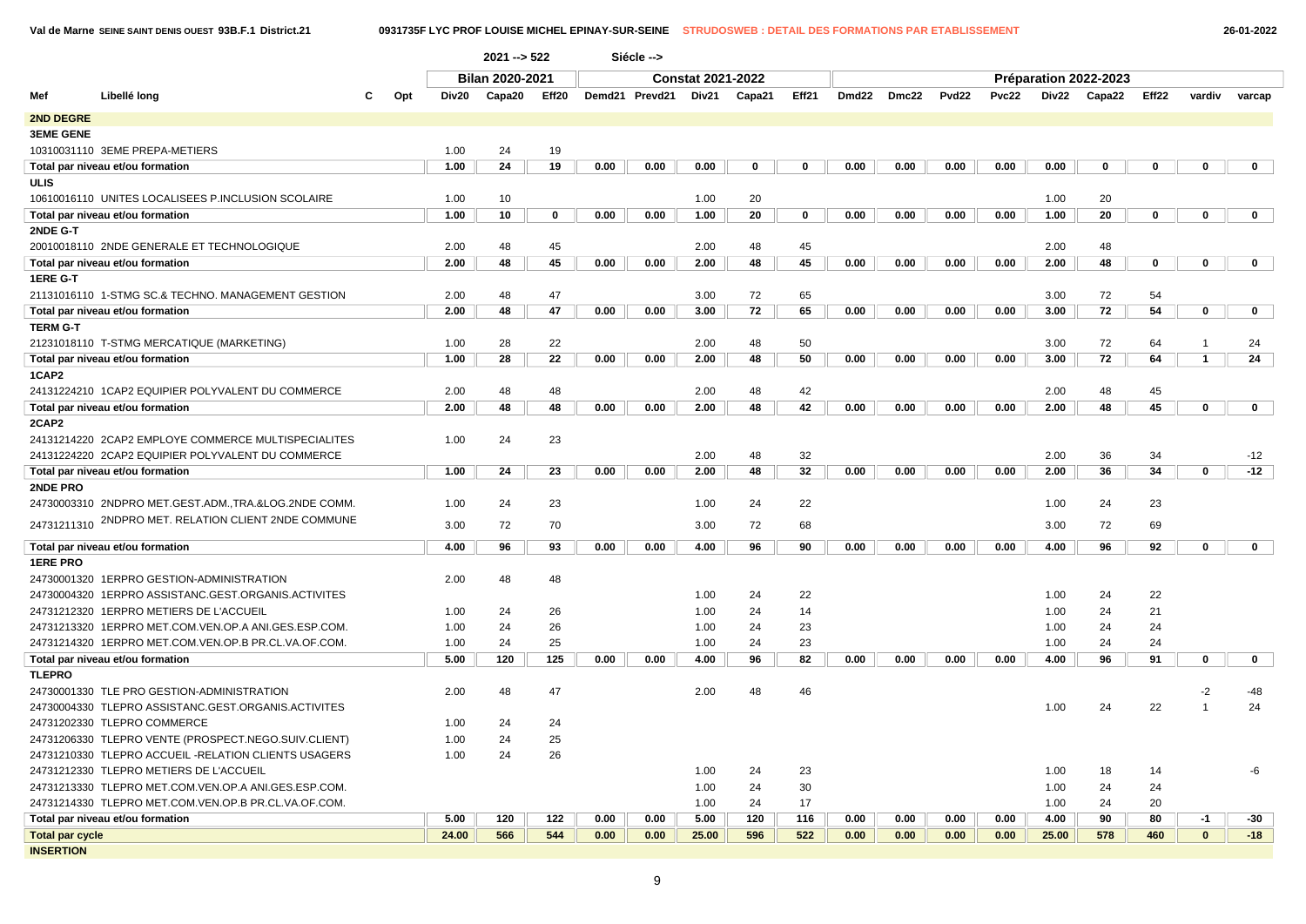**Val de Marne SEINE SAINT DENIS OUEST 93B.F.1 District.21 0931735F LYC PROF LOUISE MICHEL EPINAY-SUR-SEINE STRUDOSWEB : DETAIL DES FORMATIONS PAR ETABLISSEMENT 26-01-2022**

|                        |                                                      |   |     |       | $2021 - 522$           |       |      | Siécle -->     |                          |        |             |             |      |       |              |       |                       |                   |              |              |
|------------------------|------------------------------------------------------|---|-----|-------|------------------------|-------|------|----------------|--------------------------|--------|-------------|-------------|------|-------|--------------|-------|-----------------------|-------------------|--------------|--------------|
|                        |                                                      |   |     |       | <b>Bilan 2020-2021</b> |       |      |                | <b>Constat 2021-2022</b> |        |             |             |      |       |              |       | Préparation 2022-2023 |                   |              |              |
| Mef                    | Libellé long                                         | с | Opt | Div20 | Capa20                 | Eff20 |      | Demd21 Prevd21 | Div21                    | Capa21 | Eff21       | Dmd22 Dmc22 |      | Pvd22 | <b>Pvc22</b> | Div22 | Capa22                | Eff <sub>22</sub> | vardiv       | varcap       |
| 2ND DEGRE              |                                                      |   |     |       |                        |       |      |                |                          |        |             |             |      |       |              |       |                       |                   |              |              |
| <b>3EME GENE</b>       |                                                      |   |     |       |                        |       |      |                |                          |        |             |             |      |       |              |       |                       |                   |              |              |
|                        | 10310031110 3EME PREPA-METIERS                       |   |     | 1.00  | 24                     | 19    |      |                |                          |        |             |             |      |       |              |       |                       |                   |              |              |
|                        | Total par niveau et/ou formation                     |   |     | 1.00  | 24                     | 19    | 0.00 | 0.00           | 0.00                     | 0      | 0           | 0.00        | 0.00 | 0.00  | 0.00         | 0.00  | 0                     | 0                 | 0            | $\mathbf 0$  |
| ULIS                   |                                                      |   |     |       |                        |       |      |                |                          |        |             |             |      |       |              |       |                       |                   |              |              |
|                        | 10610016110 UNITES LOCALISEES P.INCLUSION SCOLAIRE   |   |     | 1.00  | 10                     |       |      |                | 1.00                     | 20     |             |             |      |       |              | 1.00  | 20                    |                   |              |              |
|                        | Total par niveau et/ou formation                     |   |     | 1.00  | 10                     | 0     | 0.00 | 0.00           | 1.00                     | 20     | $\mathbf 0$ | 0.00        | 0.00 | 0.00  | 0.00         | 1.00  | 20                    | $\mathbf 0$       | $\mathbf 0$  | $\mathbf 0$  |
| 2NDE G-T               |                                                      |   |     |       |                        |       |      |                |                          |        |             |             |      |       |              |       |                       |                   |              |              |
|                        | 20010018110 2NDE GENERALE ET TECHNOLOGIQUE           |   |     | 2.00  | 48                     | 45    |      |                | 2.00                     | 48     | 45          |             |      |       |              | 2.00  | 48                    |                   |              |              |
|                        | Total par niveau et/ou formation                     |   |     | 2.00  | 48                     | 45    | 0.00 | 0.00           | 2.00                     | 48     | 45          | 0.00        | 0.00 | 0.00  | 0.00         | 2.00  | 48                    | 0                 | $\mathbf 0$  | $\mathbf 0$  |
| 1ERE G-T               |                                                      |   |     |       |                        |       |      |                |                          |        |             |             |      |       |              |       |                       |                   |              |              |
|                        | 21131016110 1-STMG SC.& TECHNO. MANAGEMENT GESTION   |   |     | 2.00  | 48                     | 47    |      |                | 3.00                     | 72     | 65          |             |      |       |              | 3.00  | 72                    | 54                |              |              |
|                        | Total par niveau et/ou formation                     |   |     | 2.00  | 48                     | 47    | 0.00 | 0.00           | 3.00                     | 72     | 65          | 0.00        | 0.00 | 0.00  | 0.00         | 3.00  | 72                    | 54                | $\mathbf 0$  | $\mathbf 0$  |
| <b>TERM G-T</b>        |                                                      |   |     |       |                        |       |      |                |                          |        |             |             |      |       |              |       |                       |                   |              |              |
|                        | 21231018110 T-STMG MERCATIQUE (MARKETING)            |   |     | 1.00  | 28                     | 22    |      |                | 2.00                     | 48     | 50          |             |      |       |              | 3.00  | 72                    | 64                | $\mathbf{1}$ | 24           |
|                        | Total par niveau et/ou formation                     |   |     | 1.00  | 28                     | 22    | 0.00 | 0.00           | 2.00                     | 48     | 50          | 0.00        | 0.00 | 0.00  | 0.00         | 3.00  | 72                    | 64                | $\mathbf{1}$ | 24           |
| 1CAP2                  |                                                      |   |     |       |                        |       |      |                |                          |        |             |             |      |       |              |       |                       |                   |              |              |
|                        | 24131224210 1CAP2 EQUIPIER POLYVALENT DU COMMERCE    |   |     | 2.00  | 48                     | 48    |      |                | 2.00                     | 48     | 42          |             |      |       |              | 2.00  | 48                    | 45                |              |              |
|                        | Total par niveau et/ou formation                     |   |     | 2.00  | 48                     | 48    | 0.00 | 0.00           | 2.00                     | 48     | 42          | 0.00        | 0.00 | 0.00  | 0.00         | 2.00  | 48                    | 45                | $\mathbf 0$  | $\mathbf 0$  |
| 2CAP2                  |                                                      |   |     |       |                        |       |      |                |                          |        |             |             |      |       |              |       |                       |                   |              |              |
|                        | 24131214220 2CAP2 EMPLOYE COMMERCE MULTISPECIALITES  |   |     | 1.00  | 24                     | 23    |      |                |                          |        |             |             |      |       |              |       |                       |                   |              |              |
|                        | 24131224220 2CAP2 EQUIPIER POLYVALENT DU COMMERCE    |   |     |       |                        |       |      |                | 2.00                     | 48     | 32          |             |      |       |              | 2.00  | 36                    | 34                |              | $-12$        |
|                        | Total par niveau et/ou formation                     |   |     | 1.00  | 24                     | 23    | 0.00 | 0.00           | 2.00                     | 48     | 32          | 0.00        | 0.00 | 0.00  | 0.00         | 2.00  | 36                    | 34                | 0            | $-12$        |
| 2NDE PRO               | 24730003310 2NDPRO MET.GEST.ADM.,TRA.&LOG.2NDE COMM. |   |     | 1.00  | 24                     | 23    |      |                | 1.00                     | 24     | 22          |             |      |       |              | 1.00  | 24                    | 23                |              |              |
|                        | 2NDPRO MET. RELATION CLIENT 2NDE COMMUNE             |   |     |       |                        |       |      |                |                          |        |             |             |      |       |              |       |                       |                   |              |              |
| 24731211310            |                                                      |   |     | 3.00  | 72                     | 70    |      |                | 3.00                     | 72     | 68          |             |      |       |              | 3.00  | 72                    | 69                |              |              |
|                        | Total par niveau et/ou formation                     |   |     | 4.00  | 96                     | 93    | 0.00 | 0.00           | 4.00                     | 96     | 90          | 0.00        | 0.00 | 0.00  | 0.00         | 4.00  | 96                    | 92                | $\mathbf 0$  | $\mathbf 0$  |
| <b>1ERE PRO</b>        |                                                      |   |     |       |                        |       |      |                |                          |        |             |             |      |       |              |       |                       |                   |              |              |
|                        | 24730001320 1ERPRO GESTION-ADMINISTRATION            |   |     | 2.00  | 48                     | 48    |      |                |                          |        |             |             |      |       |              |       |                       |                   |              |              |
|                        | 24730004320 1ERPRO ASSISTANC.GEST.ORGANIS.ACTIVITES  |   |     |       |                        |       |      |                | 1.00                     | 24     | 22          |             |      |       |              | 1.00  | 24                    | 22                |              |              |
|                        | 24731212320 1ERPRO METIERS DE L'ACCUEIL              |   |     | 1.00  | 24                     | 26    |      |                | 1.00                     | 24     | 14          |             |      |       |              | 1.00  | 24                    | 21                |              |              |
|                        | 24731213320 1ERPRO MET.COM.VEN.OP.A ANI.GES.ESP.COM. |   |     | 1.00  | 24                     | 26    |      |                | 1.00                     | 24     | 23          |             |      |       |              | 1.00  | 24                    | 24                |              |              |
|                        | 24731214320 1ERPRO MET.COM.VEN.OP.B PR.CL.VA.OF.COM. |   |     | 1.00  | 24                     | 25    |      |                | 1.00                     | 24     | 23          |             |      |       |              | 1.00  | 24                    | 24                |              |              |
|                        | Total par niveau et/ou formation                     |   |     | 5.00  | 120                    | 125   | 0.00 | 0.00           | 4.00                     | 96     | 82          | 0.00        | 0.00 | 0.00  | 0.00         | 4.00  | 96                    | 91                | 0            | $\mathbf{0}$ |
| <b>TLEPRO</b>          |                                                      |   |     |       |                        |       |      |                |                          |        |             |             |      |       |              |       |                       |                   |              |              |
|                        | 24730001330 TLE PRO GESTION-ADMINISTRATION           |   |     | 2.00  | 48                     | 47    |      |                | 2.00                     | 48     | 46          |             |      |       |              |       |                       |                   | $-2$         | $-48$        |
|                        | 24730004330 TLEPRO ASSISTANC.GEST.ORGANIS.ACTIVITES  |   |     |       |                        |       |      |                |                          |        |             |             |      |       |              | 1.00  | 24                    | 22                |              | 24           |
|                        | 24731202330 TLEPRO COMMERCE                          |   |     | 1.00  | 24                     | 24    |      |                |                          |        |             |             |      |       |              |       |                       |                   |              |              |
|                        | 24731206330 TLEPRO VENTE (PROSPECT.NEGO.SUIV.CLIENT) |   |     | 1.00  | 24                     | 25    |      |                |                          |        |             |             |      |       |              |       |                       |                   |              |              |
|                        | 24731210330 TLEPRO ACCUEIL -RELATION CLIENTS USAGERS |   |     | 1.00  | 24                     | 26    |      |                |                          |        |             |             |      |       |              |       |                       |                   |              |              |
|                        | 24731212330 TLEPRO METIERS DE L'ACCUEIL              |   |     |       |                        |       |      |                | 1.00                     | 24     | 23          |             |      |       |              | 1.00  | 18                    | 14                |              | -6           |
|                        | 24731213330 TLEPRO MET.COM.VEN.OP.A ANI.GES.ESP.COM. |   |     |       |                        |       |      |                | 1.00                     | 24     | 30          |             |      |       |              | 1.00  | 24                    | 24                |              |              |
|                        | 24731214330 TLEPRO MET.COM.VEN.OP.B PR.CL.VA.OF.COM. |   |     |       |                        |       |      |                | 1.00                     | 24     | 17          |             |      |       |              | 1.00  | 24                    | 20                |              |              |
|                        | Total par niveau et/ou formation                     |   |     | 5.00  | 120                    | 122   | 0.00 | 0.00           | 5.00                     | 120    | 116         | 0.00        | 0.00 | 0.00  | 0.00         | 4.00  | 90                    | 80                | -1           | -30          |
| <b>Total par cycle</b> |                                                      |   |     | 24.00 | 566                    | 544   | 0.00 | 0.00           | 25.00                    | 596    | 522         | 0.00        | 0.00 | 0.00  | 0.00         | 25.00 | 578                   | 460               | $\mathbf{0}$ | $-18$        |
| <b>INSERTION</b>       |                                                      |   |     |       |                        |       |      |                |                          |        |             |             |      |       |              |       |                       |                   |              |              |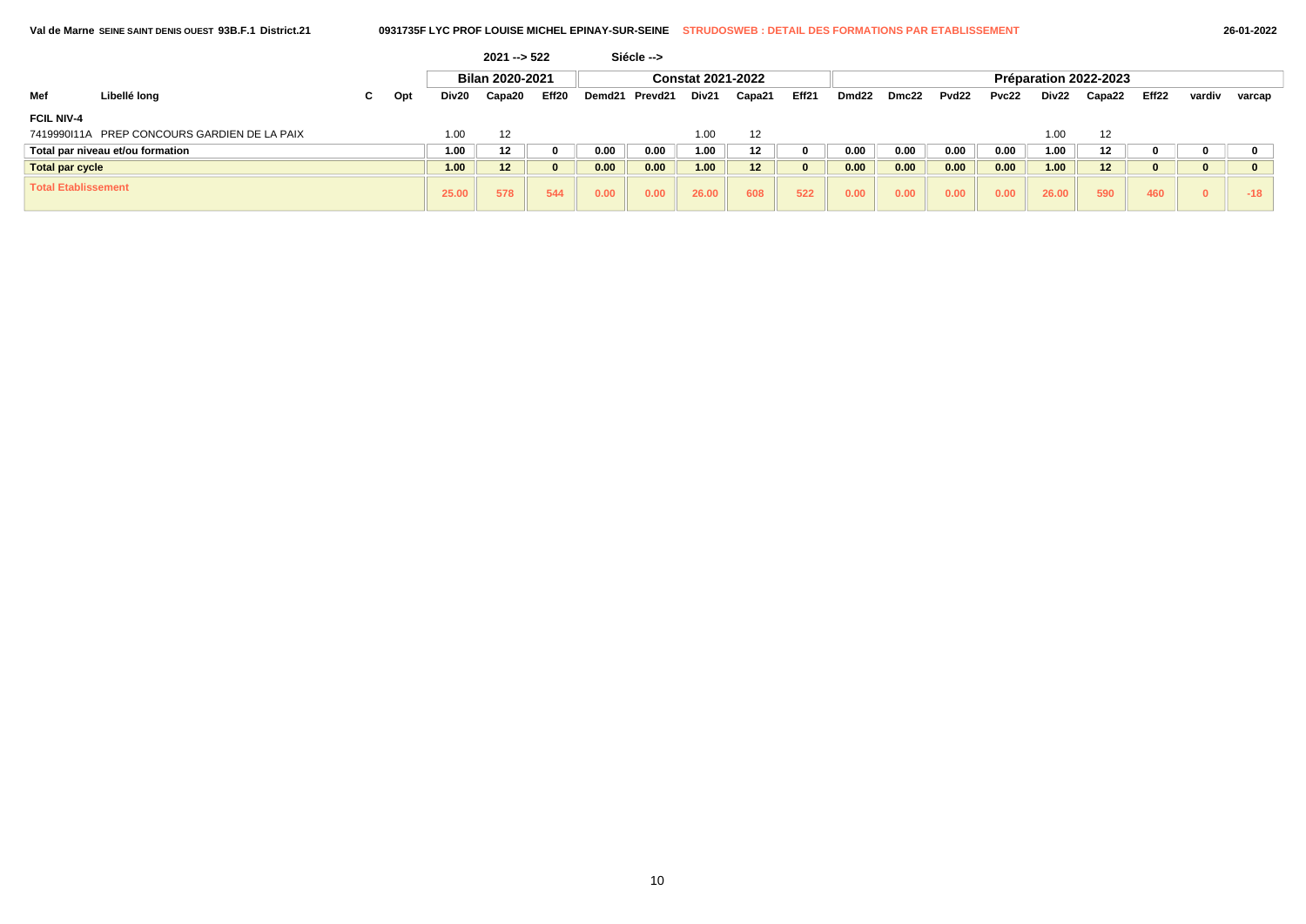|                            |                                              |    |     |       | $2021 - 522$    |       |        | Siécle --> |                          |         |          |                   |       |       |       |       |                       |       |          |        |
|----------------------------|----------------------------------------------|----|-----|-------|-----------------|-------|--------|------------|--------------------------|---------|----------|-------------------|-------|-------|-------|-------|-----------------------|-------|----------|--------|
|                            |                                              |    |     |       | Bilan 2020-2021 |       |        |            | <b>Constat 2021-2022</b> |         |          |                   |       |       |       |       | Préparation 2022-2023 |       |          |        |
| Mef                        | Libellé long                                 | C. | Opt | Div20 | Capa20          | Eff20 | Demd21 | Prevd21    | Div21                    | Capa21  | Eff21    | Dmd <sub>22</sub> | Dmc22 | Pvd22 | Pvc22 | Div22 | Capa22                | Eff22 | vardiv   | varcap |
| <b>FCIL NIV-4</b>          |                                              |    |     |       |                 |       |        |            |                          |         |          |                   |       |       |       |       |                       |       |          |        |
|                            | 7419990111A PREP CONCOURS GARDIEN DE LA PAIX |    |     | 1.00  | 12              |       |        |            | 1.00                     | 12      |          |                   |       |       |       | 1.00  | 12                    |       |          |        |
|                            | Total par niveau et/ou formation             |    |     | 1.00  | 12              |       | 0.00   | 0.00       | 1.00                     | $12 \,$ |          | 0.00              | 0.00  | 0.00  | 0.00  | 1.00  | 12 <sup>12</sup>      |       |          |        |
| Total par cycle            |                                              |    |     | 1.00  | 12              |       | 0.00   | 0.00       | 1.00                     | 12      | $\bf{0}$ | 0.00              | 0.00  | 0.00  | 0.00  | 1.00  | 12                    |       | 0        |        |
| <b>Total Etablissement</b> |                                              |    |     | 25.00 | 578             | 544   | 0.00   | 0.00       | 26.00                    | 608     | 522      | 0.00              | 0.00  | 0.00  | 0.00  | 26.00 | 590                   | 460   | $\Omega$ | $-18$  |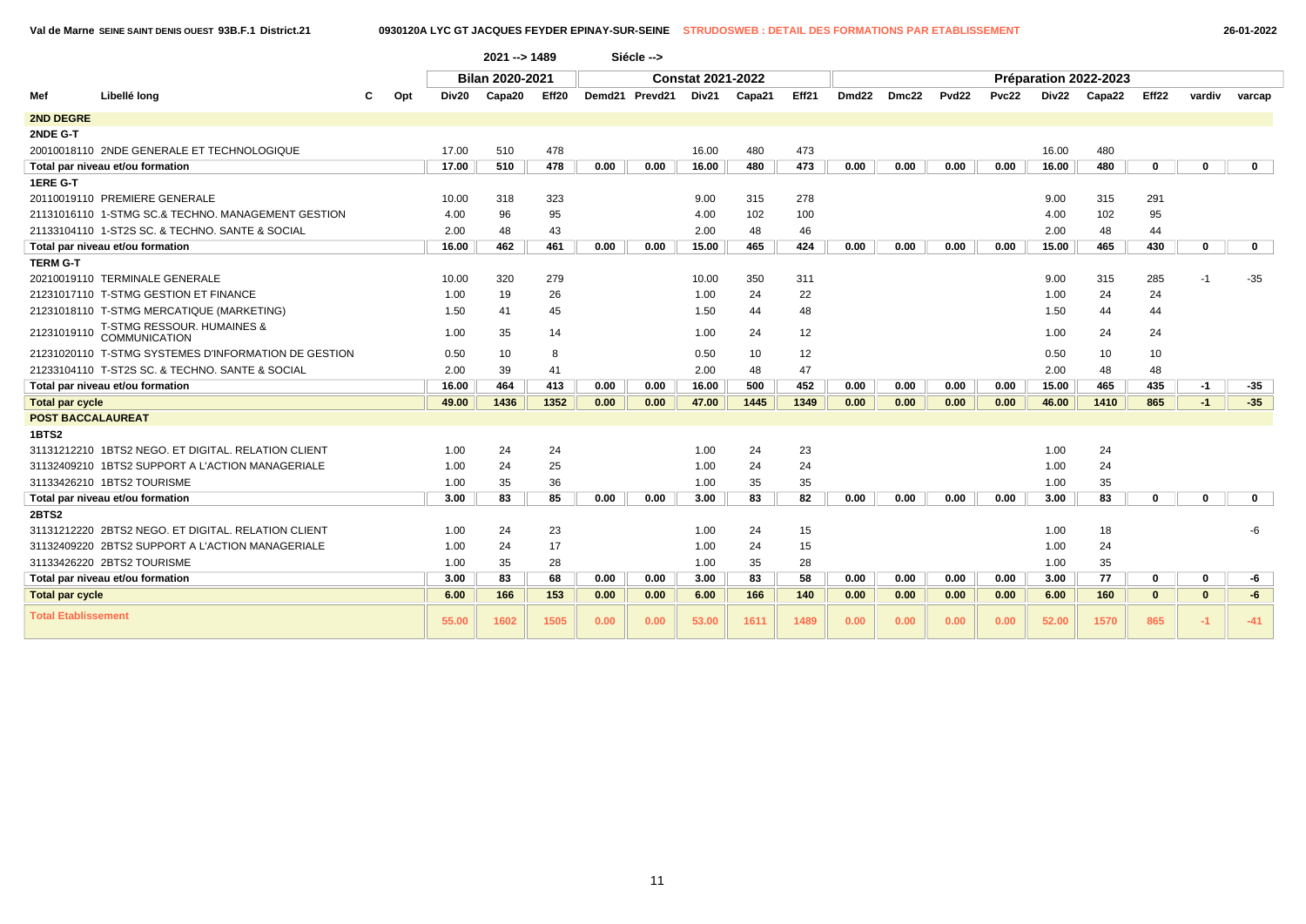|                            |                                                      |     |       | 2021 -- > 1489         |       |      | Siécle -->     |                          |        |       |                   |       |                   |       |       |                       |             |          |              |
|----------------------------|------------------------------------------------------|-----|-------|------------------------|-------|------|----------------|--------------------------|--------|-------|-------------------|-------|-------------------|-------|-------|-----------------------|-------------|----------|--------------|
|                            |                                                      |     |       | <b>Bilan 2020-2021</b> |       |      |                | <b>Constat 2021-2022</b> |        |       |                   |       |                   |       |       | Préparation 2022-2023 |             |          |              |
| Mef                        | Libellé long                                         | Opt | Div20 | Capa20                 | Eff20 |      | Demd21 Prevd21 | Div21                    | Capa21 | Eff21 | Dmd <sub>22</sub> | Dmc22 | Pvd <sub>22</sub> | Pvc22 | Div22 | Capa22                | Eff22       | vardiv   | varcap       |
| <b>2ND DEGRE</b>           |                                                      |     |       |                        |       |      |                |                          |        |       |                   |       |                   |       |       |                       |             |          |              |
| 2NDE G-T                   |                                                      |     |       |                        |       |      |                |                          |        |       |                   |       |                   |       |       |                       |             |          |              |
|                            | 20010018110 2NDE GENERALE ET TECHNOLOGIQUE           |     | 17.00 | 510                    | 478   |      |                | 16.00                    | 480    | 473   |                   |       |                   |       | 16.00 | 480                   |             |          |              |
|                            | Total par niveau et/ou formation                     |     | 17.00 | 510                    | 478   | 0.00 | 0.00           | 16.00                    | 480    | 473   | 0.00              | 0.00  | 0.00              | 0.00  | 16.00 | 480                   | $\mathbf 0$ | 0        | $\mathbf{0}$ |
| 1ERE G-T                   |                                                      |     |       |                        |       |      |                |                          |        |       |                   |       |                   |       |       |                       |             |          |              |
|                            | 20110019110 PREMIERE GENERALE                        |     | 10.00 | 318                    | 323   |      |                | 9.00                     | 315    | 278   |                   |       |                   |       | 9.00  | 315                   | 291         |          |              |
|                            | 21131016110 1-STMG SC.& TECHNO, MANAGEMENT GESTION   |     | 4.00  | 96                     | 95    |      |                | 4.00                     | 102    | 100   |                   |       |                   |       | 4.00  | 102                   | 95          |          |              |
|                            | 21133104110 1-ST2S SC, & TECHNO, SANTE & SOCIAL      |     | 2.00  | 48                     | 43    |      |                | 2.00                     | 48     | 46    |                   |       |                   |       | 2.00  | 48                    | 44          |          |              |
|                            | Total par niveau et/ou formation                     |     | 16.00 | 462                    | 461   | 0.00 | 0.00           | 15.00                    | 465    | 424   | 0.00              | 0.00  | 0.00              | 0.00  | 15.00 | 465                   | 430         | 0        | $\mathbf 0$  |
| <b>TERM G-T</b>            |                                                      |     |       |                        |       |      |                |                          |        |       |                   |       |                   |       |       |                       |             |          |              |
|                            | 20210019110 TERMINALE GENERALE                       |     | 10.00 | 320                    | 279   |      |                | 10.00                    | 350    | 311   |                   |       |                   |       | 9.00  | 315                   | 285         | -1       | $-35$        |
|                            | 21231017110 T-STMG GESTION ET FINANCE                |     | 1.00  | 19                     | 26    |      |                | 1.00                     | 24     | 22    |                   |       |                   |       | 1.00  | 24                    | 24          |          |              |
|                            | 21231018110 T-STMG MERCATIQUE (MARKETING)            |     | 1.50  | 41                     | 45    |      |                | 1.50                     | 44     | 48    |                   |       |                   |       | 1.50  | 44                    | 44          |          |              |
| 21231019110                | T-STMG RESSOUR. HUMAINES &<br><b>COMMUNICATION</b>   |     | 1.00  | 35                     | 14    |      |                | 1.00                     | 24     | 12    |                   |       |                   |       | 1.00  | 24                    | 24          |          |              |
|                            | 21231020110 T-STMG SYSTEMES D'INFORMATION DE GESTION |     | 0.50  | 10                     | 8     |      |                | 0.50                     | 10     | 12    |                   |       |                   |       | 0.50  | 10                    | 10          |          |              |
|                            | 21233104110 T-ST2S SC, & TECHNO, SANTE & SOCIAL      |     | 2.00  | 39                     | 41    |      |                | 2.00                     | 48     | 47    |                   |       |                   |       | 2.00  | 48                    | 48          |          |              |
|                            | Total par niveau et/ou formation                     |     | 16.00 | 464                    | 413   | 0.00 | 0.00           | 16.00                    | 500    | 452   | 0.00              | 0.00  | 0.00              | 0.00  | 15.00 | 465                   | 435         | -1       | $-35$        |
| <b>Total par cycle</b>     |                                                      |     | 49.00 | 1436                   | 1352  | 0.00 | 0.00           | 47.00                    | 1445   | 1349  | 0.00              | 0.00  | 0.00              | 0.00  | 46.00 | 1410                  | 865         | $-1$     | $-35$        |
| <b>POST BACCALAUREAT</b>   |                                                      |     |       |                        |       |      |                |                          |        |       |                   |       |                   |       |       |                       |             |          |              |
| 1BTS2                      |                                                      |     |       |                        |       |      |                |                          |        |       |                   |       |                   |       |       |                       |             |          |              |
|                            | 31131212210 1BTS2 NEGO, ET DIGITAL, RELATION CLIENT  |     | 1.00  | 24                     | 24    |      |                | 1.00                     | 24     | 23    |                   |       |                   |       | 1.00  | 24                    |             |          |              |
|                            | 31132409210 1BTS2 SUPPORT A L'ACTION MANAGERIALE     |     | 1.00  | 24                     | 25    |      |                | 1.00                     | 24     | 24    |                   |       |                   |       | 1.00  | 24                    |             |          |              |
|                            | 31133426210 1BTS2 TOURISME                           |     | 1.00  | 35                     | 36    |      |                | 1.00                     | 35     | 35    |                   |       |                   |       | 1.00  | 35                    |             |          |              |
|                            | Total par niveau et/ou formation                     |     | 3.00  | 83                     | 85    | 0.00 | 0.00           | 3.00                     | 83     | 82    | 0.00              | 0.00  | 0.00              | 0.00  | 3.00  | 83                    | 0           | 0        | $\mathbf{0}$ |
| 2BTS2                      |                                                      |     |       |                        |       |      |                |                          |        |       |                   |       |                   |       |       |                       |             |          |              |
|                            | 31131212220 2BTS2 NEGO, ET DIGITAL, RELATION CLIENT  |     | 1.00  | 24                     | 23    |      |                | 1.00                     | 24     | 15    |                   |       |                   |       | 1.00  | 18                    |             |          | -6           |
|                            | 31132409220 2BTS2 SUPPORT A L'ACTION MANAGERIALE     |     | 1.00  | 24                     | 17    |      |                | 1.00                     | 24     | 15    |                   |       |                   |       | 1.00  | 24                    |             |          |              |
|                            | 31133426220 2BTS2 TOURISME                           |     | 1.00  | 35                     | 28    |      |                | 1.00                     | 35     | 28    |                   |       |                   |       | 1.00  | 35                    |             |          |              |
|                            | Total par niveau et/ou formation                     |     | 3.00  | 83                     | 68    | 0.00 | 0.00           | 3.00                     | 83     | 58    | 0.00              | 0.00  | 0.00              | 0.00  | 3.00  | 77                    | 0           | 0        | -6           |
| <b>Total par cycle</b>     |                                                      |     | 6.00  | 166                    | 153   | 0.00 | 0.00           | 6.00                     | 166    | 140   | 0.00              | 0.00  | 0.00              | 0.00  | 6.00  | 160                   | $\bf{0}$    | $\bf{0}$ | $-6$         |
| <b>Total Etablissement</b> |                                                      |     | 55.00 | 1602                   | 1505  | 0.00 | 0.00           | 53.00                    | 1611   | 1489  | 0.00              | 0.00  | 0.00              | 0.00  | 52.00 | 1570                  | 865         | $-1$     | $-41$        |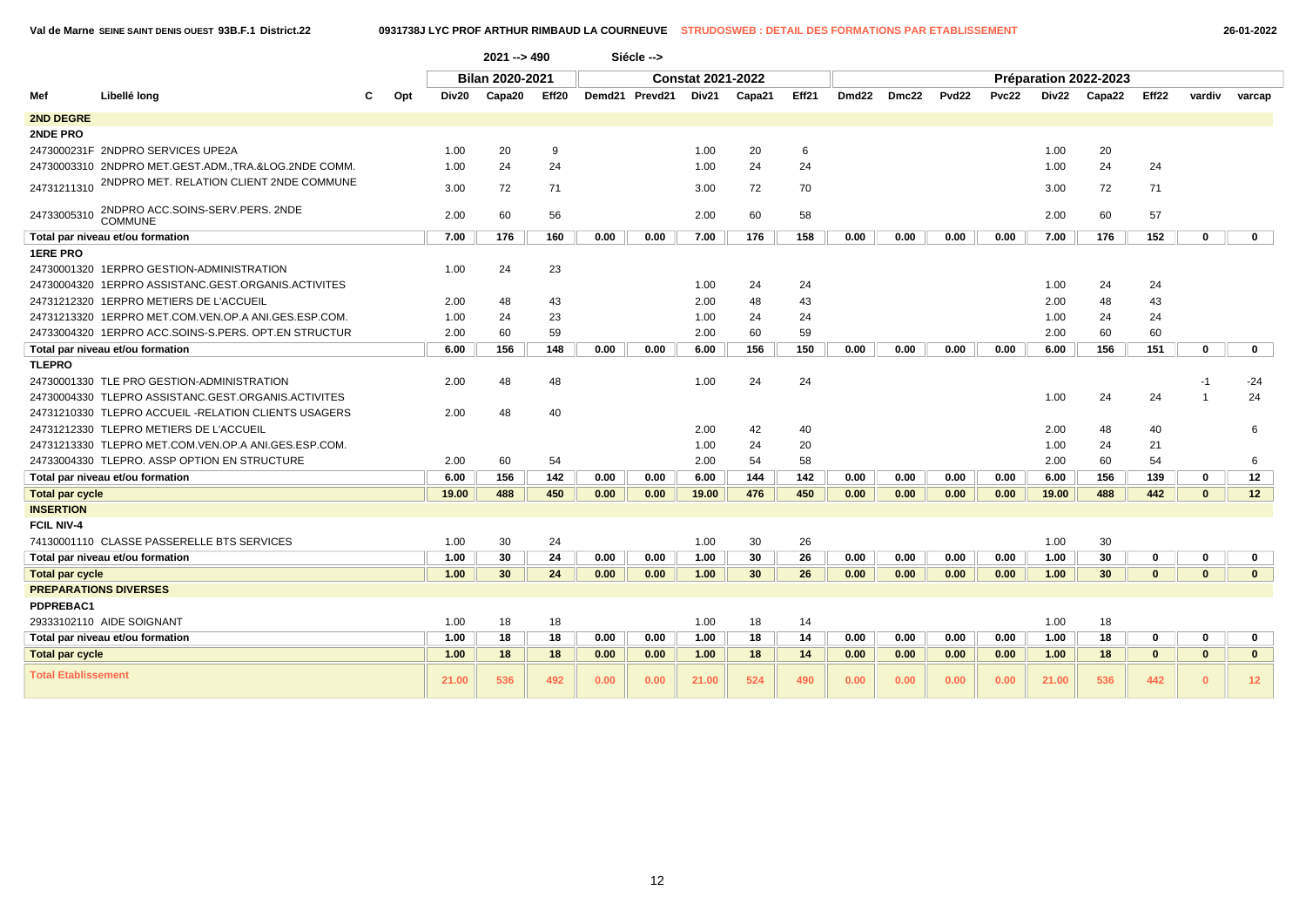|                            |                                                      |     |       |                                                            |     |      | Siécle -->     |                          |        |       |       |       |                   |       |       |                       |              |              |                 |
|----------------------------|------------------------------------------------------|-----|-------|------------------------------------------------------------|-----|------|----------------|--------------------------|--------|-------|-------|-------|-------------------|-------|-------|-----------------------|--------------|--------------|-----------------|
|                            |                                                      |     |       | $2021 - 5490$<br><b>Bilan 2020-2021</b><br>Capa20<br>Eff20 |     |      |                | <b>Constat 2021-2022</b> |        |       |       |       |                   |       |       | Préparation 2022-2023 |              |              |                 |
| Mef                        | Libellé long                                         | Opt | Div20 |                                                            |     |      | Demd21 Prevd21 | Div21                    | Capa21 | Eff21 | Dmd22 | Dmc22 | Pvd <sub>22</sub> | Pvc22 | Div22 | Capa22                | Eff22        | vardiv       | varcap          |
| <b>2ND DEGRE</b>           |                                                      |     |       |                                                            |     |      |                |                          |        |       |       |       |                   |       |       |                       |              |              |                 |
| <b>2NDE PRO</b>            |                                                      |     |       |                                                            |     |      |                |                          |        |       |       |       |                   |       |       |                       |              |              |                 |
|                            | 2473000231F 2NDPRO SERVICES UPE2A                    |     | 1.00  | 20                                                         | 9   |      |                | 1.00                     | 20     | 6     |       |       |                   |       | 1.00  | 20                    |              |              |                 |
|                            | 24730003310 2NDPRO MET.GEST.ADM.,TRA.&LOG.2NDE COMM. |     | 1.00  | 24                                                         | 24  |      |                | 1.00                     | 24     | 24    |       |       |                   |       | 1.00  | 24                    | 24           |              |                 |
| 24731211310                | 2NDPRO MET. RELATION CLIENT 2NDE COMMUNE             |     | 3.00  | 72                                                         | 71  |      |                | 3.00                     | 72     | 70    |       |       |                   |       | 3.00  | 72                    | 71           |              |                 |
| 24733005310                | 2NDPRO ACC.SOINS-SERV.PERS. 2NDE<br>COMMUNE          |     | 2.00  | 60                                                         | 56  |      |                | 2.00                     | 60     | 58    |       |       |                   |       | 2.00  | 60                    | 57           |              |                 |
|                            | Total par niveau et/ou formation                     |     | 7.00  | 176                                                        | 160 | 0.00 | 0.00           | 7.00                     | 176    | 158   | 0.00  | 0.00  | 0.00              | 0.00  | 7.00  | 176                   | 152          | $\mathbf 0$  | $\mathbf 0$     |
| <b>1ERE PRO</b>            |                                                      |     |       |                                                            |     |      |                |                          |        |       |       |       |                   |       |       |                       |              |              |                 |
|                            | 24730001320 1ERPRO GESTION-ADMINISTRATION            |     | 1.00  | 24                                                         | 23  |      |                |                          |        |       |       |       |                   |       |       |                       |              |              |                 |
|                            | 24730004320 1ERPRO ASSISTANC.GEST.ORGANIS.ACTIVITES  |     |       |                                                            |     |      |                | 1.00                     | 24     | 24    |       |       |                   |       | 1.00  | 24                    | 24           |              |                 |
|                            | 24731212320 1ERPRO METIERS DE L'ACCUEIL              |     | 2.00  | 48                                                         | 43  |      |                | 2.00                     | 48     | 43    |       |       |                   |       | 2.00  | 48                    | 43           |              |                 |
|                            | 24731213320 1ERPRO MET.COM.VEN.OP.A ANI.GES.ESP.COM. |     | 1.00  | 24                                                         | 23  |      |                | 1.00                     | 24     | 24    |       |       |                   |       | 1.00  | 24                    | 24           |              |                 |
|                            | 24733004320 1ERPRO ACC.SOINS-S.PERS. OPT.EN STRUCTUR |     | 2.00  | 60                                                         | 59  |      |                | 2.00                     | 60     | 59    |       |       |                   |       | 2.00  | 60                    | 60           |              |                 |
|                            | Total par niveau et/ou formation                     |     | 6.00  | 156                                                        | 148 | 0.00 | 0.00           | 6.00                     | 156    | 150   | 0.00  | 0.00  | 0.00              | 0.00  | 6.00  | 156                   | 151          | $\mathbf 0$  | $\mathbf 0$     |
| TLEPRO                     |                                                      |     |       |                                                            |     |      |                |                          |        |       |       |       |                   |       |       |                       |              |              |                 |
|                            | 24730001330 TLE PRO GESTION-ADMINISTRATION           |     | 2.00  | 48                                                         | 48  |      |                | 1.00                     | 24     | 24    |       |       |                   |       |       |                       |              | $-1$         | $-24$           |
|                            | 24730004330 TLEPRO ASSISTANC.GEST.ORGANIS.ACTIVITES  |     |       |                                                            |     |      |                |                          |        |       |       |       |                   |       | 1.00  | 24                    | 24           |              | 24              |
|                            | 24731210330 TLEPRO ACCUEIL -RELATION CLIENTS USAGERS |     | 2.00  | 48                                                         | 40  |      |                |                          |        |       |       |       |                   |       |       |                       |              |              |                 |
|                            | 24731212330 TLEPRO METIERS DE L'ACCUEIL              |     |       |                                                            |     |      |                | 2.00                     | 42     | 40    |       |       |                   |       | 2.00  | 48                    | 40           |              | 6               |
|                            | 24731213330 TLEPRO MET.COM.VEN.OP.A ANI.GES.ESP.COM. |     |       |                                                            |     |      |                | 1.00                     | 24     | 20    |       |       |                   |       | 1.00  | 24                    | 21           |              |                 |
|                            | 24733004330 TLEPRO. ASSP OPTION EN STRUCTURE         |     | 2.00  | 60                                                         | 54  |      |                | 2.00                     | 54     | 58    |       |       |                   |       | 2.00  | 60                    | 54           |              | 6               |
|                            | Total par niveau et/ou formation                     |     | 6.00  | 156                                                        | 142 | 0.00 | 0.00           | 6.00                     | 144    | 142   | 0.00  | 0.00  | 0.00              | 0.00  | 6.00  | 156                   | 139          | $\mathbf 0$  | 12              |
| <b>Total par cycle</b>     |                                                      |     | 19.00 | 488                                                        | 450 | 0.00 | 0.00           | 19.00                    | 476    | 450   | 0.00  | 0.00  | 0.00              | 0.00  | 19.00 | 488                   | 442          | $\mathbf{0}$ | 12              |
| <b>INSERTION</b>           |                                                      |     |       |                                                            |     |      |                |                          |        |       |       |       |                   |       |       |                       |              |              |                 |
| <b>FCIL NIV-4</b>          |                                                      |     |       |                                                            |     |      |                |                          |        |       |       |       |                   |       |       |                       |              |              |                 |
|                            | 74130001110 CLASSE PASSERELLE BTS SERVICES           |     | 1.00  | 30                                                         | 24  |      |                | 1.00                     | 30     | 26    |       |       |                   |       | 1.00  | 30                    |              |              |                 |
|                            | Total par niveau et/ou formation                     |     | 1.00  | 30                                                         | 24  | 0.00 | 0.00           | 1.00                     | 30     | 26    | 0.00  | 0.00  | 0.00              | 0.00  | 1.00  | 30                    | 0            | 0            | $\mathbf 0$     |
| <b>Total par cycle</b>     |                                                      |     | 1.00  | 30                                                         | 24  | 0.00 | 0.00           | 1.00                     | 30     | 26    | 0.00  | 0.00  | 0.00              | 0.00  | 1.00  | 30                    | $\mathbf{0}$ | $\mathbf{0}$ | $\mathbf{0}$    |
|                            | <b>PREPARATIONS DIVERSES</b>                         |     |       |                                                            |     |      |                |                          |        |       |       |       |                   |       |       |                       |              |              |                 |
| PDPREBAC1                  |                                                      |     |       |                                                            |     |      |                |                          |        |       |       |       |                   |       |       |                       |              |              |                 |
|                            | 29333102110 AIDE SOIGNANT                            |     | 1.00  | 18                                                         | 18  |      |                | 1.00                     | 18     | 14    |       |       |                   |       | 1.00  | 18                    |              |              |                 |
|                            | Total par niveau et/ou formation                     |     | 1.00  | 18                                                         | 18  | 0.00 | 0.00           | 1.00                     | 18     | 14    | 0.00  | 0.00  | 0.00              | 0.00  | 1.00  | 18                    | 0            | $\mathbf 0$  | $\mathbf{0}$    |
| <b>Total par cycle</b>     |                                                      |     | 1.00  | 18                                                         | 18  | 0.00 | 0.00           | 1.00                     | 18     | 14    | 0.00  | 0.00  | 0.00              | 0.00  | 1.00  | 18                    | $\mathbf{0}$ | $\mathbf{0}$ | $\mathbf{0}$    |
| <b>Total Etablissement</b> |                                                      |     | 21.00 | 536                                                        | 492 | 0.00 | 0.00           | 21.00                    | 524    | 490   | 0.00  | 0.00  | 0.00              | 0.00  | 21.00 | 536                   | 442          | $\Omega$     | 12 <sub>2</sub> |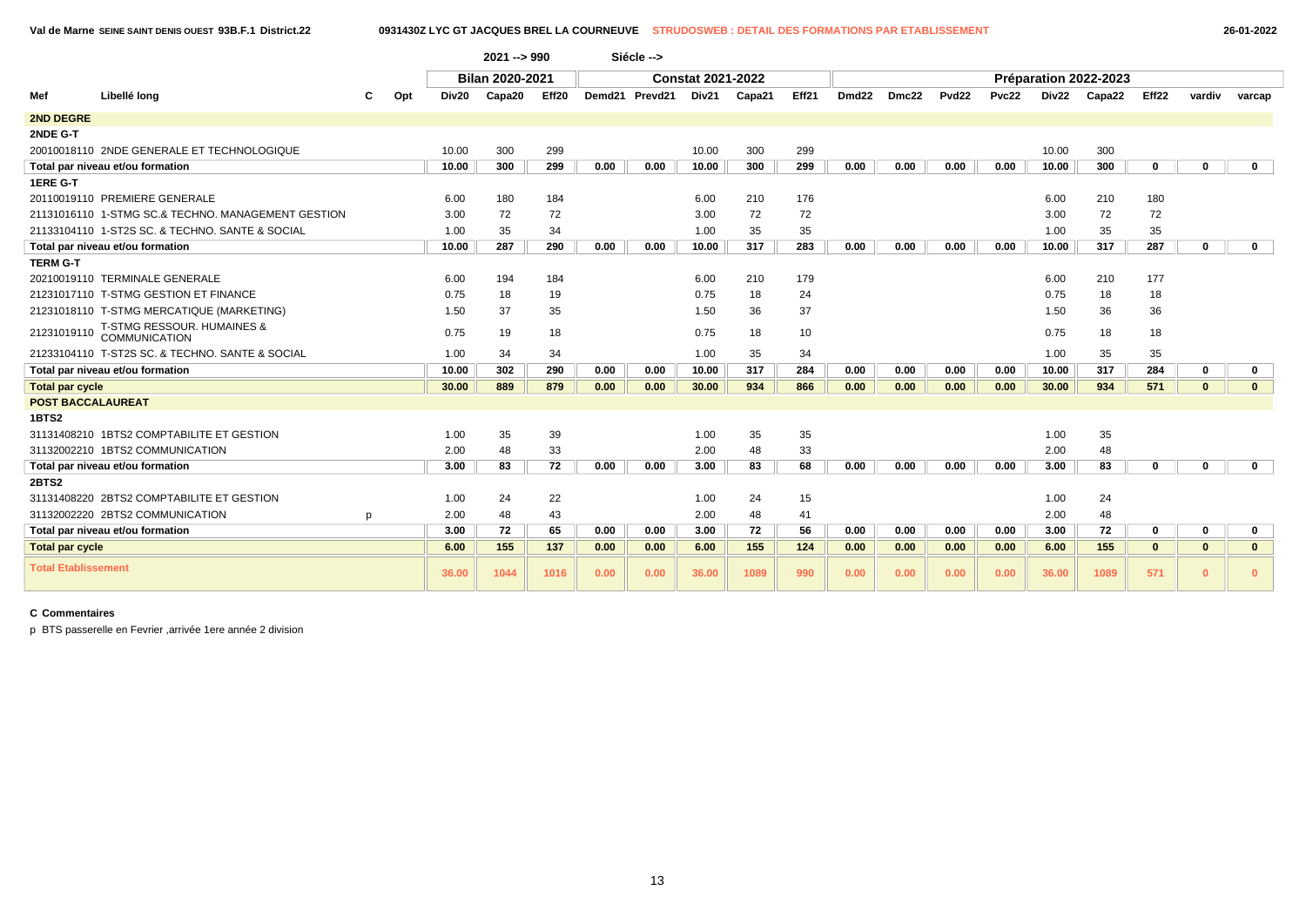|                            |                                                    |     |       | $2021 - 990$           |       |      | Siécle -->     |                          |        |       |                   |       |                   |       |       |                       |              |              |              |
|----------------------------|----------------------------------------------------|-----|-------|------------------------|-------|------|----------------|--------------------------|--------|-------|-------------------|-------|-------------------|-------|-------|-----------------------|--------------|--------------|--------------|
|                            |                                                    |     |       | <b>Bilan 2020-2021</b> |       |      |                | <b>Constat 2021-2022</b> |        |       |                   |       |                   |       |       | Préparation 2022-2023 |              |              |              |
| Mef                        | Libellé long                                       | Opt | Div20 | Capa20                 | Eff20 |      | Demd21 Prevd21 | Div21                    | Capa21 | Eff21 | Dmd <sub>22</sub> | Dmc22 | Pvd <sub>22</sub> | Pvc22 | Div22 | Capa22                | Eff22        | vardiv       | varcap       |
| 2ND DEGRE                  |                                                    |     |       |                        |       |      |                |                          |        |       |                   |       |                   |       |       |                       |              |              |              |
| 2NDE G-T                   |                                                    |     |       |                        |       |      |                |                          |        |       |                   |       |                   |       |       |                       |              |              |              |
|                            | 20010018110 2NDE GENERALE ET TECHNOLOGIQUE         |     | 10.00 | 300                    | 299   |      |                | 10.00                    | 300    | 299   |                   |       |                   |       | 10.00 | 300                   |              |              |              |
|                            | Total par niveau et/ou formation                   |     | 10.00 | 300                    | 299   | 0.00 | 0.00           | 10.00                    | 300    | 299   | 0.00              | 0.00  | 0.00              | 0.00  | 10.00 | 300                   | 0            | 0            | $\mathbf 0$  |
| 1ERE G-T                   |                                                    |     |       |                        |       |      |                |                          |        |       |                   |       |                   |       |       |                       |              |              |              |
|                            | 20110019110 PREMIERE GENERALE                      |     | 6.00  | 180                    | 184   |      |                | 6.00                     | 210    | 176   |                   |       |                   |       | 6.00  | 210                   | 180          |              |              |
|                            | 21131016110 1-STMG SC.& TECHNO. MANAGEMENT GESTION |     | 3.00  | 72                     | 72    |      |                | 3.00                     | 72     | 72    |                   |       |                   |       | 3.00  | 72                    | 72           |              |              |
|                            | 21133104110 1-ST2S SC, & TECHNO, SANTE & SOCIAL    |     | 1.00  | 35                     | 34    |      |                | 1.00                     | 35     | 35    |                   |       |                   |       | 1.00  | 35                    | 35           |              |              |
|                            | Total par niveau et/ou formation                   |     | 10.00 | 287                    | 290   | 0.00 | 0.00           | 10.00                    | 317    | 283   | 0.00              | 0.00  | 0.00              | 0.00  | 10.00 | 317                   | 287          | $\bf{0}$     | $\mathbf{0}$ |
| <b>TERM G-T</b>            |                                                    |     |       |                        |       |      |                |                          |        |       |                   |       |                   |       |       |                       |              |              |              |
|                            | 20210019110 TERMINALE GENERALE                     |     | 6.00  | 194                    | 184   |      |                | 6.00                     | 210    | 179   |                   |       |                   |       | 6.00  | 210                   | 177          |              |              |
|                            | 21231017110 T-STMG GESTION ET FINANCE              |     | 0.75  | 18                     | 19    |      |                | 0.75                     | 18     | 24    |                   |       |                   |       | 0.75  | 18                    | 18           |              |              |
|                            | 21231018110 T-STMG MERCATIQUE (MARKETING)          |     | 1.50  | 37                     | 35    |      |                | 1.50                     | 36     | 37    |                   |       |                   |       | 1.50  | 36                    | 36           |              |              |
| 21231019110                | T-STMG RESSOUR. HUMAINES &<br>COMMUNICATION        |     | 0.75  | 19                     | 18    |      |                | 0.75                     | 18     | 10    |                   |       |                   |       | 0.75  | 18                    | 18           |              |              |
|                            | 21233104110 T-ST2S SC. & TECHNO. SANTE & SOCIAL    |     | 1.00  | 34                     | 34    |      |                | 1.00                     | 35     | 34    |                   |       |                   |       | 1.00  | 35                    | 35           |              |              |
|                            | Total par niveau et/ou formation                   |     | 10.00 | 302                    | 290   | 0.00 | 0.00           | 10.00                    | 317    | 284   | 0.00              | 0.00  | 0.00              | 0.00  | 10.00 | 317                   | 284          | 0            | 0            |
| <b>Total par cycle</b>     |                                                    |     | 30.00 | 889                    | 879   | 0.00 | 0.00           | 30.00                    | 934    | 866   | 0.00              | 0.00  | 0.00              | 0.00  | 30.00 | 934                   | 571          | $\mathbf{0}$ | $\mathbf{0}$ |
| <b>POST BACCALAUREAT</b>   |                                                    |     |       |                        |       |      |                |                          |        |       |                   |       |                   |       |       |                       |              |              |              |
| <b>1BTS2</b>               |                                                    |     |       |                        |       |      |                |                          |        |       |                   |       |                   |       |       |                       |              |              |              |
|                            | 31131408210 1BTS2 COMPTABILITE ET GESTION          |     | 1.00  | 35                     | 39    |      |                | 1.00                     | 35     | 35    |                   |       |                   |       | 1.00  | 35                    |              |              |              |
|                            | 31132002210 1BTS2 COMMUNICATION                    |     | 2.00  | 48                     | 33    |      |                | 2.00                     | 48     | 33    |                   |       |                   |       | 2.00  | 48                    |              |              |              |
|                            | Total par niveau et/ou formation                   |     | 3.00  | 83                     | 72    | 0.00 | 0.00           | 3.00                     | 83     | 68    | 0.00              | 0.00  | 0.00              | 0.00  | 3.00  | 83                    | $\mathbf 0$  | $\mathbf 0$  | $\mathbf{0}$ |
| <b>2BTS2</b>               |                                                    |     |       |                        |       |      |                |                          |        |       |                   |       |                   |       |       |                       |              |              |              |
|                            | 31131408220 2BTS2 COMPTABILITE ET GESTION          |     | 1.00  | 24                     | 22    |      |                | 1.00                     | 24     | 15    |                   |       |                   |       | 1.00  | 24                    |              |              |              |
|                            | 31132002220 2BTS2 COMMUNICATION                    | p   | 2.00  | 48                     | 43    |      |                | 2.00                     | 48     | 41    |                   |       |                   |       | 2.00  | 48                    |              |              |              |
|                            | Total par niveau et/ou formation                   |     | 3.00  | 72                     | 65    | 0.00 | 0.00           | 3.00                     | 72     | 56    | 0.00              | 0.00  | 0.00              | 0.00  | 3.00  | 72                    | $\mathbf 0$  | $\mathbf 0$  | 0            |
| <b>Total par cycle</b>     |                                                    |     | 6.00  | 155                    | 137   | 0.00 | 0.00           | 6.00                     | 155    | 124   | 0.00              | 0.00  | 0.00              | 0.00  | 6.00  | 155                   | $\mathbf{0}$ | $\mathbf{0}$ | $\mathbf{0}$ |
| <b>Total Etablissement</b> |                                                    |     | 36.00 | 1044                   | 1016  | 0.00 | 0.00           | 36.00                    | 1089   | 990   | 0.00              | 0.00  | 0.00              | 0.00  | 36.00 | 1089                  | 571          | $\mathbf{0}$ | $\mathbf{0}$ |

p BTS passerelle en Fevrier ,arrivée 1ere année 2 division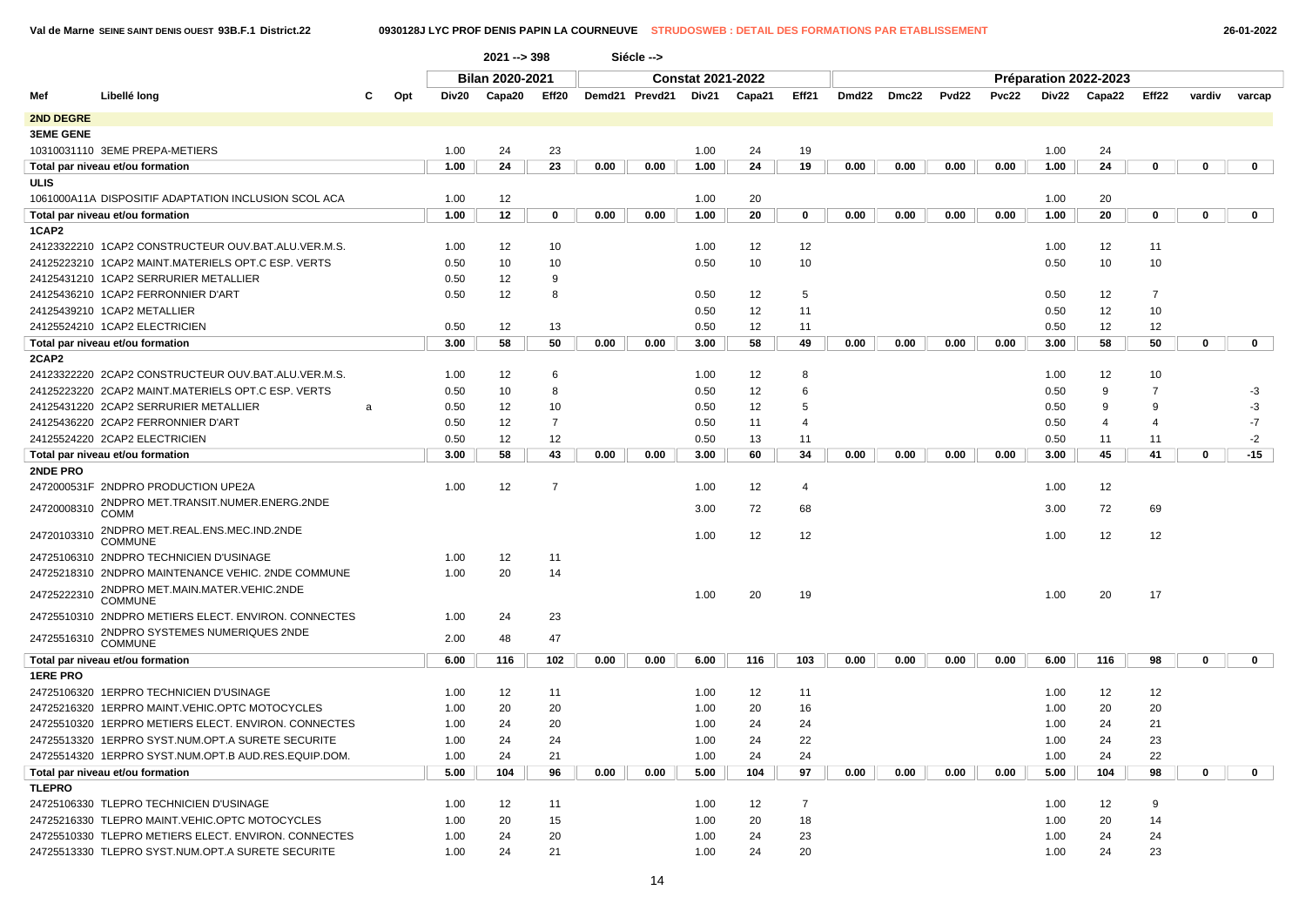$\begin{array}{c} \hline \end{array}$ 

|                  |                                                      |          |       | 2021 -- > 398   |                |      | Siécle -->     |                          |        |                |       |       |       |       |      |                       |                |             |              |  |
|------------------|------------------------------------------------------|----------|-------|-----------------|----------------|------|----------------|--------------------------|--------|----------------|-------|-------|-------|-------|------|-----------------------|----------------|-------------|--------------|--|
|                  |                                                      |          |       | Bilan 2020-2021 |                |      |                | <b>Constat 2021-2022</b> |        |                |       |       |       |       |      | Préparation 2022-2023 |                |             |              |  |
| Mef              | Libellé long                                         | Opt<br>С | Div20 | Capa20          | Eff20          |      | Demd21 Prevd21 | Div21                    | Capa21 | Eff21          | Dmd22 | Dmc22 | Pvd22 | Pvc22 |      | Div22 Capa22          | Eff22          | vardiv      | varcap       |  |
| 2ND DEGRE        |                                                      |          |       |                 |                |      |                |                          |        |                |       |       |       |       |      |                       |                |             |              |  |
| <b>3EME GENE</b> |                                                      |          |       |                 |                |      |                |                          |        |                |       |       |       |       |      |                       |                |             |              |  |
|                  | 10310031110 3EME PREPA-METIERS                       |          | 1.00  | 24              | 23             |      |                | 1.00                     | 24     | 19             |       |       |       |       | 1.00 | 24                    |                |             |              |  |
|                  | Total par niveau et/ou formation                     |          | 1.00  | 24              | 23             | 0.00 | 0.00           | 1.00                     | 24     | 19             | 0.00  | 0.00  | 0.00  | 0.00  | 1.00 | 24                    | 0              | 0           | $\mathbf{0}$ |  |
| ULIS             |                                                      |          |       |                 |                |      |                |                          |        |                |       |       |       |       |      |                       |                |             |              |  |
|                  | 1061000A11A DISPOSITIF ADAPTATION INCLUSION SCOL ACA |          | 1.00  | 12              |                |      |                | 1.00                     | 20     |                |       |       |       |       | 1.00 | 20                    |                |             |              |  |
|                  | Total par niveau et/ou formation                     |          | 1.00  | 12              | 0              | 0.00 | 0.00           | 1.00                     | 20     | 0              | 0.00  | 0.00  | 0.00  | 0.00  | 1.00 | 20                    | $\mathbf 0$    | 0           | $\mathbf{0}$ |  |
| 1CAP2            |                                                      |          |       |                 |                |      |                |                          |        |                |       |       |       |       |      |                       |                |             |              |  |
|                  | 24123322210 1CAP2 CONSTRUCTEUR OUV.BAT.ALU.VER.M.S.  |          | 1.00  | 12              | 10             |      |                | 1.00                     | 12     | 12             |       |       |       |       | 1.00 | 12                    | 11             |             |              |  |
|                  | 24125223210 1CAP2 MAINT.MATERIELS OPT.C ESP. VERTS   |          | 0.50  | 10              | 10             |      |                | 0.50                     | 10     | 10             |       |       |       |       | 0.50 | 10                    | 10             |             |              |  |
|                  | 24125431210 1CAP2 SERRURIER METALLIER                |          | 0.50  | 12              | 9              |      |                |                          |        |                |       |       |       |       |      |                       |                |             |              |  |
|                  | 24125436210 1CAP2 FERRONNIER D'ART                   |          | 0.50  | 12              | 8              |      |                | 0.50                     | 12     | 5              |       |       |       |       | 0.50 | 12                    | $\overline{7}$ |             |              |  |
|                  | 24125439210 1CAP2 METALLIER                          |          |       |                 |                |      |                | 0.50                     | 12     | 11             |       |       |       |       | 0.50 | 12                    | 10             |             |              |  |
|                  | 24125524210 1CAP2 ELECTRICIEN                        |          | 0.50  | 12              | 13             |      |                | 0.50                     | 12     | 11             |       |       |       |       | 0.50 | 12                    | 12             |             |              |  |
|                  | Total par niveau et/ou formation                     |          | 3.00  | 58              | 50             | 0.00 | 0.00           | 3.00                     | 58     | 49             | 0.00  | 0.00  | 0.00  | 0.00  | 3.00 | 58                    | 50             | 0           | $\mathbf{0}$ |  |
| 2CAP2            |                                                      |          |       |                 |                |      |                |                          |        |                |       |       |       |       |      |                       |                |             |              |  |
|                  | 24123322220 2CAP2 CONSTRUCTEUR OUV.BAT.ALU.VER.M.S.  |          | 1.00  | 12              | 6              |      |                | 1.00                     | 12     | 8              |       |       |       |       | 1.00 | 12                    | 10             |             |              |  |
|                  | 24125223220 2CAP2 MAINT.MATERIELS OPT.C ESP. VERTS   |          | 0.50  | 10              | 8              |      |                | 0.50                     | 12     | 6              |       |       |       |       | 0.50 | 9                     | $\overline{7}$ |             | $-3$         |  |
|                  | 24125431220 2CAP2 SERRURIER METALLIER                | a        | 0.50  | 12              | 10             |      |                | 0.50                     | 12     | 5              |       |       |       |       | 0.50 | 9                     | 9              |             | $-3$         |  |
|                  | 24125436220 2CAP2 FERRONNIER D'ART                   |          | 0.50  | 12              | $\overline{7}$ |      |                | 0.50                     | 11     | 4              |       |       |       |       | 0.50 | 4                     | 4              |             | $-7$         |  |
|                  | 24125524220 2CAP2 ELECTRICIEN                        |          | 0.50  | 12              | 12             |      |                | 0.50                     | 13     | 11             |       |       |       |       | 0.50 | 11                    | 11             |             | $-2$         |  |
|                  | Total par niveau et/ou formation                     |          | 3.00  | 58              | 43             | 0.00 | 0.00           | 3.00                     | 60     | 34             | 0.00  | 0.00  | 0.00  | 0.00  | 3.00 | 45                    | 41             | $\mathbf 0$ | $-15$        |  |
| 2NDE PRO         |                                                      |          |       |                 |                |      |                |                          |        |                |       |       |       |       |      |                       |                |             |              |  |
|                  | 2472000531F 2NDPRO PRODUCTION UPE2A                  |          | 1.00  | 12              | $\overline{7}$ |      |                | 1.00                     | 12     | 4              |       |       |       |       | 1.00 | 12                    |                |             |              |  |
| 24720008310      | 2NDPRO MET.TRANSIT.NUMER.ENERG.2NDE<br><b>COMM</b>   |          |       |                 |                |      |                | 3.00                     | 72     | 68             |       |       |       |       | 3.00 | 72                    | 69             |             |              |  |
| 24720103310      | 2NDPRO MET.REAL.ENS.MEC.IND.2NDE<br><b>COMMUNE</b>   |          |       |                 |                |      |                | 1.00                     | 12     | 12             |       |       |       |       | 1.00 | 12                    | 12             |             |              |  |
|                  | 24725106310 2NDPRO TECHNICIEN D'USINAGE              |          | 1.00  | 12              | 11             |      |                |                          |        |                |       |       |       |       |      |                       |                |             |              |  |
|                  | 24725218310 2NDPRO MAINTENANCE VEHIC. 2NDE COMMUNE   |          | 1.00  | 20              | 14             |      |                |                          |        |                |       |       |       |       |      |                       |                |             |              |  |
| 24725222310      | 2NDPRO MET.MAIN.MATER.VEHIC.2NDE<br><b>COMMUNE</b>   |          |       |                 |                |      |                | 1.00                     | 20     | 19             |       |       |       |       | 1.00 | 20                    | 17             |             |              |  |
|                  | 24725510310 2NDPRO METIERS ELECT. ENVIRON. CONNECTES |          | 1.00  | 24              | 23             |      |                |                          |        |                |       |       |       |       |      |                       |                |             |              |  |
| 24725516310      | 2NDPRO SYSTEMES NUMERIQUES 2NDE COMMUNE              |          | 2.00  | 48              | 47             |      |                |                          |        |                |       |       |       |       |      |                       |                |             |              |  |
|                  | Total par niveau et/ou formation                     |          | 6.00  | 116             | 102            | 0.00 | 0.00           | 6.00                     | 116    | 103            | 0.00  | 0.00  | 0.00  | 0.00  | 6.00 | 116                   | 98             | $\mathbf 0$ | $\mathbf{0}$ |  |
| <b>1ERE PRO</b>  |                                                      |          |       |                 |                |      |                |                          |        |                |       |       |       |       |      |                       |                |             |              |  |
|                  | 24725106320 1ERPRO TECHNICIEN D'USINAGE              |          | 1.00  | 12              | 11             |      |                | 1.00                     | 12     | 11             |       |       |       |       | 1.00 | 12                    | 12             |             |              |  |
|                  | 24725216320 1ERPRO MAINT.VEHIC.OPTC MOTOCYCLES       |          | 1.00  | 20              | 20             |      |                | 1.00                     | 20     | 16             |       |       |       |       | 1.00 | 20                    | 20             |             |              |  |
|                  | 24725510320 1ERPRO METIERS ELECT. ENVIRON. CONNECTES |          | 1.00  | 24              | 20             |      |                | 1.00                     | 24     | 24             |       |       |       |       | 1.00 | 24                    | 21             |             |              |  |
|                  | 24725513320 1ERPRO SYST.NUM.OPT.A SURETE SECURITE    |          | 1.00  | 24              | 24             |      |                | 1.00                     | 24     | 22             |       |       |       |       | 1.00 | 24                    | 23             |             |              |  |
|                  | 24725514320 1ERPRO SYST.NUM.OPT.B AUD.RES.EQUIP.DOM. |          | 1.00  | 24              | 21             |      |                | 1.00                     | 24     | 24             |       |       |       |       | 1.00 | 24                    | 22             |             |              |  |
|                  | Total par niveau et/ou formation                     |          | 5.00  | 104             | 96             | 0.00 | 0.00           | 5.00                     | 104    | 97             | 0.00  | 0.00  | 0.00  | 0.00  | 5.00 | 104                   | 98             | $\mathbf 0$ | $\mathbf{0}$ |  |
| <b>TLEPRO</b>    |                                                      |          |       |                 |                |      |                |                          |        |                |       |       |       |       |      |                       |                |             |              |  |
|                  | 24725106330 TLEPRO TECHNICIEN D'USINAGE              |          | 1.00  | 12              | 11             |      |                | 1.00                     | 12     | $\overline{7}$ |       |       |       |       | 1.00 | 12                    | 9              |             |              |  |
|                  | 24725216330 TLEPRO MAINT.VEHIC.OPTC MOTOCYCLES       |          | 1.00  | 20              | 15             |      |                | 1.00                     | 20     | 18             |       |       |       |       | 1.00 | 20                    | 14             |             |              |  |
|                  | 24725510330 TLEPRO METIERS ELECT. ENVIRON. CONNECTES |          | 1.00  | 24              | 20             |      |                | 1.00                     | 24     | 23             |       |       |       |       | 1.00 | 24                    | 24             |             |              |  |
|                  | 24725513330 TLEPRO SYST.NUM.OPT.A SURETE SECURITE    |          | 1.00  | 24              | 21             |      |                | 1.00                     | 24     | 20             |       |       |       |       | 1.00 | 24                    | 23             |             |              |  |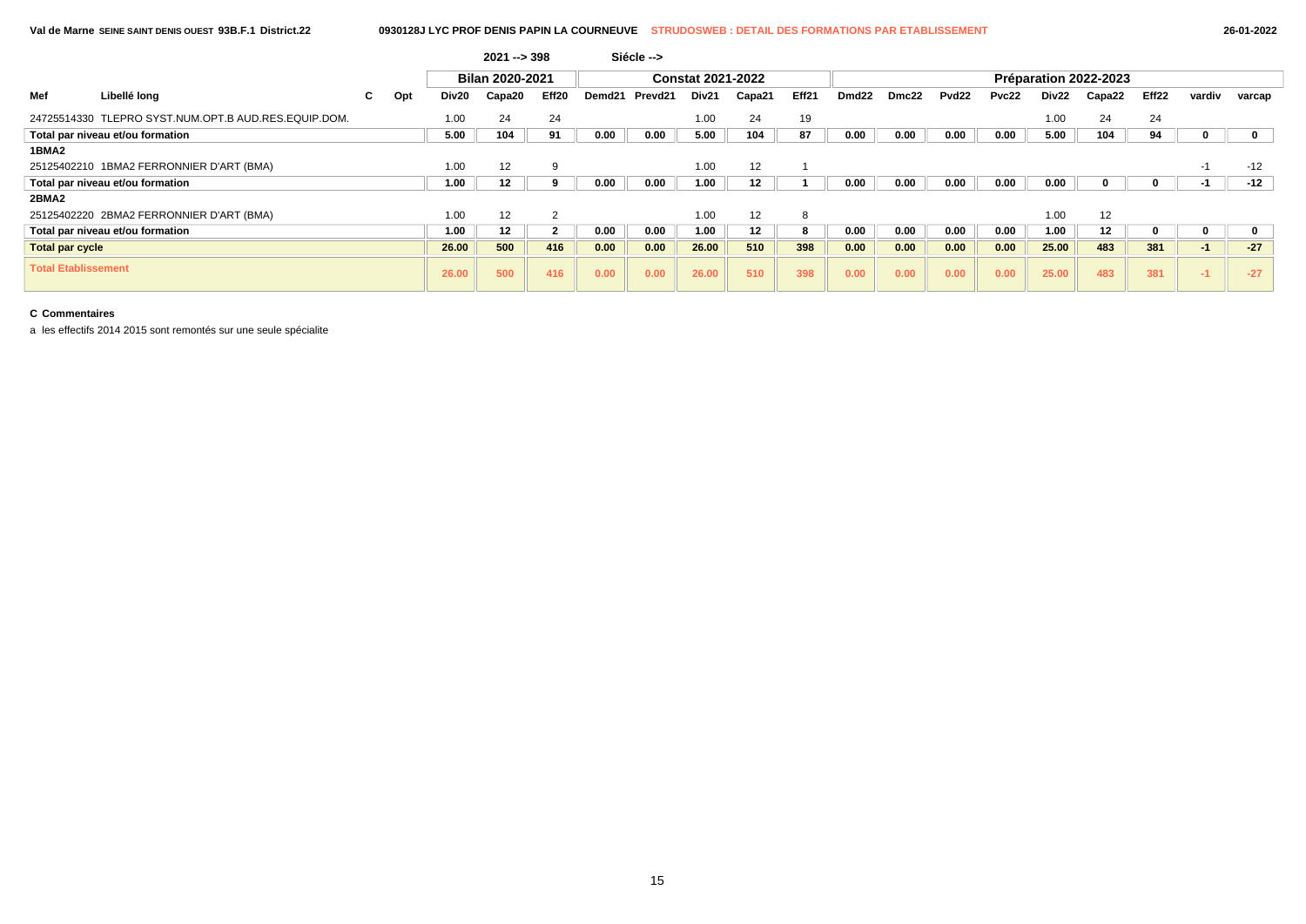|                            |                                                      |    |     |       | $2021 - 398$    |       |        | Siécle -->          |                          |        |       |                   |       |                   |       |       |                       |                   |        |        |
|----------------------------|------------------------------------------------------|----|-----|-------|-----------------|-------|--------|---------------------|--------------------------|--------|-------|-------------------|-------|-------------------|-------|-------|-----------------------|-------------------|--------|--------|
|                            |                                                      |    |     |       | Bilan 2020-2021 |       |        |                     | <b>Constat 2021-2022</b> |        |       |                   |       |                   |       |       | Préparation 2022-2023 |                   |        |        |
| Mef                        | Libellé long                                         | C. | Opt | Div20 | Capa20          | Eff20 | Demd21 | Prevd <sub>21</sub> | Div21                    | Capa21 | Eff21 | Dmd <sub>22</sub> | Dmc22 | Pvd <sub>22</sub> | Pvc22 | Div22 | Capa22                | Eff <sub>22</sub> | vardiv | varcap |
|                            | 24725514330 TLEPRO SYST.NUM.OPT.B AUD.RES.EQUIP.DOM. |    |     | 1.00  | 24              | 24    |        |                     | 1.00                     | 24     | 19    |                   |       |                   |       | 1.00  | 24                    | 24                |        |        |
|                            | Total par niveau et/ou formation                     |    |     | 5.00  | 104             | 91    | 0.00   | 0.00                | 5.00                     | 104    | 87    | 0.00              | 0.00  | 0.00              | 0.00  | 5.00  | 104                   | 94                |        |        |
| 1BMA2                      |                                                      |    |     |       |                 |       |        |                     |                          |        |       |                   |       |                   |       |       |                       |                   |        |        |
|                            | 25125402210 1BMA2 FERRONNIER D'ART (BMA)             |    |     | 1.00  | 12              | -9    |        |                     | 1.00                     | 12     |       |                   |       |                   |       |       |                       |                   | -1     | $-12$  |
|                            | Total par niveau et/ou formation                     |    |     | 1.00  | 12              |       | 0.00   | 0.00                | 1.00                     | 12     |       | 0.00              | 0.00  | 0.00              | 0.00  | 0.00  |                       |                   | -1     | $-12$  |
| 2BMA2                      |                                                      |    |     |       |                 |       |        |                     |                          |        |       |                   |       |                   |       |       |                       |                   |        |        |
|                            | 25125402220 2BMA2 FERRONNIER D'ART (BMA)             |    |     | 1.00  | 12              |       |        |                     | 1.00                     | 12     | 8     |                   |       |                   |       | 1.00  | 12                    |                   |        |        |
|                            | Total par niveau et/ou formation                     |    |     | 1.00  | 12              | 2     | 0.00   | 0.00                | 1.00                     | 12     | 8     | 0.00              | 0.00  | 0.00              | 0.00  | 1.00  | 12                    | 0                 | U      |        |
| Total par cycle            |                                                      |    |     | 26.00 | 500             | 416   | 0.00   | 0.00                | 26.00                    | 510    | 398   | 0.00              | 0.00  | 0.00              | 0.00  | 25.00 | 483                   | 381               | $-1$   | $-27$  |
| <b>Total Etablissement</b> |                                                      |    |     | 26.00 | 500             | 416   | 0.00   | 0.00                | 26.00                    | 510    | 398   | 0.00              | 0.00  | 0.00              | 0.00  | 25.00 | 483                   | 381               | $-1$   | $-27$  |

a les effectifs 2014 2015 sont remontés sur une seule spécialite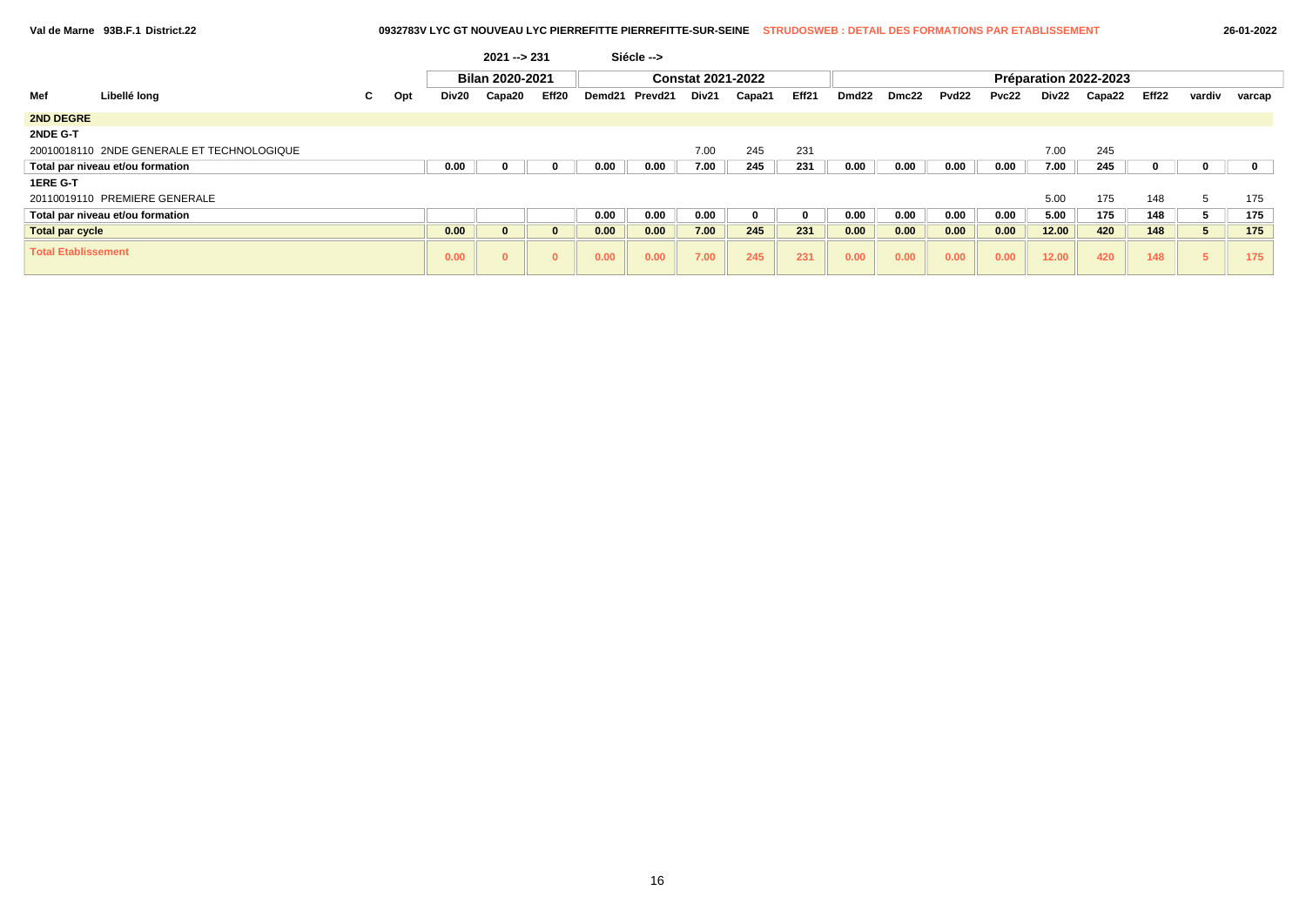| $26 - 01 - 20$ |  |
|----------------|--|
|----------------|--|

|                            |                                            |    |     |       | $2021 - 231$           |              |        | Siécle --> |                          |        |          |       |       |                   |       |       |                       |                   |               |        |
|----------------------------|--------------------------------------------|----|-----|-------|------------------------|--------------|--------|------------|--------------------------|--------|----------|-------|-------|-------------------|-------|-------|-----------------------|-------------------|---------------|--------|
|                            |                                            |    |     |       | <b>Bilan 2020-2021</b> |              |        |            | <b>Constat 2021-2022</b> |        |          |       |       |                   |       |       | Préparation 2022-2023 |                   |               |        |
| Mef                        | Libellé long                               | C. | Opt | Div20 | Capa20                 | Eff20        | Demd21 | Prevd21    | Div21                    | Capa21 | Eff21    | Dmd22 | Dmc22 | Pvd <sub>22</sub> | Pvc22 | Div22 | Capa22                | Eff <sub>22</sub> | vardiv        | varcap |
| <b>2ND DEGRE</b>           |                                            |    |     |       |                        |              |        |            |                          |        |          |       |       |                   |       |       |                       |                   |               |        |
| 2NDE G-T                   |                                            |    |     |       |                        |              |        |            |                          |        |          |       |       |                   |       |       |                       |                   |               |        |
|                            | 20010018110 2NDE GENERALE ET TECHNOLOGIQUE |    |     |       |                        |              |        |            | 7.00                     | 245    | 231      |       |       |                   |       | 7.00  | 245                   |                   |               |        |
|                            | Total par niveau et/ou formation           |    |     | 0.00  | 0                      | 0            | 0.00   | 0.00       | 7.00                     | 245    | 231      | 0.00  | 0.00  | 0.00              | 0.00  | 7.00  | 245                   |                   |               |        |
| 1ERE G-T                   |                                            |    |     |       |                        |              |        |            |                          |        |          |       |       |                   |       |       |                       |                   |               |        |
|                            | 20110019110 PREMIERE GENERALE              |    |     |       |                        |              |        |            |                          |        |          |       |       |                   |       | 5.00  | 175                   | 148               | $\mathcal{D}$ | 175    |
|                            | Total par niveau et/ou formation           |    |     |       |                        |              | 0.00   | 0.00       | 0.00                     | 0      | $\bf{0}$ | 0.00  | 0.00  | 0.00              | 0.00  | 5.00  | 175                   | 148               |               | 175    |
| <b>Total par cycle</b>     |                                            |    |     | 0.00  | $\mathbf{0}$           | $\mathbf{0}$ | 0.00   | 0.00       | 7.00                     | 245    | 231      | 0.00  | 0.00  | 0.00              | 0.00  | 12.00 | 420                   | 148               |               | 175    |
| <b>Total Etablissement</b> |                                            |    |     | 0.00  | $\mathbf{0}$           | $\bf{0}$     | 0.00   | 0.00       | 7.00                     | 245    | 231      | 0.00  | 0.00  | 0.00              | 0.00  | 12.00 | 420                   | 148               |               | 175    |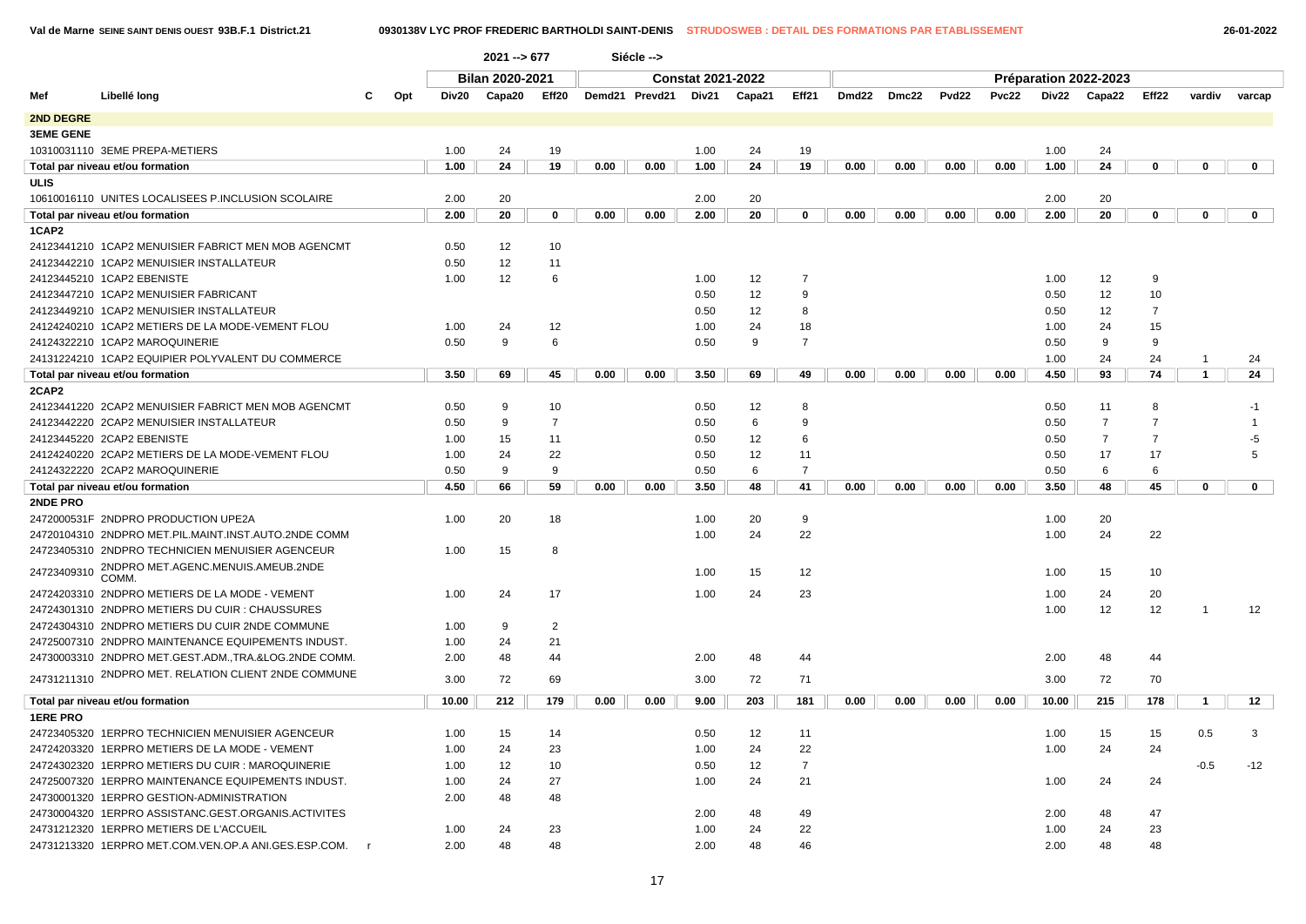| 26-01-2022 |  |  |  |
|------------|--|--|--|
|------------|--|--|--|

|                  |                                                       |           |       | $2021 - 677$           |                |      | Siécle -->     |                          |        |                |       |       |       |       |       |                       |                |                |                |
|------------------|-------------------------------------------------------|-----------|-------|------------------------|----------------|------|----------------|--------------------------|--------|----------------|-------|-------|-------|-------|-------|-----------------------|----------------|----------------|----------------|
|                  |                                                       |           |       | <b>Bilan 2020-2021</b> |                |      |                | <b>Constat 2021-2022</b> |        |                |       |       |       |       |       | Préparation 2022-2023 |                |                |                |
| Mef              | Libellé long                                          | Opt<br>C. | Div20 | Capa20                 | Eff20          |      | Demd21 Prevd21 | Div21                    | Capa21 | Eff21          | Dmd22 | Dmc22 | Pvd22 | Pvc22 |       | Div22 Capa22          | Eff22          | vardiv         | varcap         |
| 2ND DEGRE        |                                                       |           |       |                        |                |      |                |                          |        |                |       |       |       |       |       |                       |                |                |                |
| <b>3EME GENE</b> |                                                       |           |       |                        |                |      |                |                          |        |                |       |       |       |       |       |                       |                |                |                |
|                  | 10310031110 3EME PREPA-METIERS                        |           | 1.00  | 24                     | 19             |      |                | 1.00                     | 24     | 19             |       |       |       |       | 1.00  | 24                    |                |                |                |
|                  | Total par niveau et/ou formation                      |           | 1.00  | 24                     | 19             | 0.00 | 0.00           | 1.00                     | 24     | 19             | 0.00  | 0.00  | 0.00  | 0.00  | 1.00  | 24                    | 0              | 0              | $\mathbf 0$    |
| <b>ULIS</b>      |                                                       |           |       |                        |                |      |                |                          |        |                |       |       |       |       |       |                       |                |                |                |
|                  | 10610016110 UNITES LOCALISEES P.INCLUSION SCOLAIRE    |           | 2.00  | 20                     |                |      |                | 2.00                     | 20     |                |       |       |       |       | 2.00  | 20                    |                |                |                |
|                  | Total par niveau et/ou formation                      |           | 2.00  | 20                     | 0              | 0.00 | 0.00           | 2.00                     | 20     | 0              | 0.00  | 0.00  | 0.00  | 0.00  | 2.00  | 20                    | 0              | 0              | $\mathbf{0}$   |
| 1CAP2            |                                                       |           |       |                        |                |      |                |                          |        |                |       |       |       |       |       |                       |                |                |                |
|                  | 24123441210 1CAP2 MENUISIER FABRICT MEN MOB AGENCMT   |           | 0.50  | 12                     | 10             |      |                |                          |        |                |       |       |       |       |       |                       |                |                |                |
|                  | 24123442210 1CAP2 MENUISIER INSTALLATEUR              |           | 0.50  | 12                     | 11             |      |                |                          |        |                |       |       |       |       |       |                       |                |                |                |
|                  | 24123445210 1CAP2 EBENISTE                            |           | 1.00  | 12                     | 6              |      |                | 1.00                     | 12     | $\overline{7}$ |       |       |       |       | 1.00  | 12                    | 9              |                |                |
|                  | 24123447210 1CAP2 MENUISIER FABRICANT                 |           |       |                        |                |      |                | 0.50                     | 12     | 9              |       |       |       |       | 0.50  | 12                    | 10             |                |                |
|                  | 24123449210 1CAP2 MENUISIER INSTALLATEUR              |           |       |                        |                |      |                | 0.50                     | 12     | 8              |       |       |       |       | 0.50  | 12                    | $\overline{7}$ |                |                |
|                  | 24124240210 1CAP2 METIERS DE LA MODE-VEMENT FLOU      |           | 1.00  | 24                     | 12             |      |                | 1.00                     | 24     | 18             |       |       |       |       | 1.00  | 24                    | 15             |                |                |
|                  | 24124322210 1CAP2 MAROQUINERIE                        |           | 0.50  | 9                      | 6              |      |                | 0.50                     | 9      | $\overline{7}$ |       |       |       |       | 0.50  | 9                     | 9              |                |                |
|                  | 24131224210 1CAP2 EQUIPIER POLYVALENT DU COMMERCE     |           |       |                        |                |      |                |                          |        |                |       |       |       |       | 1.00  | 24                    | 24             | -1             | 24             |
|                  | Total par niveau et/ou formation                      |           | 3.50  | 69                     | 45             | 0.00 | 0.00           | 3.50                     | 69     | 49             | 0.00  | 0.00  | 0.00  | 0.00  | 4.50  | 93                    | 74             | $\overline{1}$ | 24             |
| 2CAP2            |                                                       |           |       |                        |                |      |                |                          |        |                |       |       |       |       |       |                       |                |                |                |
|                  | 24123441220 2CAP2 MENUISIER FABRICT MEN MOB AGENCMT   |           | 0.50  | 9                      | 10             |      |                | 0.50                     | 12     | 8              |       |       |       |       | 0.50  | 11                    | 8              |                | -1             |
|                  | 24123442220 2CAP2 MENUISIER INSTALLATEUR              |           | 0.50  | 9                      | $\overline{7}$ |      |                | 0.50                     | 6      | 9              |       |       |       |       | 0.50  | $\overline{7}$        | $\overline{7}$ |                |                |
|                  | 24123445220 2CAP2 EBENISTE                            |           | 1.00  | 15                     | 11             |      |                | 0.50                     | 12     | 6              |       |       |       |       | 0.50  | $\overline{7}$        | $\overline{7}$ |                | -5             |
|                  | 24124240220 2CAP2 METIERS DE LA MODE-VEMENT FLOU      |           | 1.00  | 24                     | 22             |      |                | 0.50                     | 12     | 11             |       |       |       |       | 0.50  | 17                    | 17             |                | $\overline{5}$ |
|                  | 24124322220 2CAP2 MAROQUINERIE                        |           | 0.50  | 9                      | $\mathbf{Q}$   |      |                | 0.50                     | 6      | $\overline{7}$ |       |       |       |       | 0.50  | 6                     | 6              |                |                |
|                  | Total par niveau et/ou formation                      |           | 4.50  | 66                     | 59             | 0.00 | 0.00           | 3.50                     | 48     | 41             | 0.00  | 0.00  | 0.00  | 0.00  | 3.50  | 48                    | 45             | $\mathbf 0$    | $\mathbf{0}$   |
| 2NDE PRO         |                                                       |           |       |                        |                |      |                |                          |        |                |       |       |       |       |       |                       |                |                |                |
|                  | 2472000531F 2NDPRO PRODUCTION UPE2A                   |           | 1.00  | 20                     | 18             |      |                | 1.00                     | 20     | 9              |       |       |       |       | 1.00  | 20                    |                |                |                |
|                  | 24720104310 2NDPRO MET.PIL.MAINT.INST.AUTO.2NDE COMM  |           |       |                        |                |      |                | 1.00                     | 24     | 22             |       |       |       |       | 1.00  | 24                    | 22             |                |                |
|                  | 24723405310 2NDPRO TECHNICIEN MENUISIER AGENCEUR      |           | 1.00  | 15                     | 8              |      |                |                          |        |                |       |       |       |       |       |                       |                |                |                |
| 24723409310      | 2NDPRO MET.AGENC.MENUIS.AMEUB.2NDE                    |           |       |                        |                |      |                | 1.00                     | 15     | 12             |       |       |       |       | 1.00  | 15                    | 10             |                |                |
|                  | COMM.                                                 |           |       |                        |                |      |                |                          |        |                |       |       |       |       |       |                       |                |                |                |
|                  | 24724203310 2NDPRO METIERS DE LA MODE - VEMENT        |           | 1.00  | 24                     | 17             |      |                | 1.00                     | 24     | 23             |       |       |       |       | 1.00  | 24                    | 20             |                |                |
|                  | 24724301310 2NDPRO METIERS DU CUIR : CHAUSSURES       |           |       |                        |                |      |                |                          |        |                |       |       |       |       | 1.00  | 12                    | 12             |                | 12             |
|                  | 24724304310 2NDPRO METIERS DU CUIR 2NDE COMMUNE       |           | 1.00  | 9                      | 2              |      |                |                          |        |                |       |       |       |       |       |                       |                |                |                |
|                  | 24725007310 2NDPRO MAINTENANCE EQUIPEMENTS INDUST.    |           | 1.00  | 24                     | 21             |      |                |                          |        |                |       |       |       |       |       |                       |                |                |                |
|                  | 24730003310 2NDPRO MET.GEST.ADM., TRA.&LOG.2NDE COMM. |           | 2.00  | 48                     | 44             |      |                | 2.00                     | 48     | 44             |       |       |       |       | 2.00  | 48                    | 44             |                |                |
|                  | 24731211310 2NDPRO MET. RELATION CLIENT 2NDE COMMUNE  |           | 3.00  | 72                     | 69             |      |                | 3.00                     | 72     | 71             |       |       |       |       | 3.00  | 72                    | 70             |                |                |
|                  | Total par niveau et/ou formation                      |           | 10.00 | 212                    | 179            | 0.00 | 0.00           | 9.00                     | 203    | 181            | 0.00  | 0.00  | 0.00  | 0.00  | 10.00 | 215                   | 178            | $\mathbf{1}$   | 12             |
| <b>1ERE PRO</b>  |                                                       |           |       |                        |                |      |                |                          |        |                |       |       |       |       |       |                       |                |                |                |
|                  | 24723405320 1ERPRO TECHNICIEN MENUISIER AGENCEUR      |           | 1.00  | 15                     | 14             |      |                | 0.50                     | 12     | 11             |       |       |       |       | 1.00  | 15                    | 15             | 0.5            | 3              |
|                  | 24724203320 1ERPRO METIERS DE LA MODE - VEMENT        |           | 1.00  | 24                     | 23             |      |                | 1.00                     | 24     | 22             |       |       |       |       | 1.00  | 24                    | 24             |                |                |
|                  | 24724302320 1ERPRO METIERS DU CUIR : MAROQUINERIE     |           | 1.00  | 12                     | 10             |      |                | 0.50                     | 12     | $\overline{7}$ |       |       |       |       |       |                       |                | $-0.5$         | $-12$          |
|                  | 24725007320 1ERPRO MAINTENANCE EQUIPEMENTS INDUST.    |           | 1.00  | 24                     | 27             |      |                | 1.00                     | 24     | 21             |       |       |       |       | 1.00  | 24                    | 24             |                |                |
|                  | 24730001320 1ERPRO GESTION-ADMINISTRATION             |           | 2.00  | 48                     | 48             |      |                |                          |        |                |       |       |       |       |       |                       |                |                |                |
|                  | 24730004320 1ERPRO ASSISTANC.GEST.ORGANIS.ACTIVITES   |           |       |                        |                |      |                | 2.00                     | 48     | 49             |       |       |       |       | 2.00  | 48                    | 47             |                |                |
|                  | 24731212320 1ERPRO METIERS DE L'ACCUEIL               |           | 1.00  | 24                     | 23             |      |                | 1.00                     | 24     | 22             |       |       |       |       | 1.00  | 24                    | 23             |                |                |
|                  | 24731213320 1ERPRO MET.COM.VEN.OP.A ANI.GES.ESP.COM.  |           | 2.00  | 48                     | 48             |      |                | 2.00                     | 48     | 46             |       |       |       |       | 2.00  | 48                    | 48             |                |                |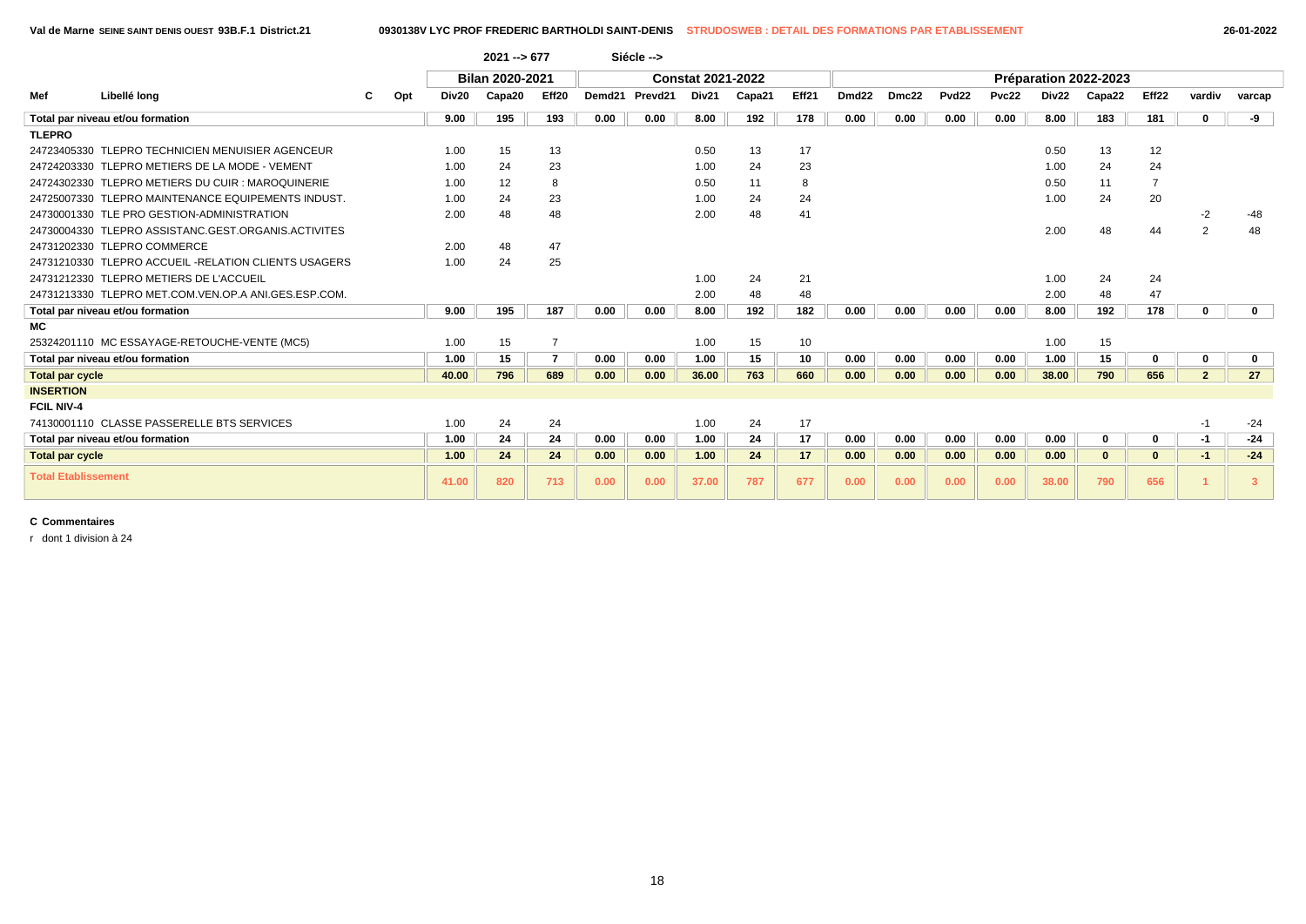|                            |                                                      |     |       | $2021 - 5677$          |                |      | Siécle -->               |       |        |       |                   |       |                   |       |                       |              |       |                |              |
|----------------------------|------------------------------------------------------|-----|-------|------------------------|----------------|------|--------------------------|-------|--------|-------|-------------------|-------|-------------------|-------|-----------------------|--------------|-------|----------------|--------------|
|                            |                                                      |     |       | <b>Bilan 2020-2021</b> |                |      | <b>Constat 2021-2022</b> |       |        |       |                   |       |                   |       | Préparation 2022-2023 |              |       |                |              |
| Mef                        | Libellé long                                         | Opt | Div20 | Capa20                 | Eff20          |      | Demd21 Prevd21           | Div21 | Capa21 | Eff21 | Dmd <sub>22</sub> | Dmc22 | Pvd <sub>22</sub> | Pvc22 | Div22                 | Capa22       | Eff22 | vardiv         | varcap       |
|                            | Total par niveau et/ou formation                     |     | 9.00  | 195                    | 193            | 0.00 | 0.00                     | 8.00  | 192    | 178   | 0.00              | 0.00  | 0.00              | 0.00  | 8.00                  | 183          | 181   |                | -9           |
| <b>TLEPRO</b>              |                                                      |     |       |                        |                |      |                          |       |        |       |                   |       |                   |       |                       |              |       |                |              |
|                            | 24723405330 TLEPRO TECHNICIEN MENUISIER AGENCEUR     |     | 1.00  | 15                     | 13             |      |                          | 0.50  | 13     | 17    |                   |       |                   |       | 0.50                  | 13           | 12    |                |              |
|                            | 24724203330 TLEPRO METIERS DE LA MODE - VEMENT       |     | 1.00  | 24                     | 23             |      |                          | 1.00  | 24     | 23    |                   |       |                   |       | 1.00                  | 24           | 24    |                |              |
|                            | 24724302330 TLEPRO METIERS DU CUIR : MAROQUINERIE    |     | 1.00  | 12                     | 8              |      |                          | 0.50  | 11     | 8     |                   |       |                   |       | 0.50                  | 11           |       |                |              |
|                            | 24725007330 TLEPRO MAINTENANCE EQUIPEMENTS INDUST.   |     | 1.00  | 24                     | 23             |      |                          | 1.00  | 24     | 24    |                   |       |                   |       | 1.00                  | 24           | 20    |                |              |
|                            | 24730001330 TLE PRO GESTION-ADMINISTRATION           |     | 2.00  | 48                     | 48             |      |                          | 2.00  | 48     | 41    |                   |       |                   |       |                       |              |       | $-2$           | -48          |
|                            | 24730004330 TLEPRO ASSISTANC.GEST.ORGANIS.ACTIVITES  |     |       |                        |                |      |                          |       |        |       |                   |       |                   |       | 2.00                  | 48           | 44    | $\overline{2}$ | 48           |
|                            | 24731202330 TLEPRO COMMERCE                          |     | 2.00  | 48                     | 47             |      |                          |       |        |       |                   |       |                   |       |                       |              |       |                |              |
|                            | 24731210330 TLEPRO ACCUEIL -RELATION CLIENTS USAGERS |     | 1.00  | 24                     | 25             |      |                          |       |        |       |                   |       |                   |       |                       |              |       |                |              |
|                            | 24731212330 TLEPRO METIERS DE L'ACCUEIL              |     |       |                        |                |      |                          | 1.00  | 24     | 21    |                   |       |                   |       | 1.00                  | 24           | 24    |                |              |
|                            | 24731213330 TLEPRO MET.COM.VEN.OP.A ANI.GES.ESP.COM. |     |       |                        |                |      |                          | 2.00  | 48     | 48    |                   |       |                   |       | 2.00                  | 48           | 47    |                |              |
|                            | Total par niveau et/ou formation                     |     | 9.00  | 195                    | 187            | 0.00 | 0.00                     | 8.00  | 192    | 182   | 0.00              | 0.00  | 0.00              | 0.00  | 8.00                  | 192          | 178   |                | $\mathbf{0}$ |
| <b>MC</b>                  |                                                      |     |       |                        |                |      |                          |       |        |       |                   |       |                   |       |                       |              |       |                |              |
|                            | 25324201110 MC ESSAYAGE-RETOUCHE-VENTE (MC5)         |     | 1.00  | 15                     | $\overline{7}$ |      |                          | 1.00  | 15     | 10    |                   |       |                   |       | 1.00                  | 15           |       |                |              |
|                            | Total par niveau et/ou formation                     |     | 1.00  | 15                     | $\overline{7}$ | 0.00 | 0.00                     | 1.00  | 15     | 10    | 0.00              | 0.00  | 0.00              | 0.00  | 1.00                  | 15           |       |                |              |
| <b>Total par cycle</b>     |                                                      |     | 40.00 | 796                    | 689            | 0.00 | 0.00                     | 36.00 | 763    | 660   | 0.00              | 0.00  | 0.00              | 0.00  | 38.00                 | 790          | 656   | $\overline{2}$ | 27           |
| <b>INSERTION</b>           |                                                      |     |       |                        |                |      |                          |       |        |       |                   |       |                   |       |                       |              |       |                |              |
| <b>FCIL NIV-4</b>          |                                                      |     |       |                        |                |      |                          |       |        |       |                   |       |                   |       |                       |              |       |                |              |
|                            | 74130001110 CLASSE PASSERELLE BTS SERVICES           |     | 1.00  | 24                     | 24             |      |                          | 1.00  | 24     | 17    |                   |       |                   |       |                       |              |       | $-1$           | $-24$        |
|                            | Total par niveau et/ou formation                     |     | 1.00  | 24                     | 24             | 0.00 | 0.00                     | 1.00  | 24     | 17    | 0.00              | 0.00  | 0.00              | 0.00  | 0.00                  | 0            |       | -1             | $-24$        |
| <b>Total par cycle</b>     |                                                      |     | 1.00  | 24                     | 24             | 0.00 | 0.00                     | 1.00  | 24     | 17    | 0.00              | 0.00  | 0.00              | 0.00  | 0.00                  | $\mathbf{0}$ |       | $-1$           | $-24$        |
| <b>Total Etablissement</b> |                                                      |     | 41.00 | 820                    | 713            | 0.00 | 0.00                     | 37.00 | 787    | 677   | 0.00              | 0.00  | 0.00              | 0.00  | 38.00                 | 790          | 656   |                |              |

r dont 1 division à 24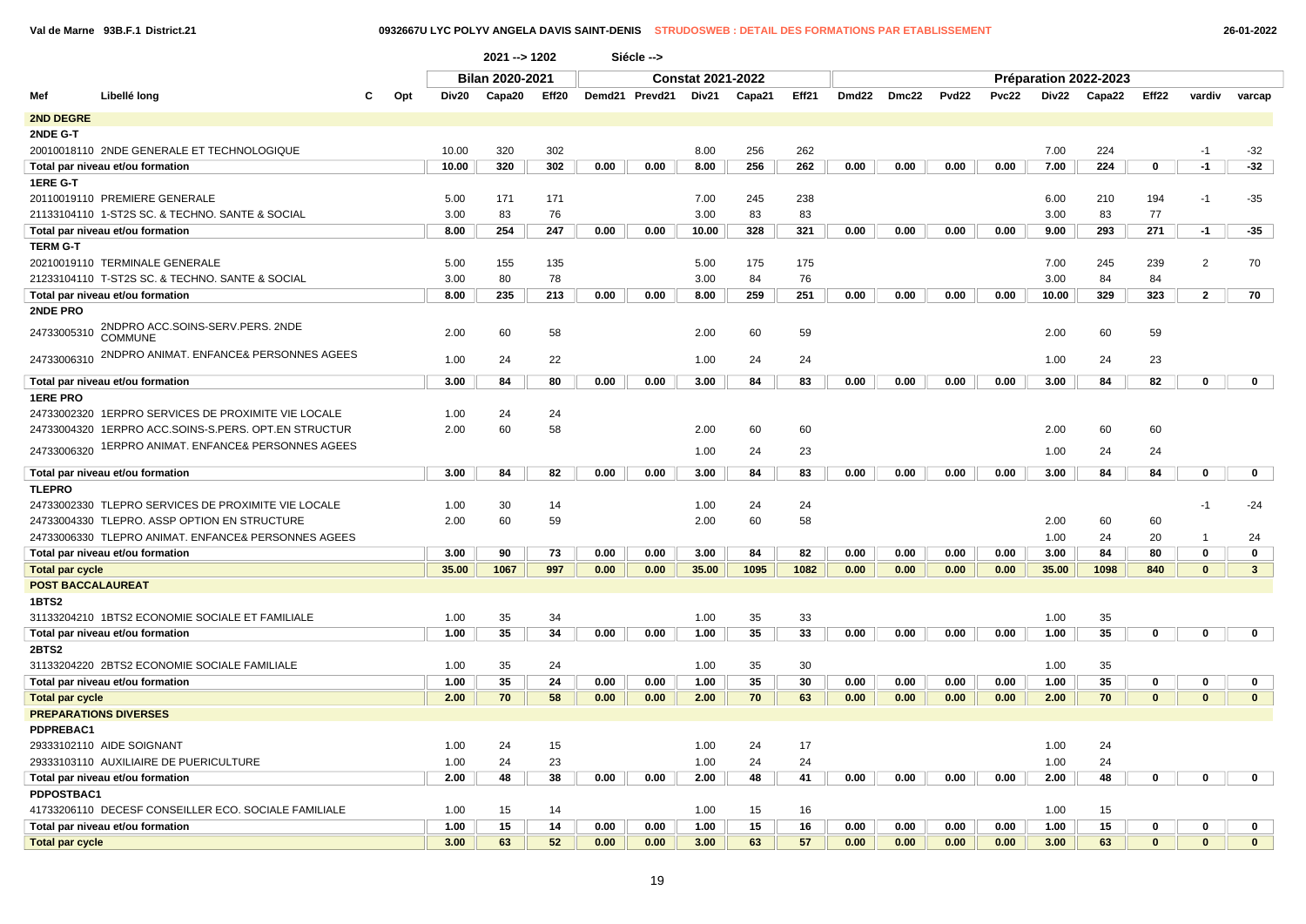|                        |                                                      |              | 2021 -- > 1202         |       |      | Siécle -->     |                          |        |       |                   |       |                   |              |       |                       |              |                         |              |
|------------------------|------------------------------------------------------|--------------|------------------------|-------|------|----------------|--------------------------|--------|-------|-------------------|-------|-------------------|--------------|-------|-----------------------|--------------|-------------------------|--------------|
|                        |                                                      |              | <b>Bilan 2020-2021</b> |       |      |                | <b>Constat 2021-2022</b> |        |       |                   |       |                   |              |       | Préparation 2022-2023 |              |                         |              |
| Mef                    | Libellé long                                         | Opt<br>Div20 | Capa20                 | Eff20 |      | Demd21 Prevd21 | Div21                    | Capa21 | Eff21 | Dmd <sub>22</sub> | Dmc22 | Pvd <sub>22</sub> | <b>Pvc22</b> | Div22 | Capa22                | Eff22        | vardiv                  | varcap       |
| <b>2ND DEGRE</b>       |                                                      |              |                        |       |      |                |                          |        |       |                   |       |                   |              |       |                       |              |                         |              |
| 2NDE G-T               |                                                      |              |                        |       |      |                |                          |        |       |                   |       |                   |              |       |                       |              |                         |              |
|                        | 20010018110 2NDE GENERALE ET TECHNOLOGIQUE           | 10.00        | 320                    | 302   |      |                | 8.00                     | 256    | 262   |                   |       |                   |              | 7.00  | 224                   |              | $-1$                    | $-32$        |
|                        | Total par niveau et/ou formation                     | 10.00        | 320                    | 302   | 0.00 | 0.00           | 8.00                     | 256    | 262   | 0.00              | 0.00  | 0.00              | 0.00         | 7.00  | 224                   | 0            | $-1$                    | $-32$        |
| 1ERE G-T               |                                                      |              |                        |       |      |                |                          |        |       |                   |       |                   |              |       |                       |              |                         |              |
|                        | 20110019110 PREMIERE GENERALE                        | 5.00         | 171                    | 171   |      |                | 7.00                     | 245    | 238   |                   |       |                   |              | 6.00  | 210                   | 194          | $-1$                    | $-35$        |
|                        | 21133104110 1-ST2S SC. & TECHNO. SANTE & SOCIAL      | 3.00         | 83                     | 76    |      |                | 3.00                     | 83     | 83    |                   |       |                   |              | 3.00  | 83                    | 77           |                         |              |
|                        | Total par niveau et/ou formation                     | 8.00         | 254                    | 247   | 0.00 | 0.00           | 10.00                    | 328    | 321   | 0.00              | 0.00  | 0.00              | 0.00         | 9.00  | 293                   | 271          | $-1$                    | $-35$        |
| <b>TERM G-T</b>        |                                                      |              |                        |       |      |                |                          |        |       |                   |       |                   |              |       |                       |              |                         |              |
|                        | 20210019110 TERMINALE GENERALE                       | 5.00         | 155                    | 135   |      |                | 5.00                     | 175    | 175   |                   |       |                   |              | 7.00  | 245                   | 239          | $\overline{2}$          | 70           |
|                        | 21233104110 T-ST2S SC. & TECHNO. SANTE & SOCIAL      | 3.00         | 80                     | 78    |      |                | 3.00                     | 84     | 76    |                   |       |                   |              | 3.00  | 84                    | 84           |                         |              |
|                        | Total par niveau et/ou formation                     | 8.00         | 235                    | 213   | 0.00 | 0.00           | 8.00                     | 259    | 251   | 0.00              | 0.00  | 0.00              | 0.00         | 10.00 | 329                   | 323          | $\mathbf{2}$            | 70           |
| 2NDE PRO               |                                                      |              |                        |       |      |                |                          |        |       |                   |       |                   |              |       |                       |              |                         |              |
| 24733005310            | 2NDPRO ACC.SOINS-SERV.PERS. 2NDE<br><b>COMMUNE</b>   | 2.00         | 60                     | 58    |      |                | 2.00                     | 60     | 59    |                   |       |                   |              | 2.00  | 60                    | 59           |                         |              |
| 24733006310            | 2NDPRO ANIMAT. ENFANCE& PERSONNES AGEES              | 1.00         | 24                     | 22    |      |                | 1.00                     | 24     | 24    |                   |       |                   |              | 1.00  | 24                    | 23           |                         |              |
|                        | Total par niveau et/ou formation                     | 3.00         | 84                     | 80    | 0.00 | 0.00           | 3.00                     | 84     | 83    | 0.00              | 0.00  | 0.00              | 0.00         | 3.00  | 84                    | 82           | $\bf{0}$                | 0            |
| <b>1ERE PRO</b>        |                                                      |              |                        |       |      |                |                          |        |       |                   |       |                   |              |       |                       |              |                         |              |
|                        | 24733002320 1ERPRO SERVICES DE PROXIMITE VIE LOCALE  | 1.00         | 24                     | 24    |      |                |                          |        |       |                   |       |                   |              |       |                       |              |                         |              |
|                        | 24733004320 1ERPRO ACC.SOINS-S.PERS. OPT.EN STRUCTUR | 2.00         | 60                     | 58    |      |                | 2.00                     | 60     | 60    |                   |       |                   |              | 2.00  | 60                    | 60           |                         |              |
| 24733006320            | 1ERPRO ANIMAT. ENFANCE& PERSONNES AGEES              |              |                        |       |      |                | 1.00                     | 24     | 23    |                   |       |                   |              | 1.00  | 24                    | 24           |                         |              |
|                        | Total par niveau et/ou formation                     | 3.00         | 84                     | 82    | 0.00 | 0.00           | 3.00                     | 84     | 83    | 0.00              | 0.00  | 0.00              | 0.00         | 3.00  | 84                    | 84           | 0                       | 0            |
| <b>TLEPRO</b>          |                                                      |              |                        |       |      |                |                          |        |       |                   |       |                   |              |       |                       |              |                         |              |
|                        | 24733002330 TLEPRO SERVICES DE PROXIMITE VIE LOCALE  | 1.00         | 30                     | 14    |      |                | 1.00                     | 24     | 24    |                   |       |                   |              |       |                       |              | -1                      | $-24$        |
|                        | 24733004330 TLEPRO, ASSP OPTION EN STRUCTURE         | 2.00         | 60                     | 59    |      |                | 2.00                     | 60     | 58    |                   |       |                   |              | 2.00  | 60                    | 60           |                         |              |
|                        | 24733006330 TLEPRO ANIMAT. ENFANCE& PERSONNES AGEES  |              |                        |       |      |                |                          |        |       |                   |       |                   |              | 1.00  | 24                    | 20           | $\mathbf{1}$            | 24           |
|                        | Total par niveau et/ou formation                     | 3.00         | 90                     | 73    | 0.00 | 0.00           | 3.00                     | 84     | 82    | 0.00              | 0.00  | 0.00              | 0.00         | 3.00  | 84                    | 80           | 0                       | 0            |
| Total par cycle        |                                                      | 35.00        | 1067                   | 997   | 0.00 | 0.00           | 35.00                    | 1095   | 1082  | 0.00              | 0.00  | 0.00              | 0.00         | 35.00 | 1098                  | 840          | $\bf{0}$                | $\mathbf{3}$ |
|                        | <b>POST BACCALAUREAT</b>                             |              |                        |       |      |                |                          |        |       |                   |       |                   |              |       |                       |              |                         |              |
| 1BTS2                  |                                                      |              |                        |       |      |                |                          |        |       |                   |       |                   |              |       |                       |              |                         |              |
|                        | 31133204210 1BTS2 ECONOMIE SOCIALE ET FAMILIALE      | 1.00         | 35                     | 34    |      |                | 1.00                     | 35     | 33    |                   |       |                   |              | 1.00  | 35                    |              |                         |              |
|                        | Total par niveau et/ou formation                     | 1.00         | 35                     | 34    | 0.00 | 0.00           | 1.00                     | 35     | 33    | 0.00              | 0.00  | 0.00              | 0.00         | 1.00  | 35                    | 0            | 0                       | $\mathbf 0$  |
| <b>2BTS2</b>           |                                                      |              |                        |       |      |                |                          |        |       |                   |       |                   |              |       |                       |              |                         |              |
|                        | 31133204220 2BTS2 ECONOMIE SOCIALE FAMILIALE         | 1.00         | 35                     | 24    |      |                | 1.00                     | 35     | 30    |                   |       |                   |              | 1.00  | 35                    |              |                         |              |
|                        | Total par niveau et/ou formation                     | 1.00         | 35                     | 24    | 0.00 | 0.00           | 1.00                     | 35     | 30    | 0.00              | 0.00  | 0.00              | 0.00         | 1.00  | 35                    | 0            | 0                       | 0            |
| <b>Total par cycle</b> |                                                      | 2.00         | 70                     | 58    | 0.00 | 0.00           | 2.00                     | 70     | 63    | 0.00              | 0.00  | 0.00              | 0.00         | 2.00  | 70                    | $\mathbf{0}$ | $\overline{\mathbf{0}}$ | $\mathbf{0}$ |
|                        | <b>PREPARATIONS DIVERSES</b>                         |              |                        |       |      |                |                          |        |       |                   |       |                   |              |       |                       |              |                         |              |
| PDPREBAC1              |                                                      |              |                        |       |      |                |                          |        |       |                   |       |                   |              |       |                       |              |                         |              |
|                        | 29333102110 AIDE SOIGNANT                            | 1.00         | 24                     | 15    |      |                | 1.00                     | 24     | 17    |                   |       |                   |              | 1.00  | 24                    |              |                         |              |
|                        | 29333103110 AUXILIAIRE DE PUERICULTURE               | 1.00         | 24                     | 23    |      |                | 1.00                     | 24     | 24    |                   |       |                   |              | 1.00  | 24                    |              |                         |              |
|                        | Total par niveau et/ou formation                     | 2.00         | 48                     | 38    | 0.00 | 0.00           | 2.00                     | 48     | 41    | 0.00              | 0.00  | 0.00              | 0.00         | 2.00  | 48                    | 0            | 0                       | 0            |
| <b>PDPOSTBAC1</b>      |                                                      |              |                        |       |      |                |                          |        |       |                   |       |                   |              |       |                       |              |                         |              |
|                        | 41733206110 DECESF CONSEILLER ECO. SOCIALE FAMILIALE | 1.00         | 15                     | 14    |      |                | 1.00                     | 15     | 16    |                   |       |                   |              | 1.00  | 15                    |              |                         |              |
|                        | Total par niveau et/ou formation                     | 1.00         | 15                     | 14    | 0.00 | 0.00           | 1.00                     | 15     | 16    | 0.00              | 0.00  | 0.00              | 0.00         | 1.00  | 15                    | 0            | 0                       | 0            |
| <b>Total par cycle</b> |                                                      | 3.00         | 63                     | 52    | 0.00 | 0.00           | 3.00                     | 63     | 57    | 0.00              | 0.00  | 0.00              | 0.00         | 3.00  | 63                    | $\bf{0}$     | $\bf{0}$                | $\mathbf{0}$ |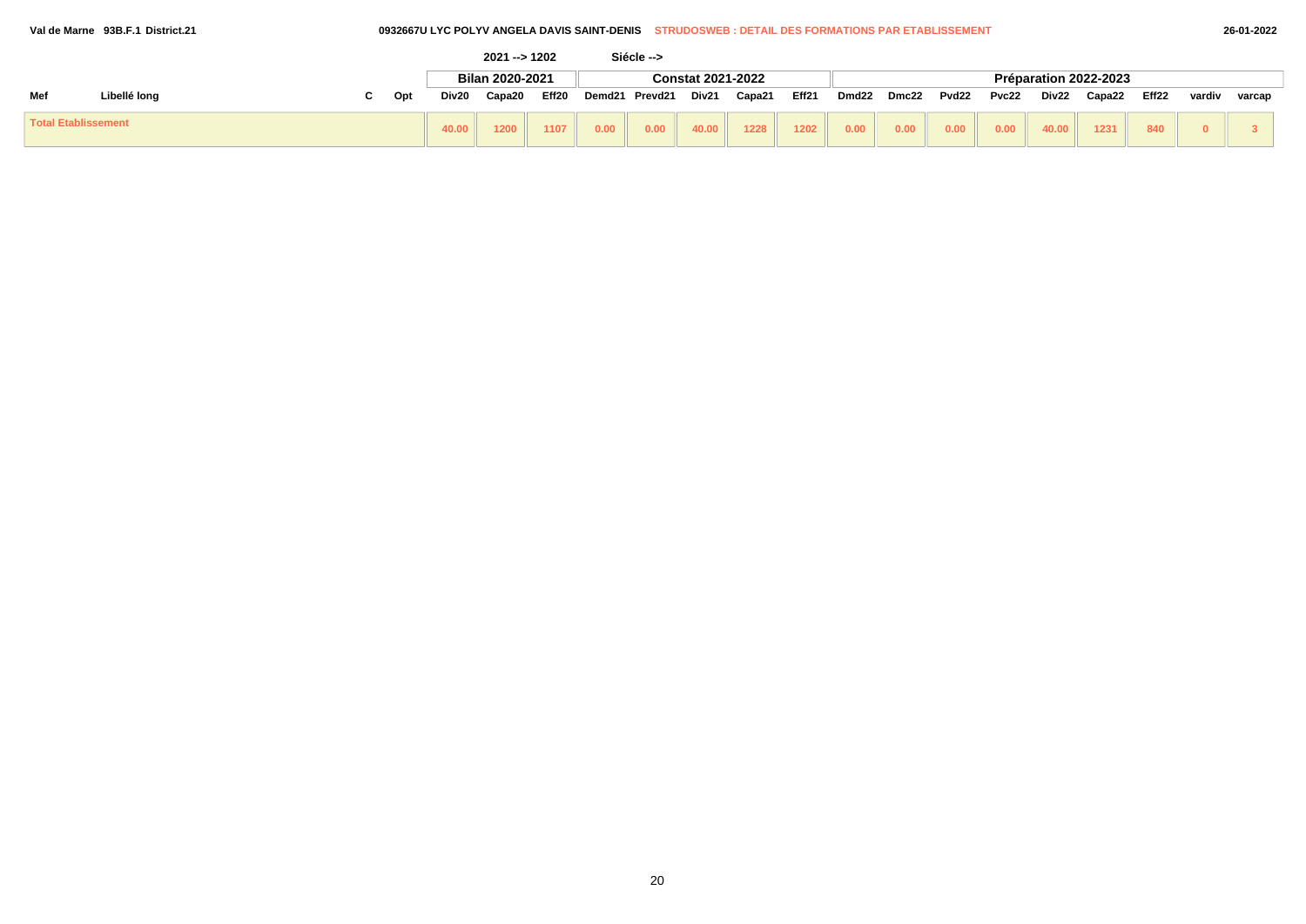### **Val de Marne 93B.F.1 District.21 0932667U LYC POLYV ANGELA DAVIS SAINT-DENIS STRUDOSWEB : DETAIL DES FORMATIONS PAR ETABLISSEMENT 26-01-2022**

|                            |              |     |       | $2021 - 1202$   |       |        | Siécle --> |                          |        |       |       |       |       |       |       |                       |       |        |        |
|----------------------------|--------------|-----|-------|-----------------|-------|--------|------------|--------------------------|--------|-------|-------|-------|-------|-------|-------|-----------------------|-------|--------|--------|
|                            |              |     |       | Bilan 2020-2021 |       |        |            | <b>Constat 2021-2022</b> |        |       |       |       |       |       |       | Préparation 2022-2023 |       |        |        |
| Mef                        | Libellé long | Opt | Div20 | Capa20          | Eff20 | Demd21 | Prevd21    | Div21                    | Capa21 | Eff21 | Dmd22 | Dmc22 | Pvd22 | Pvc22 | Div22 | Capa22                | Eff22 | vardiv | varcap |
| <b>Total Etablissement</b> |              |     | 40.00 | 1200            | 1107  | 0.00   | 0.00       | 40.00                    | 1228   | 1202  | 0.00  | 0.00  | 0.00  | 0.00  | 40.00 | 1231                  | 840   |        |        |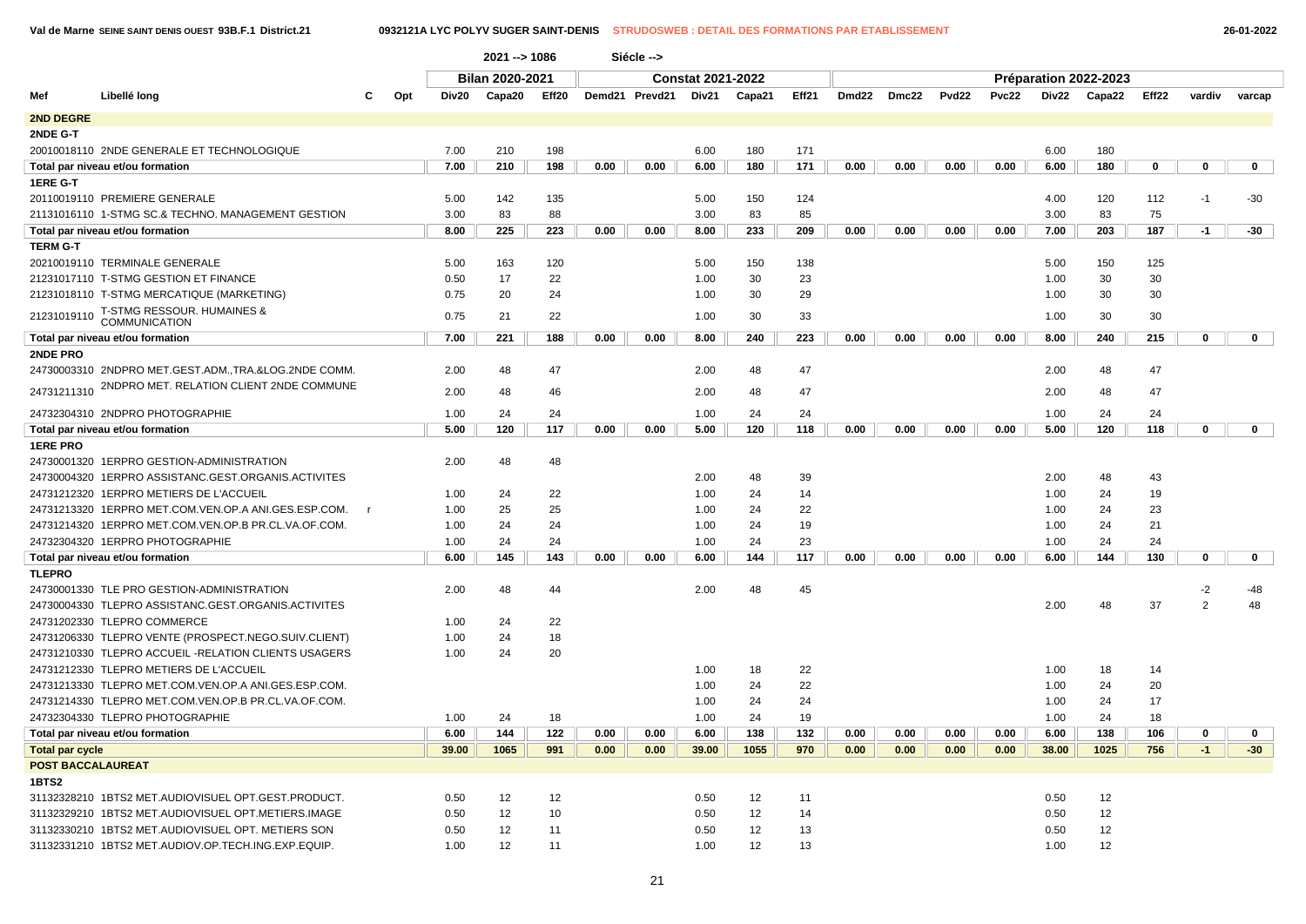$\sqrt{ }$ 

|                          |                                                                    |              |       | $2021 - 1086$   |       |      | Siécle -->     |                          |        |       |       |       |                   |       |       |                       |       |             |             |             |
|--------------------------|--------------------------------------------------------------------|--------------|-------|-----------------|-------|------|----------------|--------------------------|--------|-------|-------|-------|-------------------|-------|-------|-----------------------|-------|-------------|-------------|-------------|
|                          |                                                                    |              |       | Bilan 2020-2021 |       |      |                | <b>Constat 2021-2022</b> |        |       |       |       |                   |       |       | Préparation 2022-2023 |       |             |             |             |
| Mef                      | Libellé long                                                       | Opt          | Div20 | Capa20          | Eff20 |      | Demd21 Prevd21 | Div21                    | Capa21 | Eff21 | Dmd22 | Dmc22 | Pvd <sub>22</sub> | Pvc22 |       | Div22 Capa22          | Eff22 | vardiv      | varcap      |             |
| 2ND DEGRE                |                                                                    |              |       |                 |       |      |                |                          |        |       |       |       |                   |       |       |                       |       |             |             |             |
| 2NDE G-T                 |                                                                    |              |       |                 |       |      |                |                          |        |       |       |       |                   |       |       |                       |       |             |             |             |
|                          | 20010018110 2NDE GENERALE ET TECHNOLOGIQUE                         |              | 7.00  | 210             | 198   |      |                | 6.00                     | 180    | 171   |       |       |                   |       | 6.00  | 180                   |       |             |             |             |
|                          | Total par niveau et/ou formation                                   |              | 7.00  | 210             | 198   | 0.00 | 0.00           | 6.00                     | 180    | 171   | 0.00  | 0.00  | 0.00              | 0.00  | 6.00  | 180                   | 0     | 0           |             | 0           |
| 1ERE G-T                 |                                                                    |              |       |                 |       |      |                |                          |        |       |       |       |                   |       |       |                       |       |             |             |             |
|                          | 20110019110 PREMIERE GENERALE                                      |              | 5.00  | 142             | 135   |      |                | 5.00                     | 150    | 124   |       |       |                   |       | 4.00  | 120                   | 112   | $-1$        | $-30$       |             |
|                          | 21131016110 1-STMG SC.& TECHNO. MANAGEMENT GESTION                 |              | 3.00  | 83              | 88    |      |                | 3.00                     | 83     | 85    |       |       |                   |       | 3.00  | 83                    | 75    |             |             |             |
|                          | Total par niveau et/ou formation                                   |              | 8.00  | 225             | 223   | 0.00 | 0.00           | 8.00                     | 233    | 209   | 0.00  | 0.00  | 0.00              | 0.00  | 7.00  | 203                   | 187   | $-1$        | $-30$       |             |
| <b>TERM G-T</b>          |                                                                    |              |       |                 |       |      |                |                          |        |       |       |       |                   |       |       |                       |       |             |             |             |
|                          | 20210019110 TERMINALE GENERALE                                     |              | 5.00  | 163             | 120   |      |                | 5.00                     | 150    | 138   |       |       |                   |       | 5.00  | 150                   | 125   |             |             |             |
|                          | 21231017110 T-STMG GESTION ET FINANCE                              |              | 0.50  | 17              | 22    |      |                | 1.00                     | 30     | 23    |       |       |                   |       | 1.00  | 30                    | 30    |             |             |             |
|                          | 21231018110 T-STMG MERCATIQUE (MARKETING)                          |              | 0.75  | 20              | 24    |      |                | 1.00                     | 30     | 29    |       |       |                   |       | 1.00  | 30                    | 30    |             |             |             |
|                          | <b>T-STMG RESSOUR. HUMAINES &amp;</b><br>21231019110 COMMUNICATION |              | 0.75  | 21              | 22    |      |                | 1.00                     | 30     | 33    |       |       |                   |       | 1.00  | 30                    | 30    |             |             |             |
|                          | Total par niveau et/ou formation                                   |              | 7.00  | 221             | 188   | 0.00 | 0.00           | 8.00                     | 240    | 223   | 0.00  | 0.00  | 0.00              | 0.00  | 8.00  | 240                   | 215   | 0           |             | $\mathbf 0$ |
| <b>2NDE PRO</b>          |                                                                    |              |       |                 |       |      |                |                          |        |       |       |       |                   |       |       |                       |       |             |             |             |
|                          | 24730003310 2NDPRO MET.GEST.ADM.,TRA.&LOG.2NDE COMM.               |              | 2.00  | 48              | 47    |      |                | 2.00                     | 48     | 47    |       |       |                   |       | 2.00  | 48                    | 47    |             |             |             |
| 24731211310              | 2NDPRO MET. RELATION CLIENT 2NDE COMMUNE                           |              | 2.00  | 48              | 46    |      |                | 2.00                     | 48     | 47    |       |       |                   |       | 2.00  | 48                    | 47    |             |             |             |
|                          | 24732304310 2NDPRO PHOTOGRAPHIE                                    |              | 1.00  | 24              | 24    |      |                | 1.00                     | 24     | 24    |       |       |                   |       | 1.00  | 24                    | 24    |             |             |             |
|                          | Total par niveau et/ou formation                                   |              | 5.00  | 120             | 117   | 0.00 | 0.00           | 5.00                     | 120    | 118   | 0.00  | 0.00  | 0.00              | 0.00  | 5.00  | 120                   | 118   | $\mathbf 0$ |             | $\mathbf 0$ |
| <b>1ERE PRO</b>          |                                                                    |              |       |                 |       |      |                |                          |        |       |       |       |                   |       |       |                       |       |             |             |             |
|                          | 24730001320 1ERPRO GESTION-ADMINISTRATION                          |              | 2.00  | 48              | 48    |      |                |                          |        |       |       |       |                   |       |       |                       |       |             |             |             |
|                          | 24730004320 1ERPRO ASSISTANC.GEST.ORGANIS.ACTIVITES                |              |       |                 |       |      |                | 2.00                     | 48     | 39    |       |       |                   |       | 2.00  | 48                    | 43    |             |             |             |
|                          | 24731212320 1ERPRO METIERS DE L'ACCUEIL                            |              | 1.00  | 24              | 22    |      |                | 1.00                     | 24     | 14    |       |       |                   |       | 1.00  | 24                    | 19    |             |             |             |
|                          | 24731213320 1ERPRO MET.COM.VEN.OP.A ANI.GES.ESP.COM.               | $\mathsf{r}$ | 1.00  | 25              | 25    |      |                | 1.00                     | 24     | 22    |       |       |                   |       | 1.00  | 24                    | 23    |             |             |             |
|                          | 24731214320 1ERPRO MET.COM.VEN.OP.B PR.CL.VA.OF.COM.               |              | 1.00  | 24              | 24    |      |                | 1.00                     | 24     | 19    |       |       |                   |       | 1.00  | 24                    | 21    |             |             |             |
|                          | 24732304320 1ERPRO PHOTOGRAPHIE                                    |              | 1.00  | 24              | 24    |      |                | 1.00                     | 24     | 23    |       |       |                   |       | 1.00  | 24                    | 24    |             |             |             |
|                          | Total par niveau et/ou formation                                   |              | 6.00  | 145             | 143   | 0.00 | 0.00           | 6.00                     | 144    | 117   | 0.00  | 0.00  | 0.00              | 0.00  | 6.00  | 144                   | 130   | $\mathbf 0$ |             | $\mathbf 0$ |
| <b>TLEPRO</b>            |                                                                    |              |       |                 |       |      |                |                          |        |       |       |       |                   |       |       |                       |       |             |             |             |
|                          | 24730001330 TLE PRO GESTION-ADMINISTRATION                         |              | 2.00  | 48              | 44    |      |                | 2.00                     | 48     | 45    |       |       |                   |       |       |                       |       | $-2$        | $-48$       |             |
|                          | 24730004330 TLEPRO ASSISTANC.GEST.ORGANIS.ACTIVITES                |              |       |                 |       |      |                |                          |        |       |       |       |                   |       | 2.00  | 48                    | 37    | 2           |             | 48          |
|                          | 24731202330 TLEPRO COMMERCE                                        |              | 1.00  | 24              | 22    |      |                |                          |        |       |       |       |                   |       |       |                       |       |             |             |             |
|                          | 24731206330 TLEPRO VENTE (PROSPECT.NEGO.SUIV.CLIENT)               |              | 1.00  | 24              | 18    |      |                |                          |        |       |       |       |                   |       |       |                       |       |             |             |             |
|                          | 24731210330 TLEPRO ACCUEIL -RELATION CLIENTS USAGERS               |              | 1.00  | 24              | 20    |      |                |                          |        |       |       |       |                   |       |       |                       |       |             |             |             |
|                          | 24731212330 TLEPRO METIERS DE L'ACCUEIL                            |              |       |                 |       |      |                | 1.00                     | 18     | 22    |       |       |                   |       | 1.00  | 18                    | 14    |             |             |             |
|                          | 24731213330 TLEPRO MET.COM.VEN.OP.A ANI.GES.ESP.COM.               |              |       |                 |       |      |                | 1.00                     | 24     | 22    |       |       |                   |       | 1.00  | 24                    | 20    |             |             |             |
|                          | 24731214330 TLEPRO MET.COM.VEN.OP.B PR.CL.VA.OF.COM.               |              |       |                 |       |      |                | 1.00                     | 24     | 24    |       |       |                   |       | 1.00  | 24                    | 17    |             |             |             |
|                          | 24732304330 TLEPRO PHOTOGRAPHIE                                    |              | 1.00  | 24              | 18    |      |                | 1.00                     | 24     | 19    |       |       |                   |       | 1.00  | 24                    | 18    |             |             |             |
|                          | Total par niveau et/ou formation                                   |              | 6.00  | 144             | 122   | 0.00 | 0.00           | 6.00                     | 138    | 132   | 0.00  | 0.00  | 0.00              | 0.00  | 6.00  | 138                   | 106   | $\mathbf 0$ | $\mathbf 0$ |             |
| <b>Total par cycle</b>   |                                                                    |              | 39.00 | 1065            | 991   | 0.00 | 0.00           | 39.00                    | 1055   | 970   | 0.00  | 0.00  | 0.00              | 0.00  | 38.00 | 1025                  | 756   | $-1$        | $-30$       |             |
| <b>POST BACCALAUREAT</b> |                                                                    |              |       |                 |       |      |                |                          |        |       |       |       |                   |       |       |                       |       |             |             |             |
| 1BTS2                    |                                                                    |              |       |                 |       |      |                |                          |        |       |       |       |                   |       |       |                       |       |             |             |             |
|                          | 31132328210 1BTS2 MET.AUDIOVISUEL OPT.GEST.PRODUCT.                |              | 0.50  | 12              | 12    |      |                | 0.50                     | 12     | 11    |       |       |                   |       | 0.50  | 12                    |       |             |             |             |
|                          | 31132329210 1BTS2 MET.AUDIOVISUEL OPT.METIERS.IMAGE                |              | 0.50  | 12              | 10    |      |                | 0.50                     | 12     | 14    |       |       |                   |       | 0.50  | 12                    |       |             |             |             |
|                          | 31132330210 1BTS2 MET.AUDIOVISUEL OPT. METIERS SON                 |              | 0.50  | 12              | 11    |      |                | 0.50                     | 12     | 13    |       |       |                   |       | 0.50  | 12                    |       |             |             |             |
|                          | 31132331210 1BTS2 MET.AUDIOV.OP.TECH.ING.EXP.EQUIP.                |              | 1.00  | 12              | 11    |      |                | 1.00                     | 12     | 13    |       |       |                   |       | 1.00  | 12                    |       |             |             |             |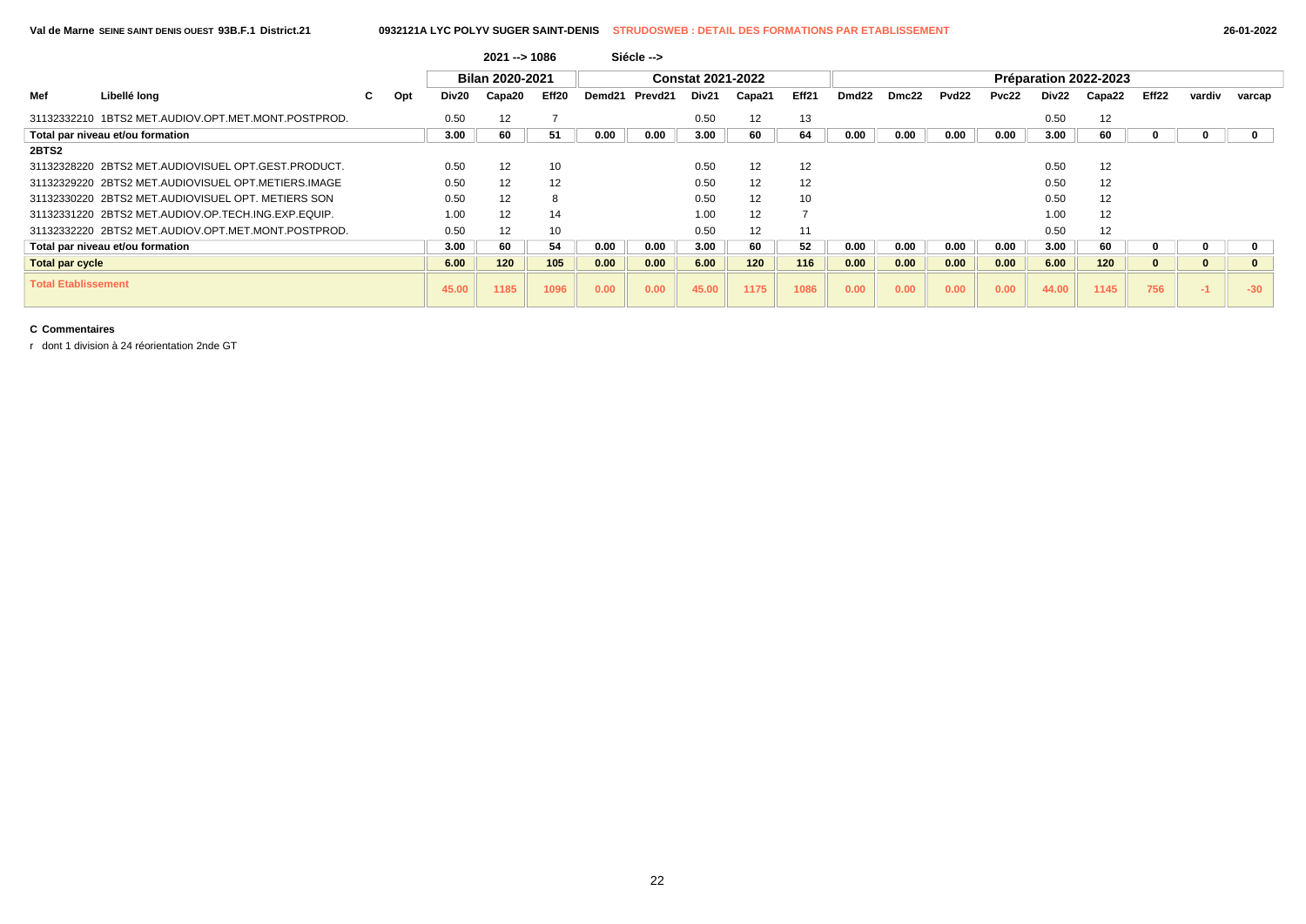#### **Val de Marne SEINE SAINT DENIS OUEST 93B.F.1 District.21 0932121A LYC POLYV SUGER SAINT-DENIS STRUDOSWEB : DETAIL DES FORMATIONS PAR ETABLISSEMENT 26-01-2022**

|                            |                                                     |   |     |       | $2021 - 51086$         |       |      | Siécle -->     |                          |        |       |       |       |                   |       |       |                       |       |        |        |
|----------------------------|-----------------------------------------------------|---|-----|-------|------------------------|-------|------|----------------|--------------------------|--------|-------|-------|-------|-------------------|-------|-------|-----------------------|-------|--------|--------|
|                            |                                                     |   |     |       | <b>Bilan 2020-2021</b> |       |      |                | <b>Constat 2021-2022</b> |        |       |       |       |                   |       |       | Préparation 2022-2023 |       |        |        |
| Mef                        | Libellé long                                        | C | Opt | Div20 | Capa20                 | Eff20 |      | Demd21 Prevd21 | Div21                    | Capa21 | Eff21 | Dmd22 | Dmc22 | Pvd <sub>22</sub> | Pvc22 | Div22 | Capa22                | Eff22 | vardiv | varcap |
|                            | 31132332210 1BTS2 MET.AUDIOV.OPT.MET.MONT.POSTPROD. |   |     | 0.50  | 12                     |       |      |                | 0.50                     | 12     | 13    |       |       |                   |       | 0.50  | 12                    |       |        |        |
|                            | Total par niveau et/ou formation                    |   |     | 3.00  | 60                     | 51    | 0.00 | 0.00           | 3.00                     | 60     | 64    | 0.00  | 0.00  | 0.00              | 0.00  | 3.00  | 60                    |       |        |        |
| 2BTS2                      |                                                     |   |     |       |                        |       |      |                |                          |        |       |       |       |                   |       |       |                       |       |        |        |
|                            | 31132328220 2BTS2 MET.AUDIOVISUEL OPT.GEST.PRODUCT. |   |     | 0.50  | 12                     | 10    |      |                | 0.50                     | 12     | 12    |       |       |                   |       | 0.50  | 12                    |       |        |        |
|                            | 31132329220 2BTS2 MET.AUDIOVISUEL OPT.METIERS.IMAGE |   |     | 0.50  | 12                     | 12    |      |                | 0.50                     | 12     | 12    |       |       |                   |       | 0.50  | 12                    |       |        |        |
|                            | 31132330220 2BTS2 MET.AUDIOVISUEL OPT. METIERS SON  |   |     | 0.50  | 12                     | 8     |      |                | 0.50                     | 12     | 10    |       |       |                   |       | 0.50  | 12                    |       |        |        |
|                            | 31132331220 2BTS2 MET.AUDIOV.OP.TECH.ING.EXP.EQUIP. |   |     | 1.00  | 12                     | 14    |      |                | 1.00                     | 12     |       |       |       |                   |       | 1.00  | 12                    |       |        |        |
|                            | 31132332220 2BTS2 MET.AUDIOV.OPT.MET.MONT.POSTPROD. |   |     | 0.50  | 12                     | 10    |      |                | 0.50                     | 12     | 11    |       |       |                   |       | 0.50  | 12                    |       |        |        |
|                            | Total par niveau et/ou formation                    |   |     | 3.00  | 60                     | 54    | 0.00 | 0.00           | 3.00                     | 60     | 52    | 0.00  | 0.00  | 0.00              | 0.00  | 3.00  | 60                    |       |        |        |
| <b>Total par cycle</b>     |                                                     |   |     | 6.00  | 120                    | 105   | 0.00 | 0.00           | 6.00                     | 120    | 116   | 0.00  | 0.00  | 0.00              | 0.00  | 6.00  | 120                   |       |        |        |
| <b>Total Etablissement</b> |                                                     |   |     | 45.00 | 1185                   | 1096  | 0.00 | 0.00           | 45.00                    | 1175   | 1086  | 0.00  | 0.00  | 0.00              | 0.00  | 44.00 | 1145                  | 756   |        | $-30$  |

### **C Commentaires**

r dont 1 division à 24 réorientation 2nde GT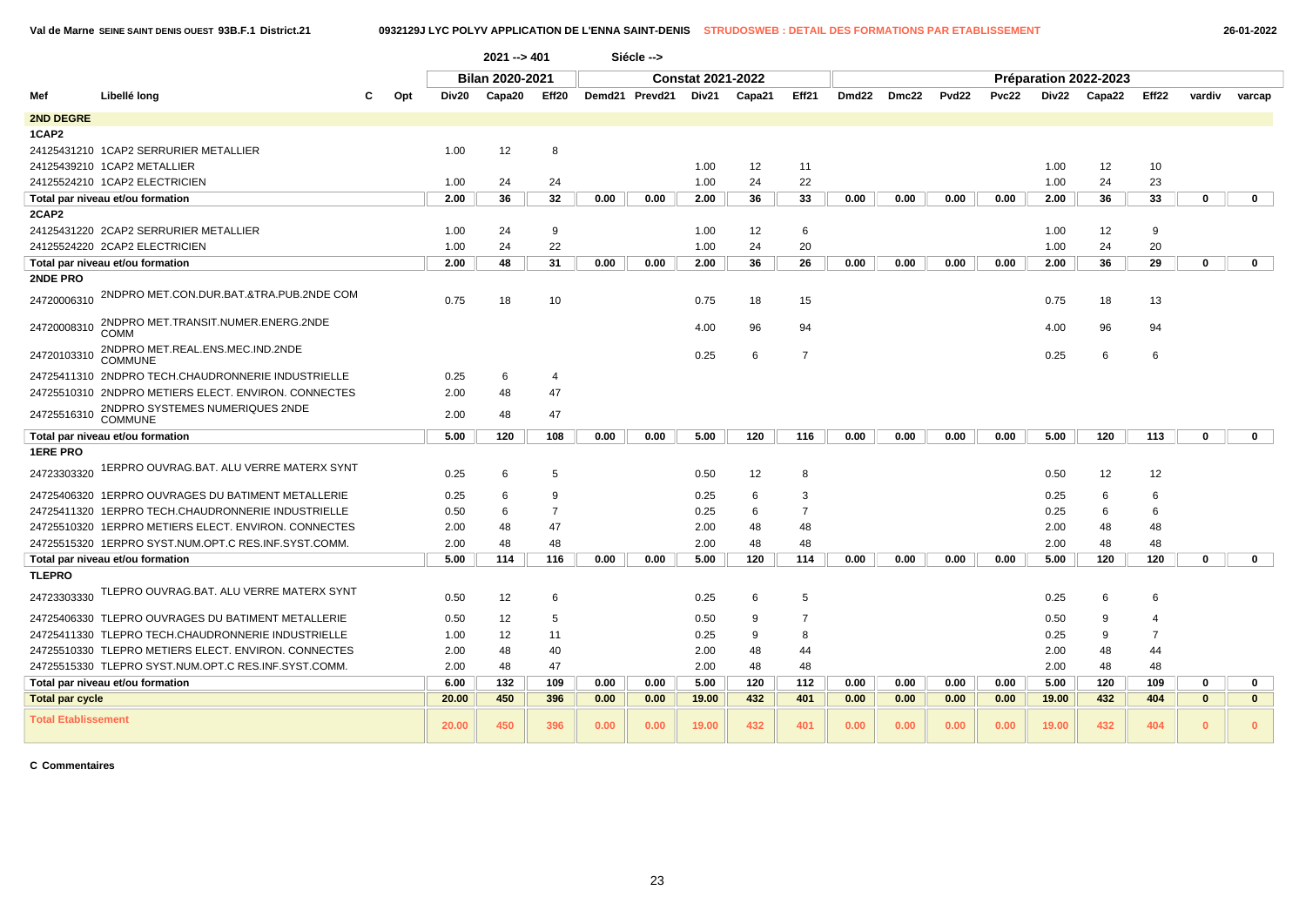## **Val de Marne SEINE SAINT DENIS OUEST 93B.F.1 District.21 0932129J LYC POLYV APPLICATION DE L'ENNA SAINT-DENIS STRUDOSWEB : DETAIL DES FORMATIONS PAR ETABLISSEMENT 26-01-2022**

|                            |                                                      |     |       | $2021 - 401$    |                |      | Siécle -->     |                          |        |                |                   |       |                   |       |       |                       |                |              |              |
|----------------------------|------------------------------------------------------|-----|-------|-----------------|----------------|------|----------------|--------------------------|--------|----------------|-------------------|-------|-------------------|-------|-------|-----------------------|----------------|--------------|--------------|
|                            |                                                      |     |       | Bilan 2020-2021 |                |      |                | <b>Constat 2021-2022</b> |        |                |                   |       |                   |       |       | Préparation 2022-2023 |                |              |              |
| Mef                        | Libellé long<br>С                                    | Opt | Div20 | Capa20          | Eff20          |      | Demd21 Prevd21 | Div21                    | Capa21 | Eff21          | Dmd <sub>22</sub> | Dmc22 | Pvd <sub>22</sub> | Pvc22 | Div22 | Capa22                | Eff22          | vardiv       | varcap       |
| <b>2ND DEGRE</b>           |                                                      |     |       |                 |                |      |                |                          |        |                |                   |       |                   |       |       |                       |                |              |              |
| 1CAP2                      |                                                      |     |       |                 |                |      |                |                          |        |                |                   |       |                   |       |       |                       |                |              |              |
|                            | 24125431210 1CAP2 SERRURIER METALLIER                |     | 1.00  | 12              | 8              |      |                |                          |        |                |                   |       |                   |       |       |                       |                |              |              |
|                            | 24125439210 1CAP2 METALLIER                          |     |       |                 |                |      |                | 1.00                     | 12     | 11             |                   |       |                   |       | 1.00  | 12                    | 10             |              |              |
|                            | 24125524210 1CAP2 ELECTRICIEN                        |     | 1.00  | 24              | 24             |      |                | 1.00                     | 24     | 22             |                   |       |                   |       | 1.00  | 24                    | 23             |              |              |
|                            | Total par niveau et/ou formation                     |     | 2.00  | 36              | 32             | 0.00 | 0.00           | 2.00                     | 36     | 33             | 0.00              | 0.00  | 0.00              | 0.00  | 2.00  | 36                    | 33             | 0            | $\mathbf 0$  |
| 2CAP2                      |                                                      |     |       |                 |                |      |                |                          |        |                |                   |       |                   |       |       |                       |                |              |              |
|                            | 24125431220 2CAP2 SERRURIER METALLIER                |     | 1.00  | 24              | 9              |      |                | 1.00                     | 12     | 6              |                   |       |                   |       | 1.00  | 12                    | 9              |              |              |
|                            | 24125524220 2CAP2 ELECTRICIEN                        |     | 1.00  | 24              | 22             |      |                | 1.00                     | 24     | 20             |                   |       |                   |       | 1.00  | 24                    | 20             |              |              |
|                            | Total par niveau et/ou formation                     |     | 2.00  | 48              | 31             | 0.00 | 0.00           | 2.00                     | 36     | 26             | 0.00              | 0.00  | 0.00              | 0.00  | 2.00  | 36                    | 29             | $\mathbf 0$  | $\mathbf 0$  |
| 2NDE PRO                   |                                                      |     |       |                 |                |      |                |                          |        |                |                   |       |                   |       |       |                       |                |              |              |
| 24720006310                | 2NDPRO MET.CON.DUR.BAT.&TRA.PUB.2NDE COM             |     | 0.75  | 18              | 10             |      |                | 0.75                     | 18     | 15             |                   |       |                   |       | 0.75  | 18                    | 13             |              |              |
| 24720008310                | 2NDPRO MET.TRANSIT.NUMER.ENERG.2NDE<br>COMM          |     |       |                 |                |      |                | 4.00                     | 96     | 94             |                   |       |                   |       | 4.00  | 96                    | 94             |              |              |
| 24720103310                | 2NDPRO MET.REAL.ENS.MEC.IND.2NDE<br><b>COMMUNE</b>   |     |       |                 |                |      |                | 0.25                     | 6      | $\overline{7}$ |                   |       |                   |       | 0.25  | 6                     | 6              |              |              |
|                            | 24725411310 2NDPRO TECH.CHAUDRONNERIE INDUSTRIELLE   |     | 0.25  | 6               | 4              |      |                |                          |        |                |                   |       |                   |       |       |                       |                |              |              |
|                            | 24725510310 2NDPRO METIERS ELECT. ENVIRON. CONNECTES |     | 2.00  | 48              | 47             |      |                |                          |        |                |                   |       |                   |       |       |                       |                |              |              |
| 24725516310                | 2NDPRO SYSTEMES NUMERIQUES 2NDE<br>COMMUNE           |     | 2.00  | 48              | 47             |      |                |                          |        |                |                   |       |                   |       |       |                       |                |              |              |
|                            | Total par niveau et/ou formation                     |     | 5.00  | 120             | 108            | 0.00 | 0.00           | 5.00                     | 120    | 116            | 0.00              | 0.00  | 0.00              | 0.00  | 5.00  | 120                   | 113            | $\bf{0}$     | $\mathbf{0}$ |
| <b>1ERE PRO</b>            |                                                      |     |       |                 |                |      |                |                          |        |                |                   |       |                   |       |       |                       |                |              |              |
| 24723303320                | 1ERPRO OUVRAG.BAT. ALU VERRE MATERX SYNT             |     | 0.25  | 6               | 5              |      |                | 0.50                     | 12     | 8              |                   |       |                   |       | 0.50  | 12                    | 12             |              |              |
|                            | 24725406320 1ERPRO OUVRAGES DU BATIMENT METALLERIE   |     | 0.25  | 6               | 9              |      |                | 0.25                     | 6      | 3              |                   |       |                   |       | 0.25  | 6                     | 6              |              |              |
|                            | 24725411320 1ERPRO TECH.CHAUDRONNERIE INDUSTRIELLE   |     | 0.50  | 6               | $\overline{7}$ |      |                | 0.25                     | 6      | $\overline{7}$ |                   |       |                   |       | 0.25  | 6                     | 6              |              |              |
|                            | 24725510320 1ERPRO METIERS ELECT. ENVIRON. CONNECTES |     | 2.00  | 48              | 47             |      |                | 2.00                     | 48     | 48             |                   |       |                   |       | 2.00  | 48                    | 48             |              |              |
|                            | 24725515320 1ERPRO SYST.NUM.OPT.C RES.INF.SYST.COMM. |     | 2.00  | 48              | 48             |      |                | 2.00                     | 48     | 48             |                   |       |                   |       | 2.00  | 48                    | 48             |              |              |
|                            | Total par niveau et/ou formation                     |     | 5.00  | 114             | 116            | 0.00 | 0.00           | 5.00                     | 120    | 114            | 0.00              | 0.00  | 0.00              | 0.00  | 5.00  | 120                   | 120            | $\mathbf 0$  | $\mathbf{0}$ |
| <b>TLEPRO</b>              |                                                      |     |       |                 |                |      |                |                          |        |                |                   |       |                   |       |       |                       |                |              |              |
| 24723303330                | TLEPRO OUVRAG.BAT. ALU VERRE MATERX SYNT             |     | 0.50  | 12              | 6              |      |                | 0.25                     | 6      | 5              |                   |       |                   |       | 0.25  | 6                     | 6              |              |              |
|                            | 24725406330 TLEPRO OUVRAGES DU BATIMENT METALLERIE   |     | 0.50  | 12              | 5              |      |                | 0.50                     | 9      | $\overline{7}$ |                   |       |                   |       | 0.50  | 9                     | 4              |              |              |
|                            | 24725411330 TLEPRO TECH.CHAUDRONNERIE INDUSTRIELLE   |     | 1.00  | 12              | 11             |      |                | 0.25                     | 9      | 8              |                   |       |                   |       | 0.25  | 9                     | $\overline{7}$ |              |              |
|                            | 24725510330 TLEPRO METIERS ELECT. ENVIRON, CONNECTES |     | 2.00  | 48              | 40             |      |                | 2.00                     | 48     | 44             |                   |       |                   |       | 2.00  | 48                    | 44             |              |              |
|                            | 24725515330 TLEPRO SYST.NUM.OPT.C RES.INF.SYST.COMM. |     | 2.00  | 48              | 47             |      |                | 2.00                     | 48     | 48             |                   |       |                   |       | 2.00  | 48                    | 48             |              |              |
|                            | Total par niveau et/ou formation                     |     | 6.00  | 132             | 109            | 0.00 | 0.00           | 5.00                     | 120    | 112            | 0.00              | 0.00  | 0.00              | 0.00  | 5.00  | 120                   | 109            | $\mathbf{0}$ | $\mathbf 0$  |
| <b>Total par cycle</b>     |                                                      |     | 20.00 | 450             | 396            | 0.00 | 0.00           | 19.00                    | 432    | 401            | 0.00              | 0.00  | 0.00              | 0.00  | 19.00 | 432                   | 404            | $\mathbf{0}$ | $\mathbf{0}$ |
| <b>Total Etablissement</b> |                                                      |     | 20.00 | 450             | 396            | 0.00 | 0.00           | 19.00                    | 432    | 401            | 0.00              | 0.00  | 0.00              | 0.00  | 19.00 | 432                   | 404            | $\mathbf{0}$ | $\mathbf{0}$ |

#### **C Commentaires**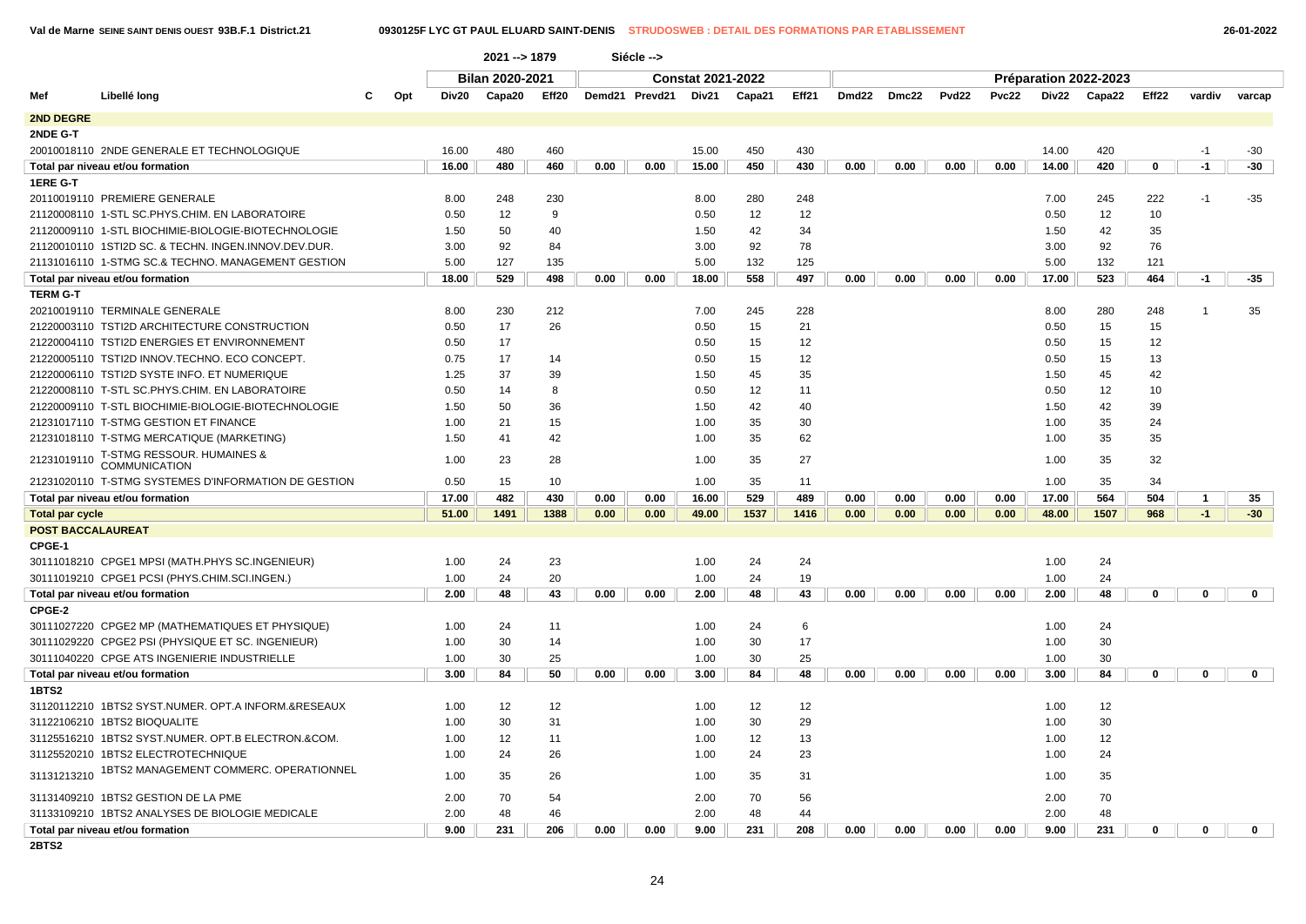|                          |                                                      |     |       | 2021 -- > 1879         |       |      | Siécle -->     |                          |        |       |       |       |                   |       |       |                       |             |              |              |
|--------------------------|------------------------------------------------------|-----|-------|------------------------|-------|------|----------------|--------------------------|--------|-------|-------|-------|-------------------|-------|-------|-----------------------|-------------|--------------|--------------|
|                          |                                                      |     |       | <b>Bilan 2020-2021</b> |       |      |                | <b>Constat 2021-2022</b> |        |       |       |       |                   |       |       | Préparation 2022-2023 |             |              |              |
| Mef                      | Libellé long                                         | Opt | Div20 | Capa20                 | Eff20 |      | Demd21 Prevd21 | Div21                    | Capa21 | Eff21 | Dmd22 | Dmc22 | Pvd <sub>22</sub> | Pvc22 | Div22 | Capa22                | Eff22       | vardiv       | varcap       |
| 2ND DEGRE                |                                                      |     |       |                        |       |      |                |                          |        |       |       |       |                   |       |       |                       |             |              |              |
| 2NDE G-T                 |                                                      |     |       |                        |       |      |                |                          |        |       |       |       |                   |       |       |                       |             |              |              |
|                          | 20010018110 2NDE GENERALE ET TECHNOLOGIQUE           |     | 16.00 | 480                    | 460   |      |                | 15.00                    | 450    | 430   |       |       |                   |       | 14.00 | 420                   |             | $-1$         | -30          |
|                          | Total par niveau et/ou formation                     |     | 16.00 | 480                    | 460   | 0.00 | 0.00           | 15.00                    | 450    | 430   | 0.00  | 0.00  | 0.00              | 0.00  | 14.00 | 420                   | $\mathbf 0$ | $-1$         | -30          |
| 1ERE G-T                 |                                                      |     |       |                        |       |      |                |                          |        |       |       |       |                   |       |       |                       |             |              |              |
|                          | 20110019110 PREMIERE GENERALE                        |     | 8.00  | 248                    | 230   |      |                | 8.00                     | 280    | 248   |       |       |                   |       | 7.00  | 245                   | 222         | $-1$         | $-35$        |
|                          | 21120008110 1-STL SC.PHYS.CHIM. EN LABORATOIRE       |     | 0.50  | 12                     | 9     |      |                | 0.50                     | 12     | 12    |       |       |                   |       | 0.50  | 12                    | 10          |              |              |
|                          | 21120009110 1-STL BIOCHIMIE-BIOLOGIE-BIOTECHNOLOGIE  |     | 1.50  | 50                     | 40    |      |                | 1.50                     | 42     | 34    |       |       |                   |       | 1.50  | 42                    | 35          |              |              |
|                          | 21120010110 1STI2D SC. & TECHN. INGEN.INNOV.DEV.DUR. |     | 3.00  | 92                     | 84    |      |                | 3.00                     | 92     | 78    |       |       |                   |       | 3.00  | 92                    | 76          |              |              |
|                          | 21131016110 1-STMG SC.& TECHNO. MANAGEMENT GESTION   |     | 5.00  | 127                    | 135   |      |                | 5.00                     | 132    | 125   |       |       |                   |       | 5.00  | 132                   | 121         |              |              |
|                          | Total par niveau et/ou formation                     |     | 18.00 | 529                    | 498   | 0.00 | 0.00           | 18.00                    | 558    | 497   | 0.00  | 0.00  | 0.00              | 0.00  | 17.00 | 523                   | 464         | -1           | -35          |
| <b>TERM G-T</b>          |                                                      |     |       |                        |       |      |                |                          |        |       |       |       |                   |       |       |                       |             |              |              |
|                          | 20210019110 TERMINALE GENERALE                       |     | 8.00  | 230                    | 212   |      |                | 7.00                     | 245    | 228   |       |       |                   |       | 8.00  | 280                   | 248         | $\mathbf{1}$ | 35           |
|                          | 21220003110 TSTI2D ARCHITECTURE CONSTRUCTION         |     | 0.50  | 17                     | 26    |      |                | 0.50                     | 15     | 21    |       |       |                   |       | 0.50  | 15                    | 15          |              |              |
|                          | 21220004110 TSTI2D ENERGIES ET ENVIRONNEMENT         |     | 0.50  | 17                     |       |      |                | 0.50                     | 15     | 12    |       |       |                   |       | 0.50  | 15                    | 12          |              |              |
|                          | 21220005110 TSTI2D INNOV.TECHNO. ECO CONCEPT.        |     | 0.75  | 17                     | 14    |      |                | 0.50                     | 15     | 12    |       |       |                   |       | 0.50  | 15                    | 13          |              |              |
|                          | 21220006110 TSTI2D SYSTE INFO. ET NUMERIQUE          |     | 1.25  | 37                     | 39    |      |                | 1.50                     | 45     | 35    |       |       |                   |       | 1.50  | 45                    | 42          |              |              |
|                          | 21220008110 T-STL SC.PHYS.CHIM. EN LABORATOIRE       |     | 0.50  | 14                     | 8     |      |                | 0.50                     | 12     | 11    |       |       |                   |       | 0.50  | 12                    | 10          |              |              |
|                          | 21220009110 T-STL BIOCHIMIE-BIOLOGIE-BIOTECHNOLOGIE  |     | 1.50  | 50                     | 36    |      |                | 1.50                     | 42     | 40    |       |       |                   |       | 1.50  | 42                    | 39          |              |              |
|                          | 21231017110 T-STMG GESTION ET FINANCE                |     | 1.00  | 21                     | 15    |      |                | 1.00                     | 35     | 30    |       |       |                   |       | 1.00  | 35                    | 24          |              |              |
|                          | 21231018110 T-STMG MERCATIQUE (MARKETING)            |     | 1.50  | 41                     | 42    |      |                | 1.00                     | 35     | 62    |       |       |                   |       | 1.00  | 35                    | 35          |              |              |
| 21231019110              | T-STMG RESSOUR. HUMAINES &<br><b>COMMUNICATION</b>   |     | 1.00  | 23                     | 28    |      |                | 1.00                     | 35     | 27    |       |       |                   |       | 1.00  | 35                    | 32          |              |              |
|                          | 21231020110 T-STMG SYSTEMES D'INFORMATION DE GESTION |     | 0.50  | 15                     | 10    |      |                | 1.00                     | 35     | 11    |       |       |                   |       | 1.00  | 35                    | 34          |              |              |
|                          | Total par niveau et/ou formation                     |     | 17.00 | 482                    | 430   | 0.00 | 0.00           | 16.00                    | 529    | 489   | 0.00  | 0.00  | 0.00              | 0.00  | 17.00 | 564                   | 504         | 1            | 35           |
| <b>Total par cycle</b>   |                                                      |     | 51.00 | 1491                   | 1388  | 0.00 | 0.00           | 49.00                    | 1537   | 1416  | 0.00  | 0.00  | 0.00              | 0.00  | 48.00 | 1507                  | 968         | $-1$         | $-30$        |
| <b>POST BACCALAUREAT</b> |                                                      |     |       |                        |       |      |                |                          |        |       |       |       |                   |       |       |                       |             |              |              |
| CPGE-1                   |                                                      |     |       |                        |       |      |                |                          |        |       |       |       |                   |       |       |                       |             |              |              |
|                          | 30111018210 CPGE1 MPSI (MATH.PHYS SC.INGENIEUR)      |     | 1.00  | 24                     | 23    |      |                | 1.00                     | 24     | 24    |       |       |                   |       | 1.00  | 24                    |             |              |              |
|                          | 30111019210 CPGE1 PCSI (PHYS.CHIM.SCI.INGEN.)        |     | 1.00  | 24                     | 20    |      |                | 1.00                     | 24     | 19    |       |       |                   |       | 1.00  | 24                    |             |              |              |
|                          | Total par niveau et/ou formation                     |     | 2.00  | 48                     | 43    | 0.00 | 0.00           | 2.00                     | 48     | 43    | 0.00  | 0.00  | 0.00              | 0.00  | 2.00  | 48                    | 0           | 0            | $\mathbf{0}$ |
| CPGE-2                   |                                                      |     |       |                        |       |      |                |                          |        |       |       |       |                   |       |       |                       |             |              |              |
|                          | 30111027220 CPGE2 MP (MATHEMATIQUES ET PHYSIQUE)     |     | 1.00  | 24                     | 11    |      |                | 1.00                     | 24     | 6     |       |       |                   |       | 1.00  | 24                    |             |              |              |
|                          | 30111029220 CPGE2 PSI (PHYSIQUE ET SC. INGENIEUR)    |     | 1.00  | 30                     | 14    |      |                | 1.00                     | 30     | 17    |       |       |                   |       | 1.00  | 30                    |             |              |              |
|                          | 30111040220 CPGE ATS INGENIERIE INDUSTRIELLE         |     | 1.00  | 30                     | 25    |      |                | 1.00                     | 30     | 25    |       |       |                   |       | 1.00  | 30                    |             |              |              |
|                          | Total par niveau et/ou formation                     |     | 3.00  | 84                     | 50    | 0.00 | 0.00           | 3.00                     | 84     | 48    | 0.00  | 0.00  | 0.00              | 0.00  | 3.00  | 84                    | $\mathbf 0$ | $\mathbf 0$  | $\mathbf 0$  |
| 1BTS2                    |                                                      |     |       |                        |       |      |                |                          |        |       |       |       |                   |       |       |                       |             |              |              |
|                          | 31120112210 1BTS2 SYST.NUMER. OPT.A INFORM.&RESEAUX  |     | 1.00  | 12                     | 12    |      |                | 1.00                     | 12     | 12    |       |       |                   |       | 1.00  | 12                    |             |              |              |
|                          | 31122106210 1BTS2 BIOQUALITE                         |     | 1.00  | 30                     | 31    |      |                | 1.00                     | 30     | 29    |       |       |                   |       | 1.00  | 30                    |             |              |              |
|                          | 31125516210 1BTS2 SYST.NUMER. OPT.B ELECTRON.&COM.   |     | 1.00  | 12                     | 11    |      |                | 1.00                     | 12     | 13    |       |       |                   |       | 1.00  | 12                    |             |              |              |
|                          | 31125520210 1BTS2 ELECTROTECHNIQUE                   |     | 1.00  | 24                     | 26    |      |                | 1.00                     | 24     | 23    |       |       |                   |       | 1.00  | 24                    |             |              |              |
| 31131213210              | 1BTS2 MANAGEMENT COMMERC. OPERATIONNEL               |     | 1.00  | 35                     | 26    |      |                | 1.00                     | 35     | 31    |       |       |                   |       | 1.00  | 35                    |             |              |              |
|                          | 31131409210 1BTS2 GESTION DE LA PME                  |     | 2.00  | 70                     | 54    |      |                | 2.00                     | 70     | 56    |       |       |                   |       | 2.00  | 70                    |             |              |              |
|                          | 31133109210 1BTS2 ANALYSES DE BIOLOGIE MEDICALE      |     | 2.00  | 48                     | 46    |      |                | 2.00                     | 48     | 44    |       |       |                   |       | 2.00  | 48                    |             |              |              |
|                          | Total par niveau et/ou formation                     |     | 9.00  | 231                    | 206   | 0.00 | 0.00           | 9.00                     | 231    | 208   | 0.00  | 0.00  | 0.00              | 0.00  | 9.00  | 231                   | 0           | 0            | 0            |

**2BTS2**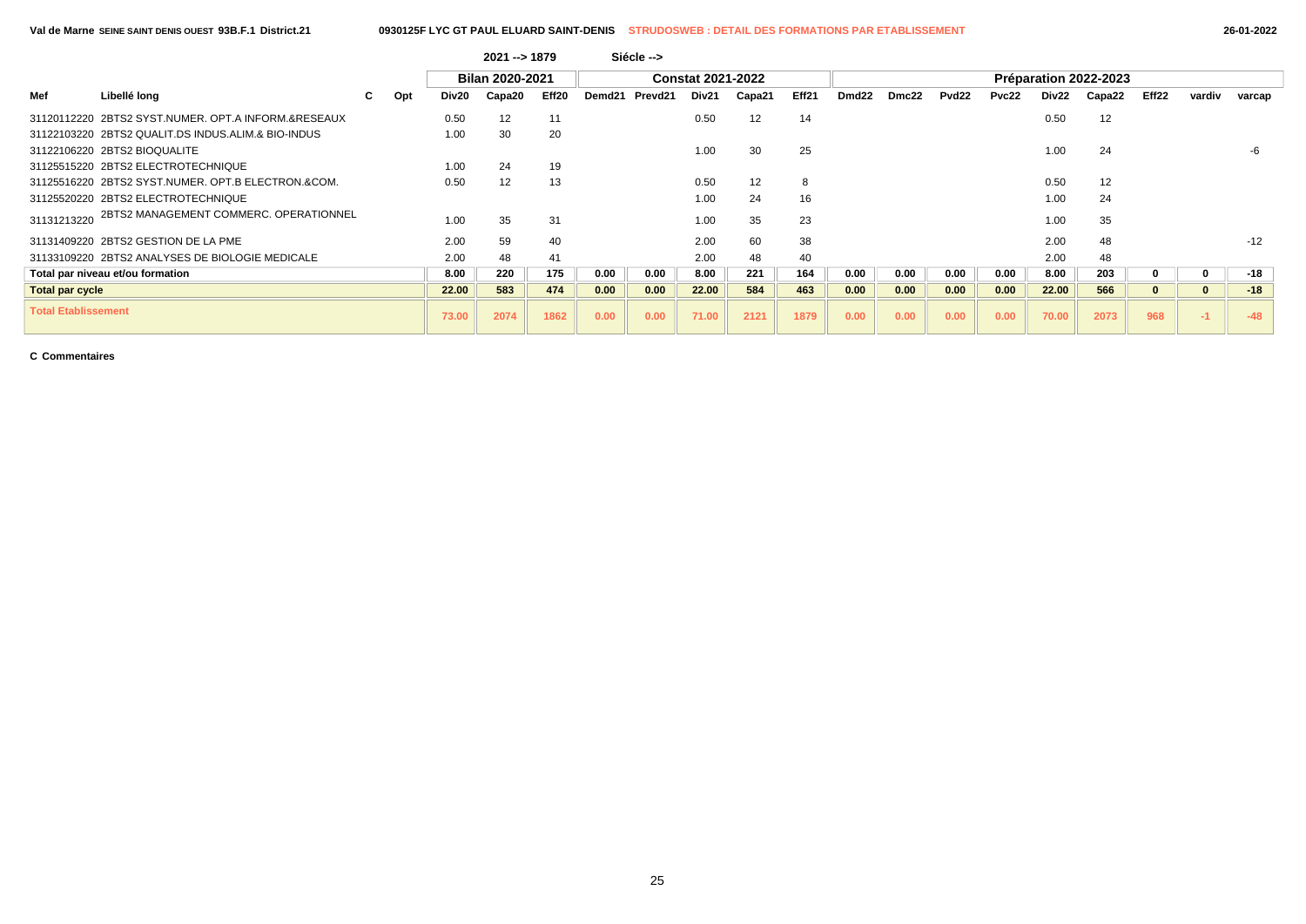|  | 26-01-2022 |
|--|------------|
|--|------------|

|                            |                                                     |    |     |       | $2021 - 1879$          |       |        | Siécle --> |                          |        |       |                   |       |       |       |       |                       |          |              |        |
|----------------------------|-----------------------------------------------------|----|-----|-------|------------------------|-------|--------|------------|--------------------------|--------|-------|-------------------|-------|-------|-------|-------|-----------------------|----------|--------------|--------|
|                            |                                                     |    |     |       | <b>Bilan 2020-2021</b> |       |        |            | <b>Constat 2021-2022</b> |        |       |                   |       |       |       |       | Préparation 2022-2023 |          |              |        |
| Mef                        | Libellé long                                        | C. | Opt | Div20 | Capa20                 | Eff20 | Demd21 | Prevd21    | Div21                    | Capa21 | Eff21 | Dmd <sub>22</sub> | Dmc22 | Pvd22 | Pvc22 | Div22 | Capa22                | Eff22    | vardiv       | varcap |
|                            | 31120112220 2BTS2 SYST.NUMER, OPT.A INFORM.&RESEAUX |    |     | 0.50  | 12                     | 11    |        |            | 0.50                     | 12     | 14    |                   |       |       |       | 0.50  | 12                    |          |              |        |
|                            | 31122103220 2BTS2 QUALIT.DS INDUS.ALIM.& BIO-INDUS  |    |     | 1.00  | 30                     | 20    |        |            |                          |        |       |                   |       |       |       |       |                       |          |              |        |
|                            | 31122106220 2BTS2 BIOQUALITE                        |    |     |       |                        |       |        |            | 1.00                     | 30     | 25    |                   |       |       |       | 1.00  | 24                    |          |              |        |
|                            | 31125515220 2BTS2 ELECTROTECHNIQUE                  |    |     | 1.00  | 24                     | 19    |        |            |                          |        |       |                   |       |       |       |       |                       |          |              |        |
|                            | 31125516220 2BTS2 SYST.NUMER, OPT.B ELECTRON.&COM.  |    |     | 0.50  | 12                     | 13    |        |            | 0.50                     | 12     | 8     |                   |       |       |       | 0.50  | 12                    |          |              |        |
|                            | 31125520220 2BTS2 ELECTROTECHNIQUE                  |    |     |       |                        |       |        |            | 1.00                     | 24     | 16    |                   |       |       |       | 1.00  | 24                    |          |              |        |
| 31131213220                | 2BTS2 MANAGEMENT COMMERC. OPERATIONNEL              |    |     | 1.00  | 35                     | 31    |        |            | 1.00                     | 35     | 23    |                   |       |       |       | 1.00  | 35                    |          |              |        |
|                            | 31131409220 2BTS2 GESTION DE LA PME                 |    |     | 2.00  | 59                     | 40    |        |            | 2.00                     | 60     | 38    |                   |       |       |       | 2.00  | 48                    |          |              | $-12$  |
|                            | 31133109220 2BTS2 ANALYSES DE BIOLOGIE MEDICALE     |    |     | 2.00  | 48                     | 41    |        |            | 2.00                     | 48     | 40    |                   |       |       |       | 2.00  | 48                    |          |              |        |
|                            | Total par niveau et/ou formation                    |    |     | 8.00  | 220                    | 175   | 0.00   | 0.00       | 8.00                     | 221    | 164   | 0.00              | 0.00  | 0.00  | 0.00  | 8.00  | 203                   | 0        | 0            | $-18$  |
| <b>Total par cycle</b>     |                                                     |    |     | 22.00 | 583                    | 474   | 0.00   | 0.00       | 22.00                    | 584    | 463   | 0.00              | 0.00  | 0.00  | 0.00  | 22.00 | 566                   | $\bf{0}$ | $\mathbf{0}$ | $-18$  |
| <b>Total Etablissement</b> |                                                     |    |     | 73.00 | 2074                   | 1862  | 0.00   | 0.00       | 71.00                    | 2121   | 1879  | 0.00              | 0.00  | 0.00  | 0.00  | 70.00 | 2073                  | 968      | $-1$         | $-48$  |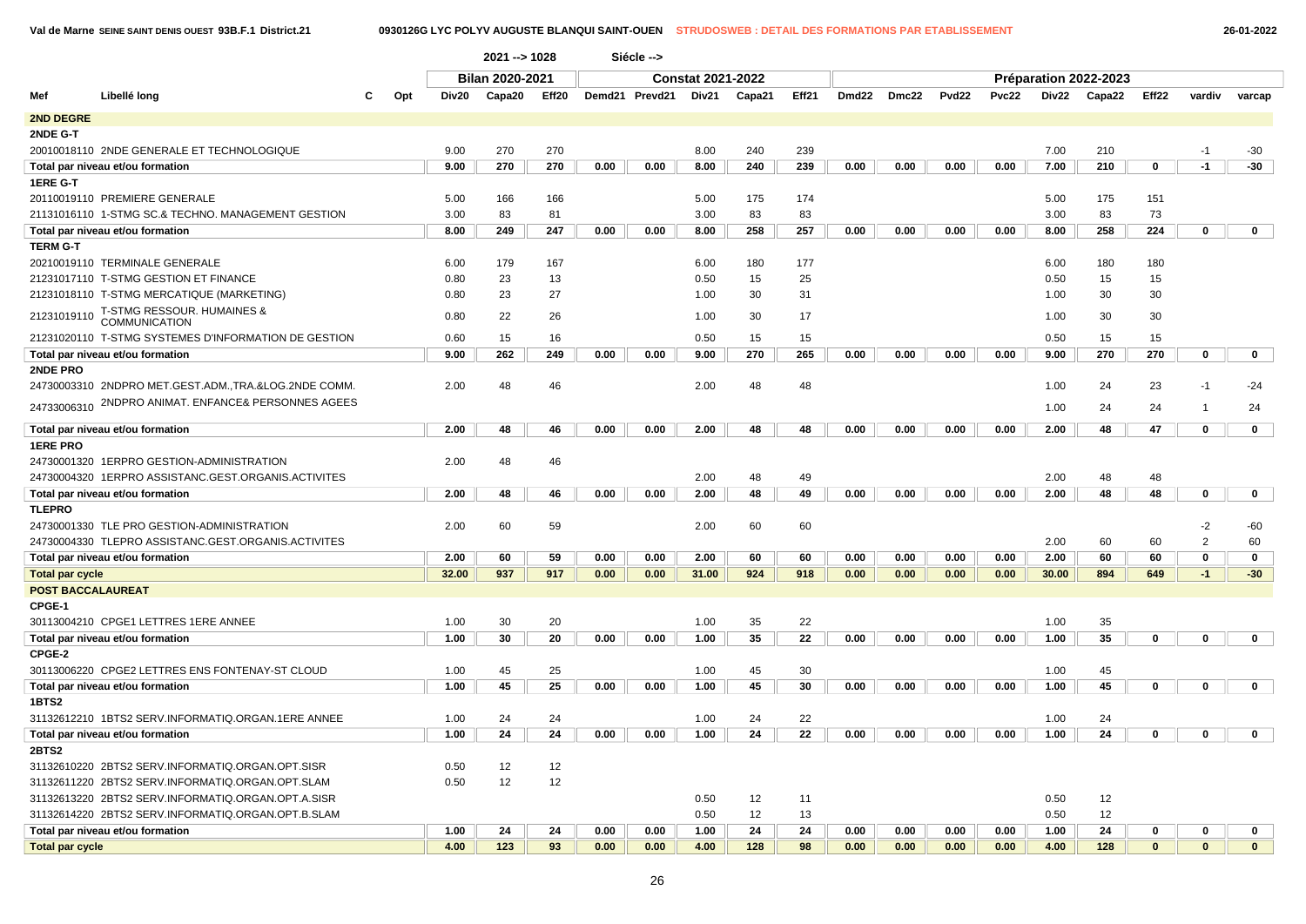|                          |                                                      |     |       | 2021 -- > 1028  |       |      | Siécle -->     |                          |        |       |       |       |       |       |       |                       |              |                |              |
|--------------------------|------------------------------------------------------|-----|-------|-----------------|-------|------|----------------|--------------------------|--------|-------|-------|-------|-------|-------|-------|-----------------------|--------------|----------------|--------------|
|                          |                                                      |     |       | Bilan 2020-2021 |       |      |                | <b>Constat 2021-2022</b> |        |       |       |       |       |       |       | Préparation 2022-2023 |              |                |              |
| Mef                      | Libellé long                                         | Opt | Div20 | Capa20          | Eff20 |      | Demd21 Prevd21 | Div21                    | Capa21 | Eff21 | Dmd22 | Dmc22 | Pvd22 | Pvc22 | Div22 | Capa22                | Eff22        | vardiv         | varcap       |
| 2ND DEGRE                |                                                      |     |       |                 |       |      |                |                          |        |       |       |       |       |       |       |                       |              |                |              |
| 2NDE G-T                 |                                                      |     |       |                 |       |      |                |                          |        |       |       |       |       |       |       |                       |              |                |              |
|                          | 20010018110 2NDE GENERALE ET TECHNOLOGIQUE           |     | 9.00  | 270             | 270   |      |                | 8.00                     | 240    | 239   |       |       |       |       | 7.00  | 210                   |              | $-1$           | $-30$        |
|                          | Total par niveau et/ou formation                     |     | 9.00  | 270             | 270   | 0.00 | 0.00           | 8.00                     | 240    | 239   | 0.00  | 0.00  | 0.00  | 0.00  | 7.00  | 210                   | 0            | $-1$           | $-30$        |
| 1ERE G-T                 |                                                      |     |       |                 |       |      |                |                          |        |       |       |       |       |       |       |                       |              |                |              |
|                          | 20110019110 PREMIERE GENERALE                        |     | 5.00  | 166             | 166   |      |                | 5.00                     | 175    | 174   |       |       |       |       | 5.00  | 175                   | 151          |                |              |
|                          | 21131016110 1-STMG SC.& TECHNO. MANAGEMENT GESTION   |     | 3.00  | 83              | 81    |      |                | 3.00                     | 83     | 83    |       |       |       |       | 3.00  | 83                    | 73           |                |              |
|                          | Total par niveau et/ou formation                     |     | 8.00  | 249             | 247   | 0.00 | 0.00           | 8.00                     | 258    | 257   | 0.00  | 0.00  | 0.00  | 0.00  | 8.00  | 258                   | 224          | 0              | $\mathbf 0$  |
| <b>TERM G-T</b>          |                                                      |     |       |                 |       |      |                |                          |        |       |       |       |       |       |       |                       |              |                |              |
|                          | 20210019110 TERMINALE GENERALE                       |     | 6.00  | 179             | 167   |      |                | 6.00                     | 180    | 177   |       |       |       |       | 6.00  | 180                   | 180          |                |              |
|                          | 21231017110 T-STMG GESTION ET FINANCE                |     | 0.80  | 23              | 13    |      |                | 0.50                     | 15     | 25    |       |       |       |       | 0.50  | 15                    | 15           |                |              |
|                          | 21231018110 T-STMG MERCATIQUE (MARKETING)            |     | 0.80  | 23              | 27    |      |                | 1.00                     | 30     | 31    |       |       |       |       | 1.00  | 30                    | 30           |                |              |
| 21231019110              | T-STMG RESSOUR. HUMAINES &<br><b>COMMUNICATION</b>   |     | 0.80  | 22              | 26    |      |                | 1.00                     | 30     | 17    |       |       |       |       | 1.00  | 30                    | 30           |                |              |
|                          | 21231020110 T-STMG SYSTEMES D'INFORMATION DE GESTION |     | 0.60  | 15              | 16    |      |                | 0.50                     | 15     | 15    |       |       |       |       | 0.50  | 15                    | 15           |                |              |
|                          | Total par niveau et/ou formation                     |     | 9.00  | 262             | 249   | 0.00 | 0.00           | 9.00                     | 270    | 265   | 0.00  | 0.00  | 0.00  | 0.00  | 9.00  | 270                   | 270          | $\mathbf 0$    | $\mathbf 0$  |
| 2NDE PRO                 |                                                      |     |       |                 |       |      |                |                          |        |       |       |       |       |       |       |                       |              |                |              |
|                          | 24730003310 2NDPRO MET.GEST.ADM.,TRA.&LOG.2NDE COMM. |     | 2.00  | 48              | 46    |      |                | 2.00                     | 48     | 48    |       |       |       |       | 1.00  | 24                    | 23           | $-1$           | $-24$        |
| 24733006310              | 2NDPRO ANIMAT. ENFANCE& PERSONNES AGEES              |     |       |                 |       |      |                |                          |        |       |       |       |       |       | 1.00  | 24                    | 24           | -1             | 24           |
|                          | Total par niveau et/ou formation                     |     | 2.00  | 48              | 46    | 0.00 | 0.00           | 2.00                     | 48     | 48    | 0.00  | 0.00  | 0.00  | 0.00  | 2.00  | 48                    | 47           | $\mathbf 0$    | $\mathbf 0$  |
| <b>1ERE PRO</b>          |                                                      |     |       |                 |       |      |                |                          |        |       |       |       |       |       |       |                       |              |                |              |
|                          | 24730001320 1ERPRO GESTION-ADMINISTRATION            |     | 2.00  | 48              | 46    |      |                |                          |        |       |       |       |       |       |       |                       |              |                |              |
|                          | 24730004320 1ERPRO ASSISTANC.GEST.ORGANIS.ACTIVITES  |     |       |                 |       |      |                | 2.00                     | 48     | 49    |       |       |       |       | 2.00  | 48                    | 48           |                |              |
|                          | Total par niveau et/ou formation                     |     | 2.00  | 48              | 46    | 0.00 | 0.00           | 2.00                     | 48     | 49    | 0.00  | 0.00  | 0.00  | 0.00  | 2.00  | 48                    | 48           | 0              | $\mathbf 0$  |
| <b>TLEPRO</b>            |                                                      |     |       |                 |       |      |                |                          |        |       |       |       |       |       |       |                       |              |                |              |
|                          | 24730001330 TLE PRO GESTION-ADMINISTRATION           |     | 2.00  | 60              | 59    |      |                | 2.00                     | 60     | 60    |       |       |       |       |       |                       |              | $-2$           | -60          |
|                          | 24730004330 TLEPRO ASSISTANC.GEST.ORGANIS.ACTIVITES  |     |       |                 |       |      |                |                          |        |       |       |       |       |       | 2.00  | 60                    | 60           | $\overline{2}$ | 60           |
|                          | Total par niveau et/ou formation                     |     | 2.00  | 60              | 59    | 0.00 | 0.00           | 2.00                     | 60     | 60    | 0.00  | 0.00  | 0.00  | 0.00  | 2.00  | 60                    | 60           | 0              | 0            |
| <b>Total par cycle</b>   |                                                      |     | 32.00 | 937             | 917   | 0.00 | 0.00           | 31.00                    | 924    | 918   | 0.00  | 0.00  | 0.00  | 0.00  | 30.00 | 894                   | 649          | $-1$           | $-30$        |
| <b>POST BACCALAUREAT</b> |                                                      |     |       |                 |       |      |                |                          |        |       |       |       |       |       |       |                       |              |                |              |
| CPGE-1                   |                                                      |     |       |                 |       |      |                |                          |        |       |       |       |       |       |       |                       |              |                |              |
|                          | 30113004210 CPGE1 LETTRES 1ERE ANNEE                 |     | 1.00  | 30              | 20    |      |                | 1.00                     | 35     | 22    |       |       |       |       | 1.00  | 35                    |              |                |              |
|                          | Total par niveau et/ou formation                     |     | 1.00  | 30              | 20    | 0.00 | 0.00           | 1.00                     | 35     | 22    | 0.00  | 0.00  | 0.00  | 0.00  | 1.00  | 35                    | $\mathbf 0$  | $\mathbf 0$    | $\mathbf{0}$ |
| CPGE-2                   |                                                      |     |       |                 |       |      |                |                          |        |       |       |       |       |       |       |                       |              |                |              |
|                          | 30113006220 CPGE2 LETTRES ENS FONTENAY-ST CLOUD      |     | 1.00  | 45              | 25    |      |                | 1.00                     | 45     | 30    |       |       |       |       | 1.00  | 45                    |              |                |              |
|                          | Total par niveau et/ou formation                     |     | 1.00  | 45              | 25    | 0.00 | 0.00           | 1.00                     | 45     | 30    | 0.00  | 0.00  | 0.00  | 0.00  | 1.00  | 45                    | 0            | 0              | $\mathbf 0$  |
| <b>1BTS2</b>             |                                                      |     |       |                 |       |      |                |                          |        |       |       |       |       |       |       |                       |              |                |              |
|                          | 31132612210 1BTS2 SERV.INFORMATIQ.ORGAN.1ERE ANNEE   |     | 1.00  | 24              | 24    |      |                | 1.00                     | 24     | 22    |       |       |       |       | 1.00  | 24                    |              |                |              |
|                          | Total par niveau et/ou formation                     |     | 1.00  | 24              | 24    | 0.00 | 0.00           | 1.00                     | 24     | 22    | 0.00  | 0.00  | 0.00  | 0.00  | 1.00  | 24                    | 0            | 0              | $\mathbf{0}$ |
| 2BTS2                    |                                                      |     |       |                 |       |      |                |                          |        |       |       |       |       |       |       |                       |              |                |              |
|                          | 31132610220 2BTS2 SERV.INFORMATIQ.ORGAN.OPT.SISR     |     | 0.50  | 12              | 12    |      |                |                          |        |       |       |       |       |       |       |                       |              |                |              |
|                          | 31132611220 2BTS2 SERV.INFORMATIQ.ORGAN.OPT.SLAM     |     | 0.50  | 12              | 12    |      |                |                          |        |       |       |       |       |       |       |                       |              |                |              |
|                          | 31132613220 2BTS2 SERV.INFORMATIQ.ORGAN.OPT.A.SISR   |     |       |                 |       |      |                | 0.50                     | 12     | 11    |       |       |       |       | 0.50  | 12                    |              |                |              |
|                          | 31132614220 2BTS2 SERV.INFORMATIQ.ORGAN.OPT.B.SLAM   |     |       |                 |       |      |                | 0.50                     | 12     | 13    |       |       |       |       | 0.50  | 12                    |              |                |              |
|                          | Total par niveau et/ou formation                     |     | 1.00  | 24              | 24    | 0.00 | 0.00           | 1.00                     | 24     | 24    | 0.00  | 0.00  | 0.00  | 0.00  | 1.00  | 24                    | 0            | 0              | $\mathbf 0$  |
| <b>Total par cycle</b>   |                                                      |     | 4.00  | 123             | 93    | 0.00 | 0.00           | 4.00                     | 128    | 98    | 0.00  | 0.00  | 0.00  | 0.00  | 4.00  | 128                   | $\mathbf{0}$ | $\mathbf{0}$   | $\mathbf{0}$ |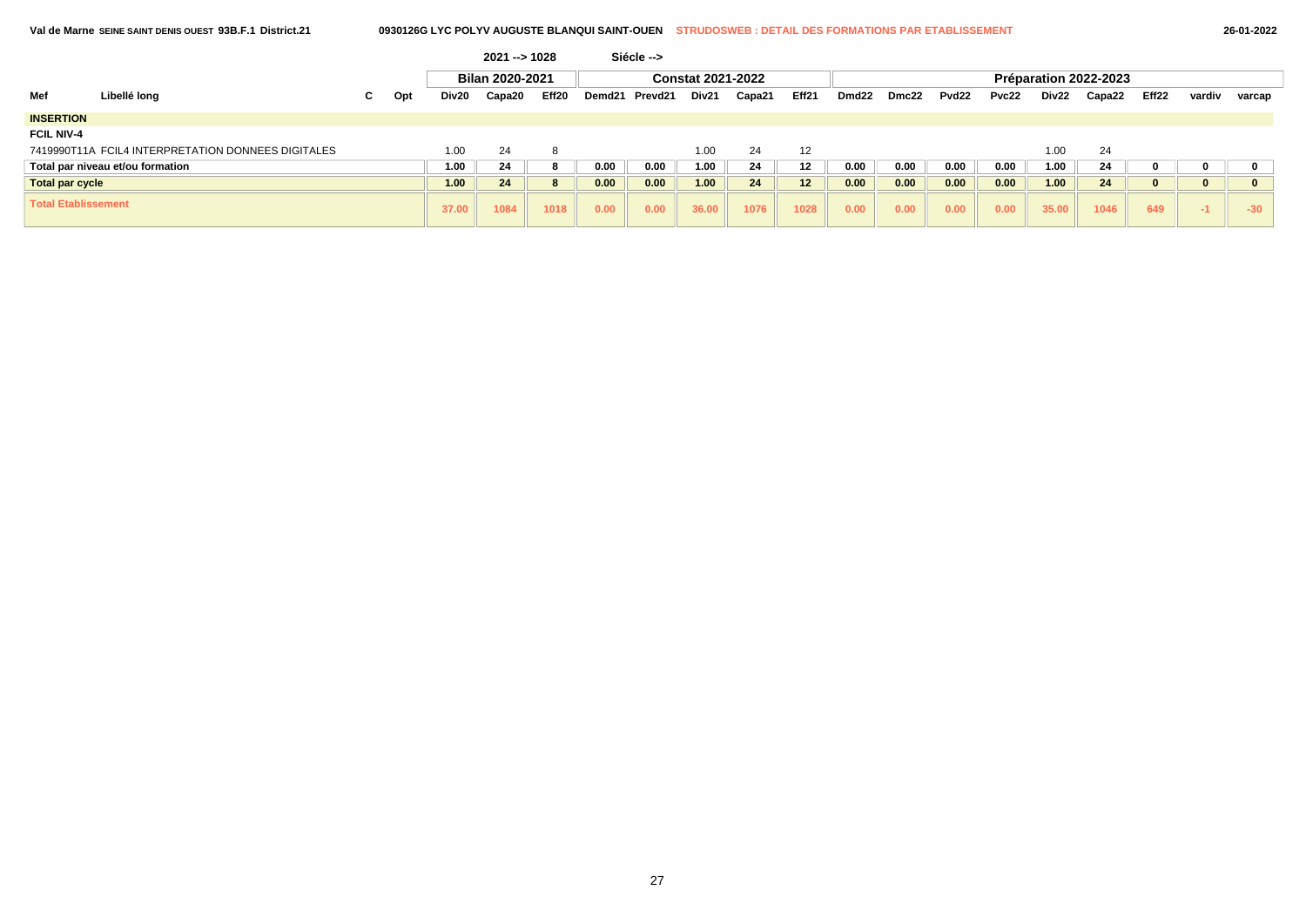|                        | Val de Marne SEINE SAINT DENIS OUEST 93B.F.1 District.21 |    | 0930126G LYC POLYV AUGUSTE BLANQUI SAINT-OUEN |       |                 |       |        |            | <b>STRUDOSWEB : DETAIL DES FORMATIONS PAR ETABLISSEMENT</b> |        |                 |                   |       |                   |       |       |                       |          | 26-01-2022 |        |
|------------------------|----------------------------------------------------------|----|-----------------------------------------------|-------|-----------------|-------|--------|------------|-------------------------------------------------------------|--------|-----------------|-------------------|-------|-------------------|-------|-------|-----------------------|----------|------------|--------|
|                        |                                                          |    |                                               |       | $2021 - 1028$   |       |        | Siécle --> |                                                             |        |                 |                   |       |                   |       |       |                       |          |            |        |
|                        |                                                          |    |                                               |       | Bilan 2020-2021 |       |        |            | <b>Constat 2021-2022</b>                                    |        |                 |                   |       |                   |       |       | Préparation 2022-2023 |          |            |        |
| Mef                    | Libellé long                                             | C. | Opt                                           | Div20 | Capa20          | Eff20 | Demd21 | Prevd21    | Div21                                                       | Capa21 | Eff21           | Dmd <sub>22</sub> | Dmc22 | Pvd <sub>22</sub> | Pvc22 | Div22 | Capa22                | Eff22    | vardiv     | varcap |
| <b>INSERTION</b>       |                                                          |    |                                               |       |                 |       |        |            |                                                             |        |                 |                   |       |                   |       |       |                       |          |            |        |
| <b>FCIL NIV-4</b>      |                                                          |    |                                               |       |                 |       |        |            |                                                             |        |                 |                   |       |                   |       |       |                       |          |            |        |
|                        | 7419990T11A FCIL4 INTERPRETATION DONNEES DIGITALES       |    |                                               | 1.00  | 24              | -8    |        |            | 1.00                                                        | 24     | 12              |                   |       |                   |       | 1.00  | 24                    |          |            |        |
|                        | Total par niveau et/ou formation                         |    |                                               | 1.00  | 24              | -8    | 0.00   | 0.00       | 1.00                                                        | 24     | 12              | 0.00              | 0.00  | 0.00              | 0.00  | 1.00  | 24                    | 0        | 0          |        |
| <b>Total par cycle</b> |                                                          |    |                                               | 1.00  | 24              | 8     | 0.00   | 0.00       | 1.00                                                        | 24     | 12 <sub>2</sub> | 0.00              | 0.00  | 0.00              | 0.00  | 1.00  | 24                    | $\bf{0}$ | $\bf{0}$   |        |
|                        | <b>Total Etablissement</b>                               |    |                                               | 37.00 | 1084            | 1018  | 0.00   | 0.00       | 36.00                                                       | 1076   | 1028            | 0.00              | 0.00  | 0.00              | 0.00  | 35.00 | 1046                  | 649      | $-1$       | $-30$  |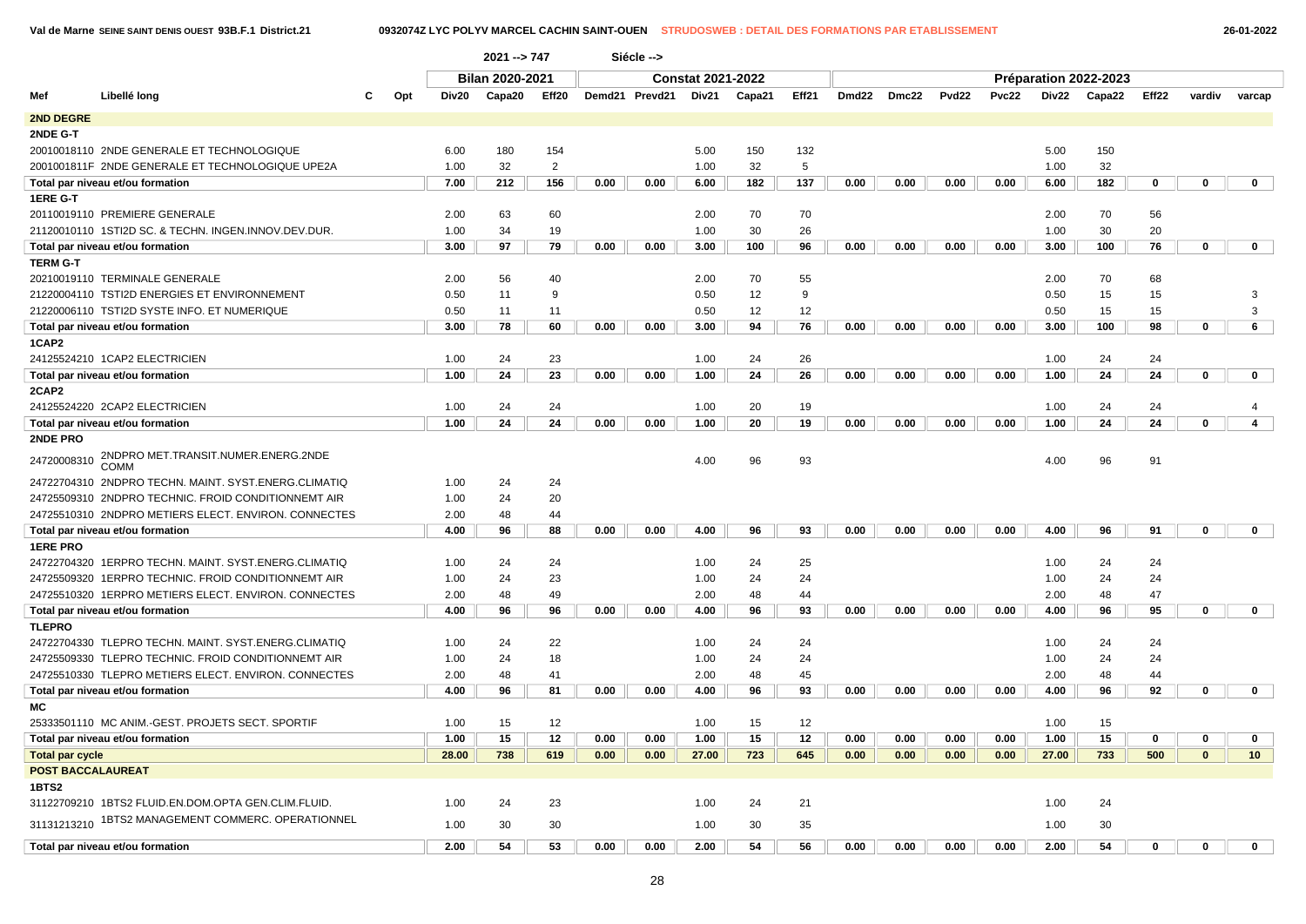| 26-01-202 |  |
|-----------|--|
|           |  |

|                          |                                                        |     |       | 2021 --> 747    |                |      | Siécle -->     |                          |        |       |       |       |                   |              |       |                       |       |              |                 |
|--------------------------|--------------------------------------------------------|-----|-------|-----------------|----------------|------|----------------|--------------------------|--------|-------|-------|-------|-------------------|--------------|-------|-----------------------|-------|--------------|-----------------|
|                          |                                                        |     |       | Bilan 2020-2021 |                |      |                | <b>Constat 2021-2022</b> |        |       |       |       |                   |              |       | Préparation 2022-2023 |       |              |                 |
| Mef                      | Libellé long<br>С                                      | Opt | Div20 | Capa20          | Eff20          |      | Demd21 Prevd21 | Div21                    | Capa21 | Eff21 | Dmd22 | Dmc22 | Pvd <sub>22</sub> | <b>Pvc22</b> | Div22 | Capa22                | Eff22 | vardiv       | varcap          |
| <b>2ND DEGRE</b>         |                                                        |     |       |                 |                |      |                |                          |        |       |       |       |                   |              |       |                       |       |              |                 |
| 2NDE G-T                 |                                                        |     |       |                 |                |      |                |                          |        |       |       |       |                   |              |       |                       |       |              |                 |
|                          | 20010018110 2NDE GENERALE ET TECHNOLOGIQUE             |     | 6.00  | 180             | 154            |      |                | 5.00                     | 150    | 132   |       |       |                   |              | 5.00  | 150                   |       |              |                 |
|                          | 2001001811F 2NDE GENERALE ET TECHNOLOGIQUE UPE2A       |     | 1.00  | 32              | $\overline{2}$ |      |                | 1.00                     | 32     | 5     |       |       |                   |              | 1.00  | 32                    |       |              |                 |
|                          | Total par niveau et/ou formation                       |     | 7.00  | 212             | 156            | 0.00 | 0.00           | 6.00                     | 182    | 137   | 0.00  | 0.00  | 0.00              | 0.00         | 6.00  | 182                   | 0     | $\mathbf 0$  | $\mathbf{0}$    |
| 1ERE G-T                 |                                                        |     |       |                 |                |      |                |                          |        |       |       |       |                   |              |       |                       |       |              |                 |
|                          | 20110019110 PREMIERE GENERALE                          |     | 2.00  | 63              | 60             |      |                | 2.00                     | 70     | 70    |       |       |                   |              | 2.00  | 70                    | 56    |              |                 |
|                          | 21120010110 1STI2D SC. & TECHN. INGEN.INNOV.DEV.DUR.   |     | 1.00  | 34              | 19             |      |                | 1.00                     | 30     | 26    |       |       |                   |              | 1.00  | 30                    | 20    |              |                 |
|                          | Total par niveau et/ou formation                       |     | 3.00  | 97              | 79             | 0.00 | 0.00           | 3.00                     | 100    | 96    | 0.00  | 0.00  | 0.00              | 0.00         | 3.00  | 100                   | 76    | $\mathbf 0$  | $\mathbf{0}$    |
| <b>TERM G-T</b>          |                                                        |     |       |                 |                |      |                |                          |        |       |       |       |                   |              |       |                       |       |              |                 |
|                          | 20210019110 TERMINALE GENERALE                         |     | 2.00  | 56              | 40             |      |                | 2.00                     | 70     | 55    |       |       |                   |              | 2.00  | 70                    | 68    |              |                 |
|                          | 21220004110 TSTI2D ENERGIES ET ENVIRONNEMENT           |     | 0.50  | 11              | 9              |      |                | 0.50                     | 12     | 9     |       |       |                   |              | 0.50  | 15                    | 15    |              | 3               |
|                          | 21220006110 TSTI2D SYSTE INFO. ET NUMERIQUE            |     | 0.50  | 11              | 11             |      |                | 0.50                     | 12     | 12    |       |       |                   |              | 0.50  | 15                    | 15    |              | 3               |
|                          | Total par niveau et/ou formation                       |     | 3.00  | 78              | 60             | 0.00 | 0.00           | 3.00                     | 94     | 76    | 0.00  | 0.00  | 0.00              | 0.00         | 3.00  | 100                   | 98    | $\mathbf 0$  | 6               |
| 1CAP2                    |                                                        |     |       |                 |                |      |                |                          |        |       |       |       |                   |              |       |                       |       |              |                 |
|                          | 24125524210 1CAP2 ELECTRICIEN                          |     | 1.00  | 24              | 23             |      |                | 1.00                     | 24     | 26    |       |       |                   |              | 1.00  | 24                    | 24    |              |                 |
|                          | Total par niveau et/ou formation                       |     | 1.00  | 24              | 23             | 0.00 | 0.00           | 1.00                     | 24     | 26    | 0.00  | 0.00  | 0.00              | 0.00         | 1.00  | 24                    | 24    | 0            | $\mathbf{0}$    |
| 2CAP2                    |                                                        |     |       |                 |                |      |                |                          |        |       |       |       |                   |              |       |                       |       |              |                 |
|                          | 24125524220 2CAP2 ELECTRICIEN                          |     | 1.00  | 24              | 24             |      |                | 1.00                     | 20     | 19    |       |       |                   |              | 1.00  | 24                    | 24    |              | $\overline{4}$  |
|                          | Total par niveau et/ou formation                       |     | 1.00  | 24              | 24             | 0.00 | 0.00           | 1.00                     | 20     | 19    | 0.00  | 0.00  | 0.00              | 0.00         | 1.00  | 24                    | 24    | 0            | $\overline{4}$  |
| 2NDE PRO                 |                                                        |     |       |                 |                |      |                |                          |        |       |       |       |                   |              |       |                       |       |              |                 |
| 24720008310              | 2NDPRO MET.TRANSIT.NUMER.ENERG.2NDE<br><b>COMM</b>     |     |       |                 |                |      |                | 4.00                     | 96     | 93    |       |       |                   |              | 4.00  | 96                    | 91    |              |                 |
|                          | 24722704310 2NDPRO TECHN. MAINT. SYST.ENERG.CLIMATIQ   |     | 1.00  | 24              | 24             |      |                |                          |        |       |       |       |                   |              |       |                       |       |              |                 |
|                          | 24725509310 2NDPRO TECHNIC. FROID CONDITIONNEMT AIR    |     | 1.00  | 24              | 20             |      |                |                          |        |       |       |       |                   |              |       |                       |       |              |                 |
|                          | 24725510310 2NDPRO METIERS ELECT. ENVIRON. CONNECTES   |     | 2.00  | 48              | 44             |      |                |                          |        |       |       |       |                   |              |       |                       |       |              |                 |
|                          | Total par niveau et/ou formation                       |     | 4.00  | 96              | 88             | 0.00 | 0.00           | 4.00                     | 96     | 93    | 0.00  | 0.00  | 0.00              | 0.00         | 4.00  | 96                    | 91    | $\mathbf 0$  | $\mathbf{0}$    |
| <b>1ERE PRO</b>          |                                                        |     |       |                 |                |      |                |                          |        |       |       |       |                   |              |       |                       |       |              |                 |
|                          | 24722704320 1ERPRO TECHN, MAINT, SYST, ENERG, CLIMATIQ |     | 1.00  | 24              | 24             |      |                | 1.00                     | 24     | 25    |       |       |                   |              | 1.00  | 24                    | 24    |              |                 |
|                          | 24725509320 1ERPRO TECHNIC. FROID CONDITIONNEMT AIR    |     | 1.00  | 24              | 23             |      |                | 1.00                     | 24     | 24    |       |       |                   |              | 1.00  | 24                    | 24    |              |                 |
|                          | 24725510320 1ERPRO METIERS ELECT. ENVIRON. CONNECTES   |     | 2.00  | 48              | 49             |      |                | 2.00                     | 48     | 44    |       |       |                   |              | 2.00  | 48                    | 47    |              |                 |
|                          | Total par niveau et/ou formation                       |     | 4.00  | 96              | 96             | 0.00 | 0.00           | 4.00                     | 96     | 93    | 0.00  | 0.00  | 0.00              | 0.00         | 4.00  | 96                    | 95    | $\mathbf 0$  | $\mathbf 0$     |
| <b>TLEPRO</b>            |                                                        |     |       |                 |                |      |                |                          |        |       |       |       |                   |              |       |                       |       |              |                 |
|                          | 24722704330 TLEPRO TECHN. MAINT. SYST.ENERG.CLIMATIQ   |     | 1.00  | 24              | 22             |      |                | 1.00                     | 24     | 24    |       |       |                   |              | 1.00  | 24                    | 24    |              |                 |
|                          | 24725509330 TLEPRO TECHNIC. FROID CONDITIONNEMT AIR    |     | 1.00  | 24              | 18             |      |                | 1.00                     | 24     | 24    |       |       |                   |              | 1.00  | 24                    | 24    |              |                 |
|                          | 24725510330 TLEPRO METIERS ELECT. ENVIRON. CONNECTES   |     | 2.00  | 48              | 41             |      |                | 2.00                     | 48     | 45    |       |       |                   |              | 2.00  | 48                    | 44    |              |                 |
|                          | Total par niveau et/ou formation                       |     | 4.00  | 96              | 81             | 0.00 | 0.00           | 4.00                     | 96     | 93    | 0.00  | 0.00  | 0.00              | 0.00         | 4.00  | 96                    | 92    | 0            | $\mathbf{0}$    |
| МC                       |                                                        |     |       |                 |                |      |                |                          |        |       |       |       |                   |              |       |                       |       |              |                 |
|                          | 25333501110 MC ANIM.-GEST. PROJETS SECT. SPORTIF       |     | 1.00  | 15              | 12             |      |                | 1.00                     | 15     | 12    |       |       |                   |              | 1.00  | 15                    |       |              |                 |
|                          | Total par niveau et/ou formation                       |     | 1.00  | 15              | 12             | 0.00 | 0.00           | 1.00                     | 15     | 12    | 0.00  | 0.00  | 0.00              | 0.00         | 1.00  | 15                    | 0     | 0            | $\mathbf 0$     |
| <b>Total par cycle</b>   |                                                        |     | 28.00 | 738             | 619            | 0.00 | 0.00           | 27.00                    | 723    | 645   | 0.00  | 0.00  | 0.00              | 0.00         | 27.00 | 733                   | 500   | $\mathbf{0}$ | 10 <sub>1</sub> |
| <b>POST BACCALAUREAT</b> |                                                        |     |       |                 |                |      |                |                          |        |       |       |       |                   |              |       |                       |       |              |                 |
| 1BTS2                    |                                                        |     |       |                 |                |      |                |                          |        |       |       |       |                   |              |       |                       |       |              |                 |
|                          | 31122709210 1BTS2 FLUID.EN.DOM.OPTA GEN.CLIM.FLUID     |     | 1.00  | 24              | 23             |      |                | 1.00                     | 24     | 21    |       |       |                   |              | 1.00  | 24                    |       |              |                 |
| 31131213210              | 1BTS2 MANAGEMENT COMMERC. OPERATIONNEL                 |     | 1.00  | 30              | 30             |      |                | 1.00                     | 30     | 35    |       |       |                   |              | 1.00  | 30                    |       |              |                 |
|                          | Total par niveau et/ou formation                       |     | 2.00  | 54              | 53             | 0.00 | 0.00           | 2.00                     | 54     | 56    | 0.00  | 0.00  | 0.00              | 0.00         | 2.00  | 54                    | 0     | 0            | $\mathbf 0$     |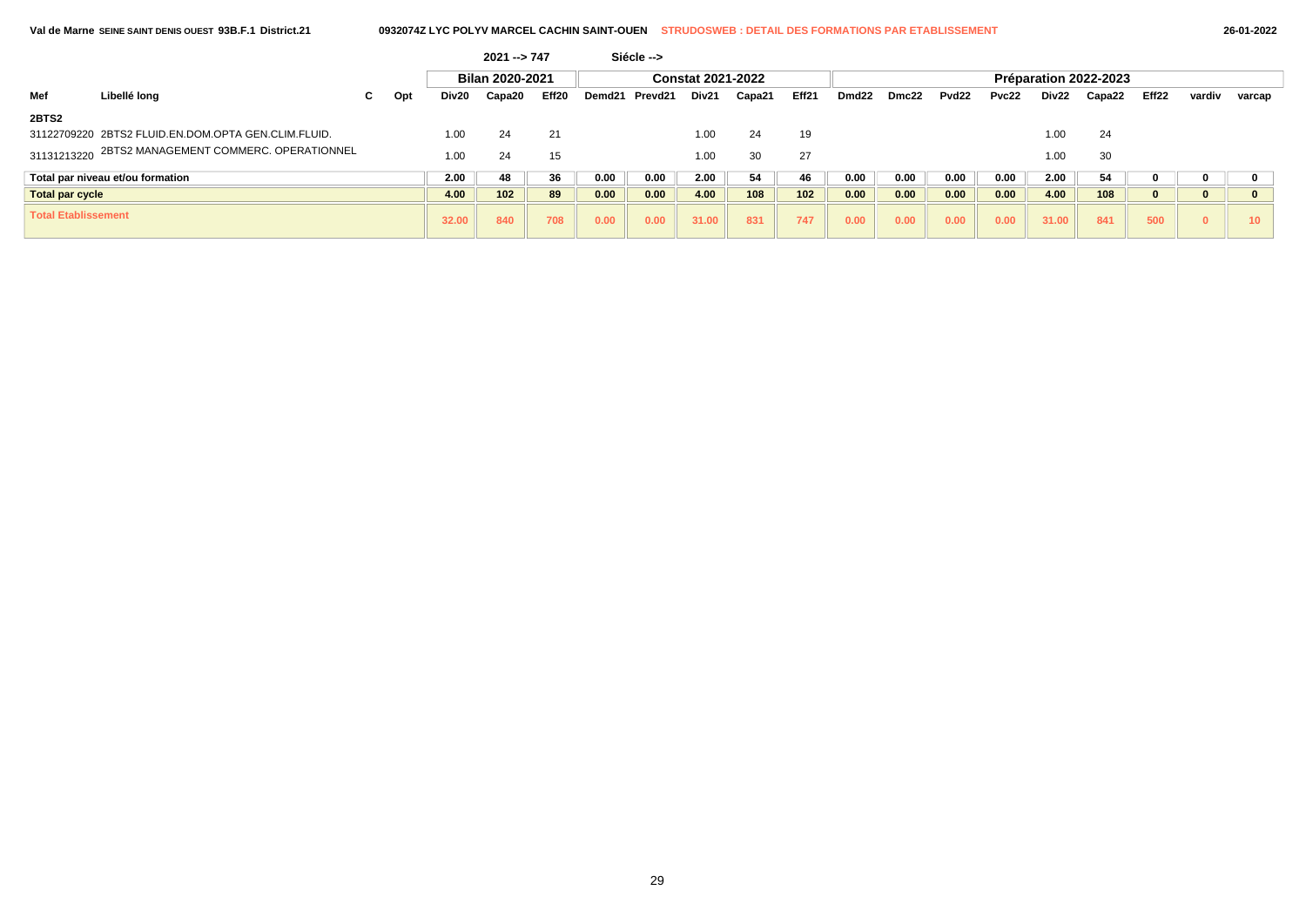|  | 26-01-2022 |
|--|------------|
|--|------------|

| 2021 --> 747               |                                                     |    |     |                 |        | Siécle -->        |        |         |                          |        |       |                       |       |                   |       |       |        |       |              |        |  |  |
|----------------------------|-----------------------------------------------------|----|-----|-----------------|--------|-------------------|--------|---------|--------------------------|--------|-------|-----------------------|-------|-------------------|-------|-------|--------|-------|--------------|--------|--|--|
|                            |                                                     |    |     | Bilan 2020-2021 |        |                   |        |         | <b>Constat 2021-2022</b> |        |       | Préparation 2022-2023 |       |                   |       |       |        |       |              |        |  |  |
| Mef                        | Libellé long                                        | C. | Opt | Div20           | Capa20 | Eff <sub>20</sub> | Demd21 | Prevd21 | Div21                    | Capa21 | Eff21 | Dmd <sub>22</sub>     | Dmc22 | Pvd <sub>22</sub> | Pvc22 | Div22 | Capa22 | Eff22 | vardiv       | varcap |  |  |
| 2BTS2                      |                                                     |    |     |                 |        |                   |        |         |                          |        |       |                       |       |                   |       |       |        |       |              |        |  |  |
|                            | 31122709220 2BTS2 FLUID.EN.DOM.OPTA GEN.CLIM.FLUID. |    |     | 1.00            | 24     | 21                |        |         | 1.00                     | 24     | 19    |                       |       |                   |       | 1.00  | 24     |       |              |        |  |  |
| 31131213220                | 2BTS2 MANAGEMENT COMMERC. OPERATIONNEL              |    |     | 1.00            | 24     | 15                |        |         | 1.00                     | 30     | 27    |                       |       |                   |       | 1.00  | 30     |       |              |        |  |  |
|                            | Total par niveau et/ou formation                    |    |     | 2.00            | 48     | 36                | 0.00   | 0.00    | 2.00                     | 54     | 46    | 0.00                  | 0.00  | 0.00              | 0.00  | 2.00  | 54     |       |              |        |  |  |
| <b>Total par cycle</b>     |                                                     |    |     | 4.00            | 102    | 89                | 0.00   | 0.00    | 4.00                     | 108    | 102   | 0.00                  | 0.00  | 0.00              | 0.00  | 4.00  | 108    |       |              |        |  |  |
| <b>Total Etablissement</b> |                                                     |    |     | 32.00           | 840    | 708               | 0.00   | 0.00    | 31.00                    | 831    | 747   | 0.00                  | 0.00  | 0.00              | 0.00  | 31.00 | 841    | 500   | $\mathbf{0}$ | $10-1$ |  |  |